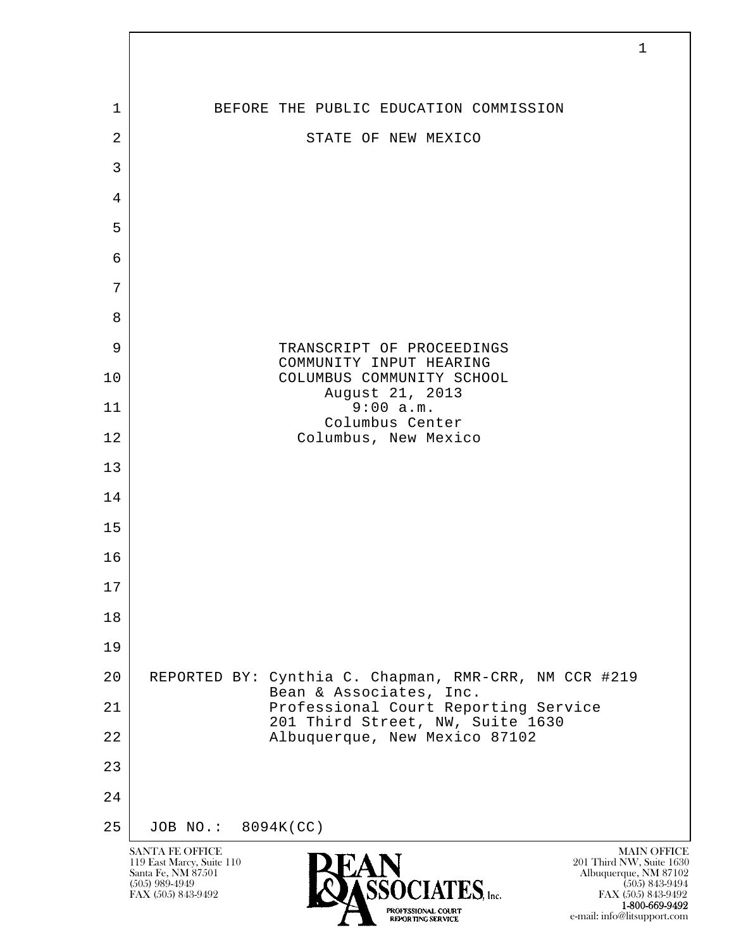|                | ⊥                                                                                                                                                                                                                                                                             |
|----------------|-------------------------------------------------------------------------------------------------------------------------------------------------------------------------------------------------------------------------------------------------------------------------------|
| 1              | BEFORE THE PUBLIC EDUCATION COMMISSION                                                                                                                                                                                                                                        |
| $\overline{2}$ | STATE OF NEW MEXICO                                                                                                                                                                                                                                                           |
| $\mathfrak{Z}$ |                                                                                                                                                                                                                                                                               |
| $\overline{4}$ |                                                                                                                                                                                                                                                                               |
| 5              |                                                                                                                                                                                                                                                                               |
| 6              |                                                                                                                                                                                                                                                                               |
| 7              |                                                                                                                                                                                                                                                                               |
| 8              |                                                                                                                                                                                                                                                                               |
| 9              | TRANSCRIPT OF PROCEEDINGS                                                                                                                                                                                                                                                     |
| 10             | COMMUNITY INPUT HEARING<br>COLUMBUS COMMUNITY SCHOOL                                                                                                                                                                                                                          |
| 11             | August 21, 2013<br>9:00 a.m.                                                                                                                                                                                                                                                  |
| 12             | Columbus Center<br>Columbus, New Mexico                                                                                                                                                                                                                                       |
| 13             |                                                                                                                                                                                                                                                                               |
| 14             |                                                                                                                                                                                                                                                                               |
| 15             |                                                                                                                                                                                                                                                                               |
| 16             |                                                                                                                                                                                                                                                                               |
| $17$           |                                                                                                                                                                                                                                                                               |
| 18             |                                                                                                                                                                                                                                                                               |
| 19             |                                                                                                                                                                                                                                                                               |
| 20             | REPORTED BY: Cynthia C. Chapman, RMR-CRR, NM CCR #219<br>Bean & Associates, Inc.                                                                                                                                                                                              |
| 21             | Professional Court Reporting Service<br>201 Third Street, NW, Suite 1630                                                                                                                                                                                                      |
| 22             | Albuquerque, New Mexico 87102                                                                                                                                                                                                                                                 |
| 23             |                                                                                                                                                                                                                                                                               |
| 24             |                                                                                                                                                                                                                                                                               |
| 25             | JOB NO.: 8094K (CC)                                                                                                                                                                                                                                                           |
|                | <b>SANTA FE OFFICE</b><br><b>MAIN OFFICE</b><br>201 Third NW, Suite 1630<br>119 East Marcy, Suite 110<br>Santa Fe, NM 87501<br>Albuquerque, NM 87102<br>$(505)$ 989-4949<br>$(505)$ 843-9494<br>$CIATES$ , Inc.<br>FAX (505) 843-9492<br>FAX (505) 843-9492<br>1-800-669-9492 |

 $\sqrt{ }$ 

e-mail: info@litsupport.com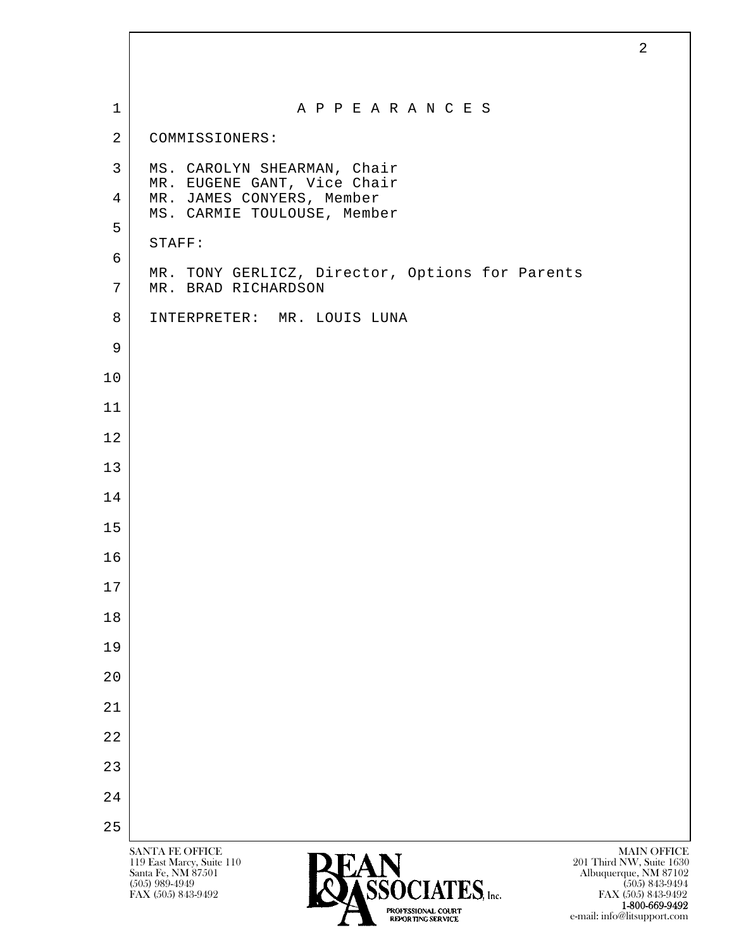| $\mathbf 1$    | A P P E A R A N C E S                                                  |
|----------------|------------------------------------------------------------------------|
| $\overline{a}$ | COMMISSIONERS:                                                         |
| 3              | MS. CAROLYN SHEARMAN, Chair                                            |
| $\overline{4}$ | MR. EUGENE GANT, Vice Chair<br>MR. JAMES CONYERS, Member               |
| 5              | MS. CARMIE TOULOUSE, Member<br>STAFF:                                  |
| 6              |                                                                        |
| 7              | MR. TONY GERLICZ, Director, Options for Parents<br>MR. BRAD RICHARDSON |
| 8              | INTERPRETER: MR. LOUIS LUNA                                            |
| 9              |                                                                        |
| 10             |                                                                        |
| 11             |                                                                        |
| 12             |                                                                        |
| 13             |                                                                        |
| 14             |                                                                        |
| 15             |                                                                        |
| 16             |                                                                        |
| $17\,$         |                                                                        |
| 18             |                                                                        |
| 19             |                                                                        |
| 20             |                                                                        |
| 21             |                                                                        |
| 22             |                                                                        |
| 23             |                                                                        |
| 24             |                                                                        |
| 25             |                                                                        |



 $\overline{2}$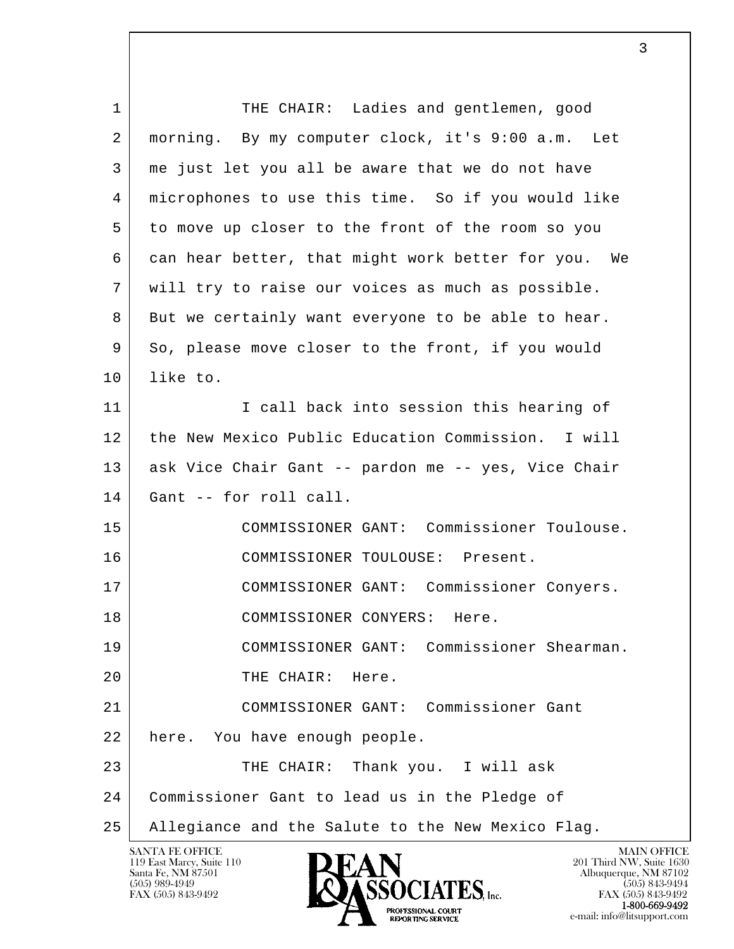| THE CHAIR: Ladies and gentlemen, good<br>$\mathbf{1}$     |  |
|-----------------------------------------------------------|--|
| 2<br>morning. By my computer clock, it's 9:00 a.m. Let    |  |
| 3<br>me just let you all be aware that we do not have     |  |
| microphones to use this time. So if you would like<br>4   |  |
| to move up closer to the front of the room so you<br>5    |  |
| can hear better, that might work better for you. We<br>6  |  |
| 7<br>will try to raise our voices as much as possible.    |  |
| But we certainly want everyone to be able to hear.<br>8   |  |
| 9<br>So, please move closer to the front, if you would    |  |
| 10<br>like to.                                            |  |
| 11<br>I call back into session this hearing of            |  |
| 12<br>the New Mexico Public Education Commission. I will  |  |
| 13<br>ask Vice Chair Gant -- pardon me -- yes, Vice Chair |  |
| Gant -- for roll call.<br>14                              |  |
| 15<br>COMMISSIONER GANT: Commissioner Toulouse.           |  |
| 16<br>COMMISSIONER TOULOUSE: Present.                     |  |
| COMMISSIONER GANT: Commissioner Conyers.<br>17            |  |
| 18<br>COMMISSIONER CONYERS: Here.                         |  |
| 19<br>COMMISSIONER GANT: Commissioner Shearman.           |  |
| 20<br>THE CHAIR:<br>Here.                                 |  |
| 21<br>COMMISSIONER GANT: Commissioner Gant                |  |
| 22<br>You have enough people.<br>here.                    |  |
| 23<br>THE CHAIR: Thank you. I will ask                    |  |
| Commissioner Gant to lead us in the Pledge of<br>24       |  |
| Allegiance and the Salute to the New Mexico Flag.<br>25   |  |

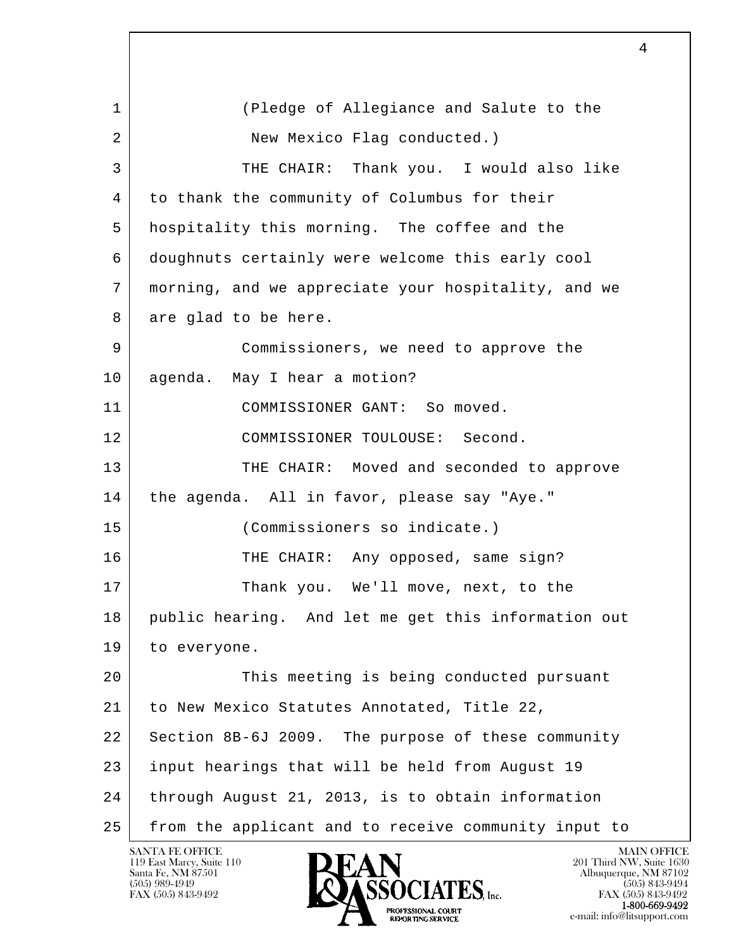l  $\overline{\phantom{a}}$  1 (Pledge of Allegiance and Salute to the 2 New Mexico Flag conducted.) 3 THE CHAIR: Thank you. I would also like 4 to thank the community of Columbus for their 5 hospitality this morning. The coffee and the 6 doughnuts certainly were welcome this early cool 7 morning, and we appreciate your hospitality, and we 8 are glad to be here. 9 Commissioners, we need to approve the 10 | agenda. May I hear a motion? 11 COMMISSIONER GANT: So moved. 12 COMMISSIONER TOULOUSE: Second. 13 THE CHAIR: Moved and seconded to approve 14 the agenda. All in favor, please say "Aye." 15 (Commissioners so indicate.) 16 THE CHAIR: Any opposed, same sign? 17 Thank you. We'll move, next, to the 18 public hearing. And let me get this information out 19 to everyone. 20 This meeting is being conducted pursuant 21 to New Mexico Statutes Annotated, Title 22, 22 Section 8B-6J 2009. The purpose of these community 23 input hearings that will be held from August 19 24 through August 21, 2013, is to obtain information 25 from the applicant and to receive community input to

119 East Marcy, Suite 110<br>Santa Fe, NM 87501

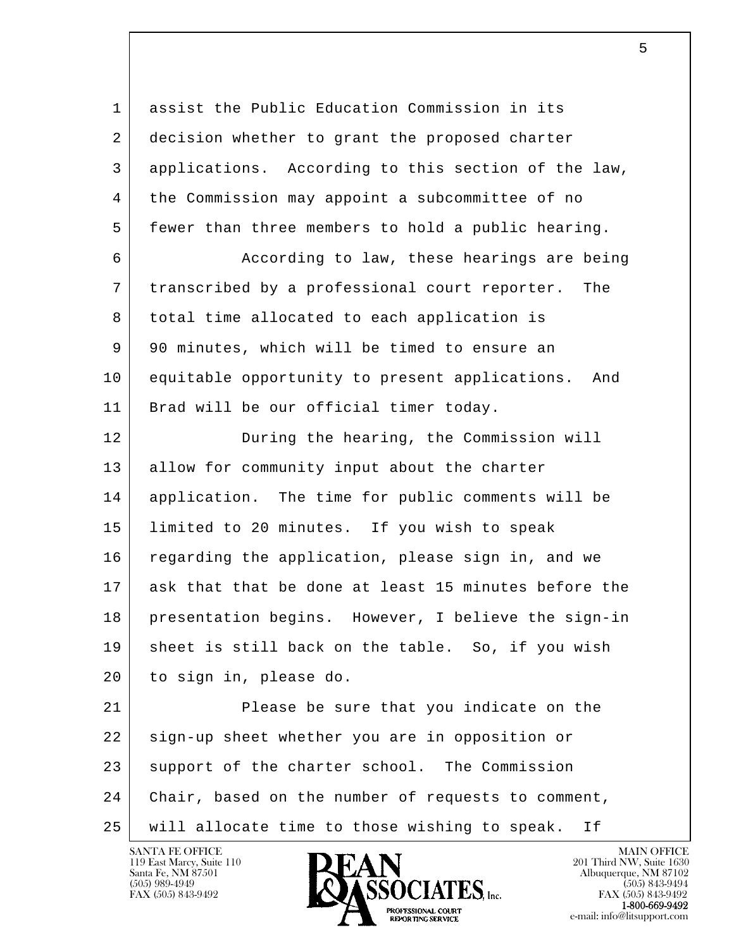l  $\overline{\phantom{a}}$  1 assist the Public Education Commission in its 2 decision whether to grant the proposed charter 3 applications. According to this section of the law, 4 the Commission may appoint a subcommittee of no 5 fewer than three members to hold a public hearing. 6 **According to law, these hearings are being**  7 transcribed by a professional court reporter. The 8 total time allocated to each application is 9 90 minutes, which will be timed to ensure an 10 equitable opportunity to present applications. And 11 | Brad will be our official timer today. 12 During the hearing, the Commission will 13 allow for community input about the charter 14 application. The time for public comments will be 15 limited to 20 minutes. If you wish to speak 16 regarding the application, please sign in, and we 17 ask that that be done at least 15 minutes before the 18 presentation begins. However, I believe the sign-in 19 sheet is still back on the table. So, if you wish 20 to sign in, please do. 21 Please be sure that you indicate on the 22 sign-up sheet whether you are in opposition or 23 support of the charter school. The Commission 24 Chair, based on the number of requests to comment, 25 will allocate time to those wishing to speak. If

119 East Marcy, Suite 110<br>Santa Fe, NM 87501

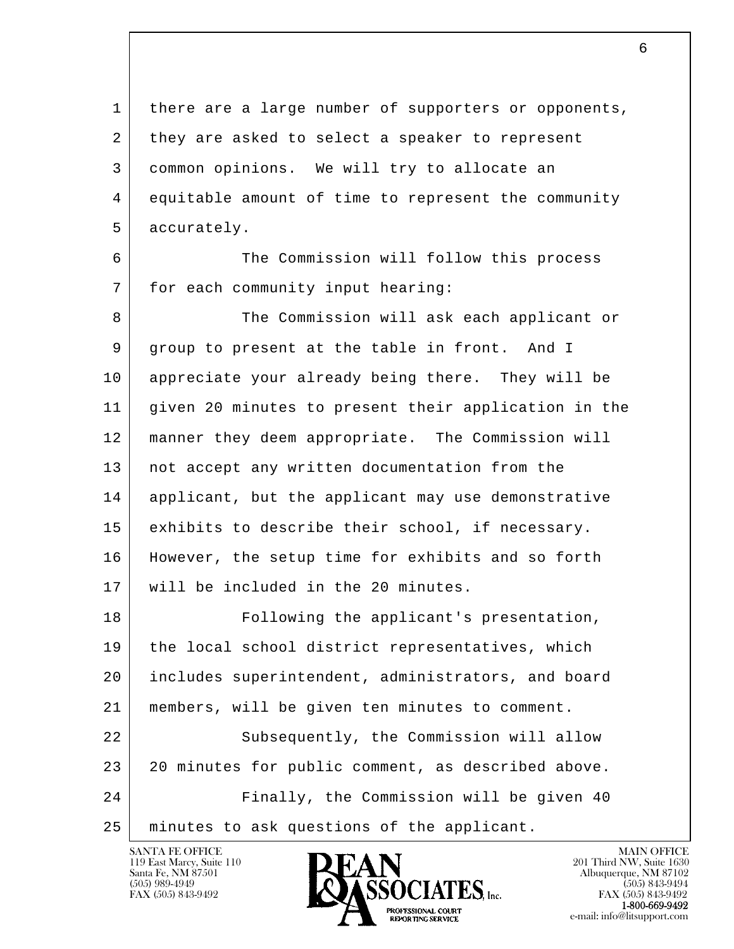1 there are a large number of supporters or opponents, 2 they are asked to select a speaker to represent 3 common opinions. We will try to allocate an 4 equitable amount of time to represent the community 5 accurately.

 6 The Commission will follow this process 7 | for each community input hearing:

8 The Commission will ask each applicant or 9 group to present at the table in front. And I 10 appreciate your already being there. They will be 11 given 20 minutes to present their application in the 12 manner they deem appropriate. The Commission will 13 | not accept any written documentation from the 14 applicant, but the applicant may use demonstrative 15 exhibits to describe their school, if necessary. 16 However, the setup time for exhibits and so forth 17 will be included in the 20 minutes.

l  $\overline{\phantom{a}}$ 18 Following the applicant's presentation, 19 | the local school district representatives, which 20 includes superintendent, administrators, and board 21 members, will be given ten minutes to comment. 22 Subsequently, the Commission will allow 23 20 minutes for public comment, as described above. 24 Finally, the Commission will be given 40 25 minutes to ask questions of the applicant.

119 East Marcy, Suite 110<br>Santa Fe, NM 87501



FAX (505) 843-9492<br>**1-800-669-9492**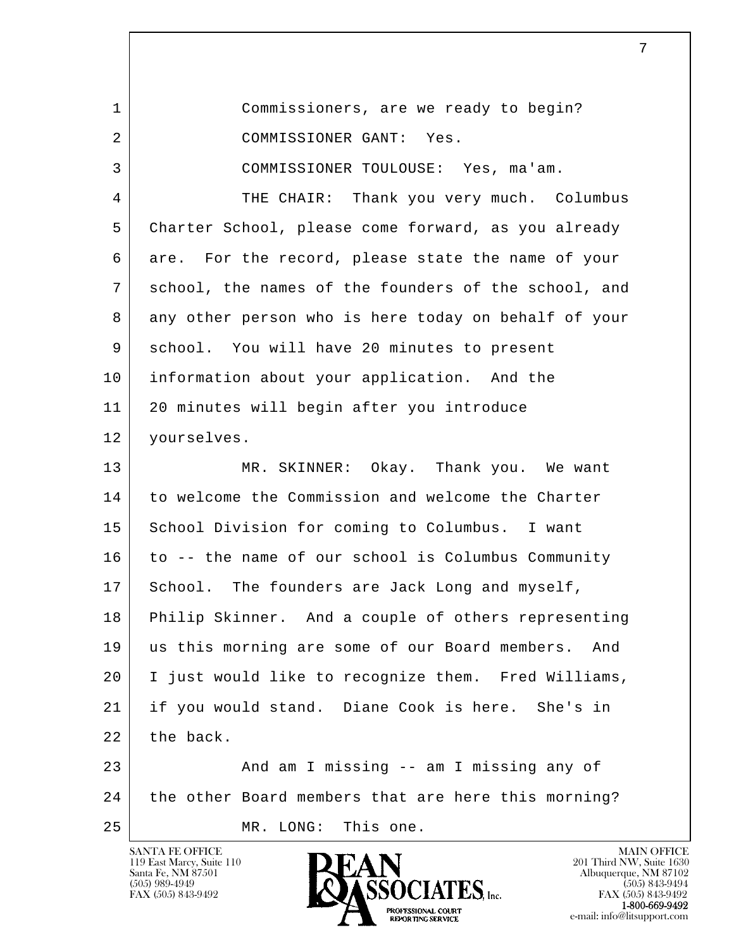| 1  | Commissioners, are we ready to begin?                 |
|----|-------------------------------------------------------|
| 2  | COMMISSIONER GANT: Yes.                               |
| 3  | COMMISSIONER TOULOUSE: Yes, ma'am.                    |
| 4  | THE CHAIR: Thank you very much. Columbus              |
| 5  | Charter School, please come forward, as you already   |
| 6  | are. For the record, please state the name of your    |
| 7  | school, the names of the founders of the school, and  |
| 8  | any other person who is here today on behalf of your  |
| 9  | school. You will have 20 minutes to present           |
| 10 | information about your application. And the           |
| 11 | 20 minutes will begin after you introduce             |
| 12 | yourselves.                                           |
| 13 | MR. SKINNER: Okay. Thank you. We want                 |
| 14 | to welcome the Commission and welcome the Charter     |
| 15 | School Division for coming to Columbus. I want        |
| 16 | to -- the name of our school is Columbus Community    |
| 17 | School. The founders are Jack Long and myself,        |
| 18 | Philip Skinner. And a couple of others representing   |
| 19 | us this morning are some of our Board members.<br>And |
| 20 | I just would like to recognize them. Fred Williams,   |
| 21 | if you would stand. Diane Cook is here. She's in      |
| 22 | the back.                                             |
| 23 | And am I missing -- am I missing any of               |
| 24 | the other Board members that are here this morning?   |
| 25 | MR. LONG:<br>This one.                                |

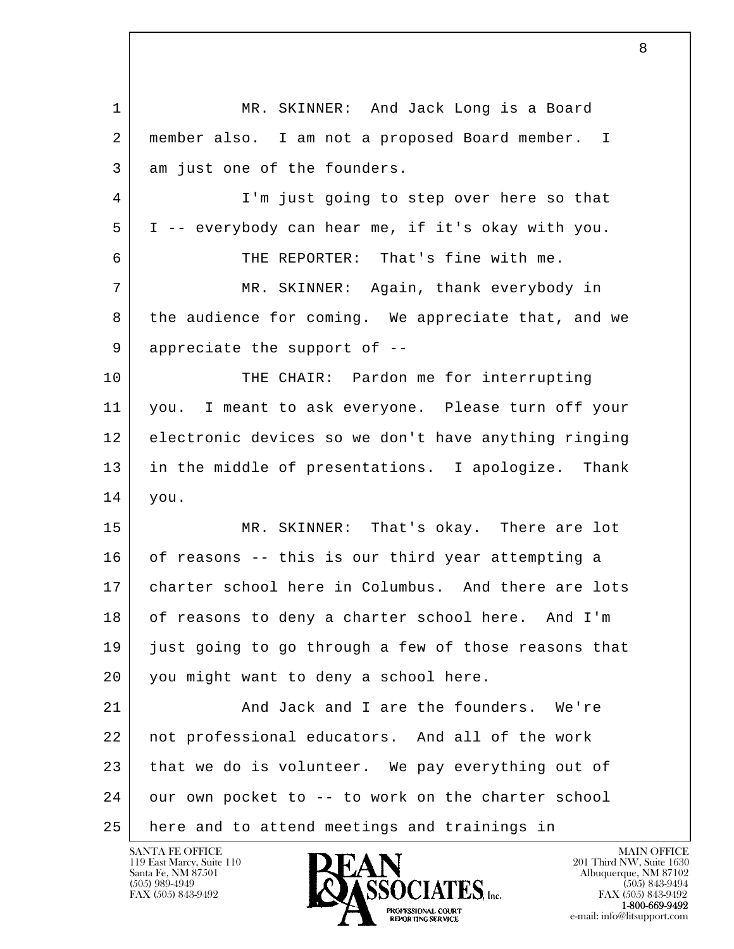l  $\overline{\phantom{a}}$  1 MR. SKINNER: And Jack Long is a Board 2 | member also. I am not a proposed Board member. I 3 am just one of the founders. 4 I'm just going to step over here so that 5 I -- everybody can hear me, if it's okay with you. 6 THE REPORTER: That's fine with me. 7 MR. SKINNER: Again, thank everybody in 8 the audience for coming. We appreciate that, and we 9 appreciate the support of --10 THE CHAIR: Pardon me for interrupting 11 you. I meant to ask everyone. Please turn off your 12 electronic devices so we don't have anything ringing 13 in the middle of presentations. I apologize. Thank 14 you. 15 MR. SKINNER: That's okay. There are lot 16 of reasons -- this is our third year attempting a 17 | charter school here in Columbus. And there are lots 18 of reasons to deny a charter school here. And I'm 19 just going to go through a few of those reasons that 20 you might want to deny a school here. 21 And Jack and I are the founders. We're 22 not professional educators. And all of the work 23 that we do is volunteer. We pay everything out of 24 our own pocket to -- to work on the charter school 25 here and to attend meetings and trainings in

119 East Marcy, Suite 110<br>Santa Fe, NM 87501

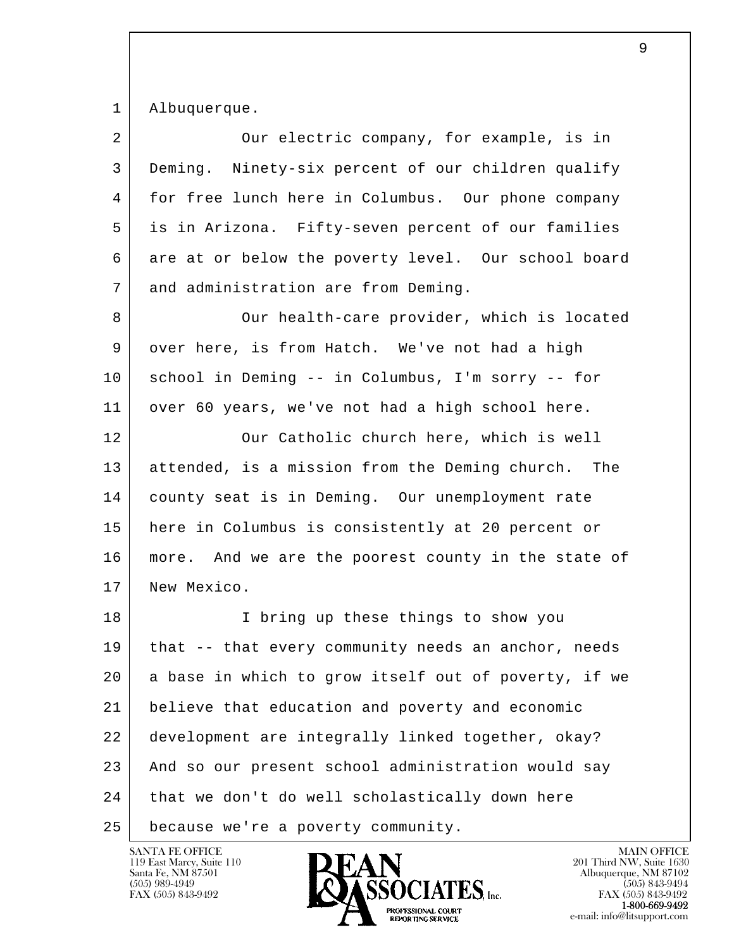1 Albuquerque.

| 2  | Our electric company, for example, is in             |
|----|------------------------------------------------------|
| 3  | Deming. Ninety-six percent of our children qualify   |
| 4  | for free lunch here in Columbus. Our phone company   |
| 5  | is in Arizona. Fifty-seven percent of our families   |
| 6  | are at or below the poverty level. Our school board  |
| 7  | and administration are from Deming.                  |
| 8  | Our health-care provider, which is located           |
| 9  | over here, is from Hatch. We've not had a high       |
| 10 | school in Deming -- in Columbus, I'm sorry -- for    |
| 11 | over 60 years, we've not had a high school here.     |
| 12 | Our Catholic church here, which is well              |
| 13 | attended, is a mission from the Deming church. The   |
| 14 | county seat is in Deming. Our unemployment rate      |
| 15 | here in Columbus is consistently at 20 percent or    |
| 16 | more. And we are the poorest county in the state of  |
| 17 | New Mexico.                                          |
| 18 | I bring up these things to show you                  |
| 19 | that -- that every community needs an anchor, needs  |
| 20 | a base in which to grow itself out of poverty, if we |
| 21 | believe that education and poverty and economic      |
| 22 | development are integrally linked together, okay?    |
| 23 | And so our present school administration would say   |
| 24 | that we don't do well scholastically down here       |
| 25 | because we're a poverty community.                   |

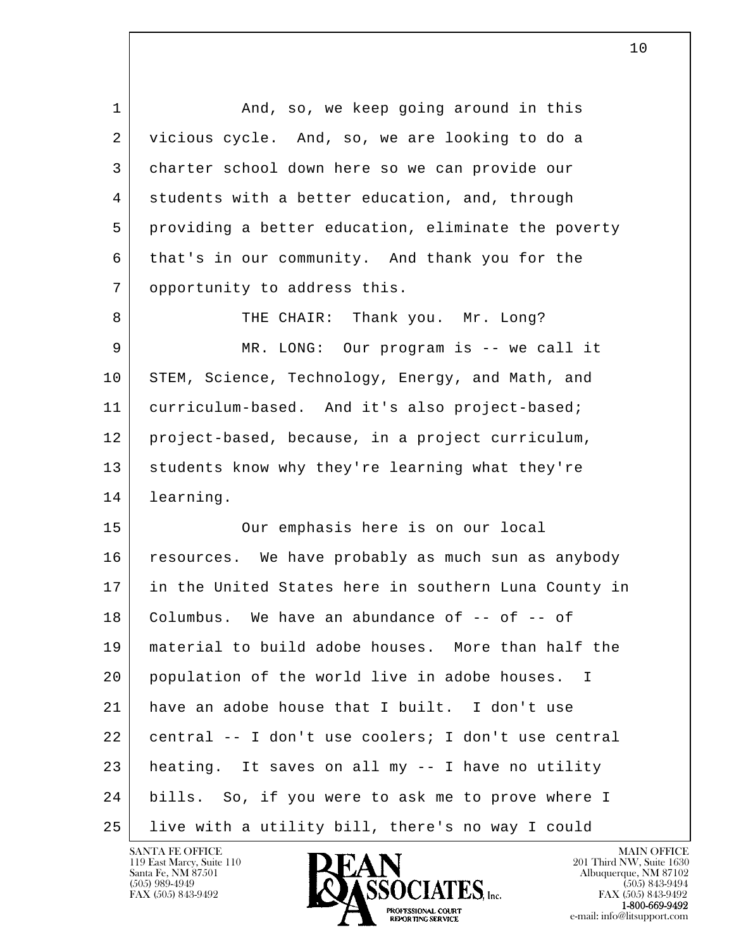l  $\overline{\phantom{a}}$ 1 | And, so, we keep going around in this 2 vicious cycle. And, so, we are looking to do a 3 charter school down here so we can provide our 4 students with a better education, and, through 5 providing a better education, eliminate the poverty 6 that's in our community. And thank you for the 7 | opportunity to address this. 8 THE CHAIR: Thank you. Mr. Long? 9 MR. LONG: Our program is -- we call it 10 STEM, Science, Technology, Energy, and Math, and 11 | curriculum-based. And it's also project-based; 12 project-based, because, in a project curriculum, 13 students know why they're learning what they're 14 learning. 15 Our emphasis here is on our local 16 resources. We have probably as much sun as anybody 17 in the United States here in southern Luna County in 18 Columbus. We have an abundance of -- of -- of 19 material to build adobe houses. More than half the 20 population of the world live in adobe houses. I 21 have an adobe house that I built. I don't use 22 central -- I don't use coolers; I don't use central 23 heating. It saves on all my -- I have no utility 24 bills. So, if you were to ask me to prove where I 25 live with a utility bill, there's no way I could

119 East Marcy, Suite 110<br>Santa Fe, NM 87501

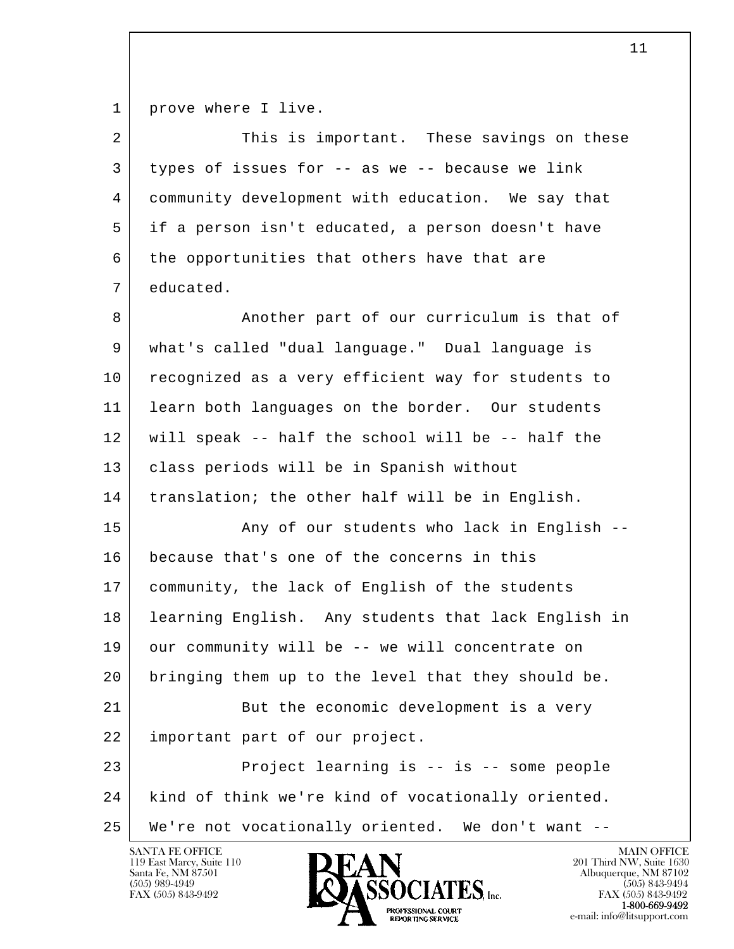1 prove where I live.

| $\overline{2}$ | This is important. These savings on these           |
|----------------|-----------------------------------------------------|
| 3              | types of issues for -- as we -- because we link     |
| 4              | community development with education. We say that   |
| 5              | if a person isn't educated, a person doesn't have   |
| 6              | the opportunities that others have that are         |
| 7              | educated.                                           |
| 8              | Another part of our curriculum is that of           |
| 9              | what's called "dual language." Dual language is     |
| 10             | recognized as a very efficient way for students to  |
| 11             | learn both languages on the border. Our students    |
| 12             | will speak -- half the school will be -- half the   |
| 13             | class periods will be in Spanish without            |
| 14             | translation; the other half will be in English.     |
| 15             | Any of our students who lack in English --          |
| 16             | because that's one of the concerns in this          |
| 17             | community, the lack of English of the students      |
| 18             | learning English. Any students that lack English in |
| 19             | our community will be -- we will concentrate on     |
| 20             | bringing them up to the level that they should be.  |
| 21             | But the economic development is a very              |
| 22             | important part of our project.                      |
| 23             | Project learning is -- is -- some people            |
| 24             | kind of think we're kind of vocationally oriented.  |
| 25             | We're not vocationally oriented. We don't want --   |

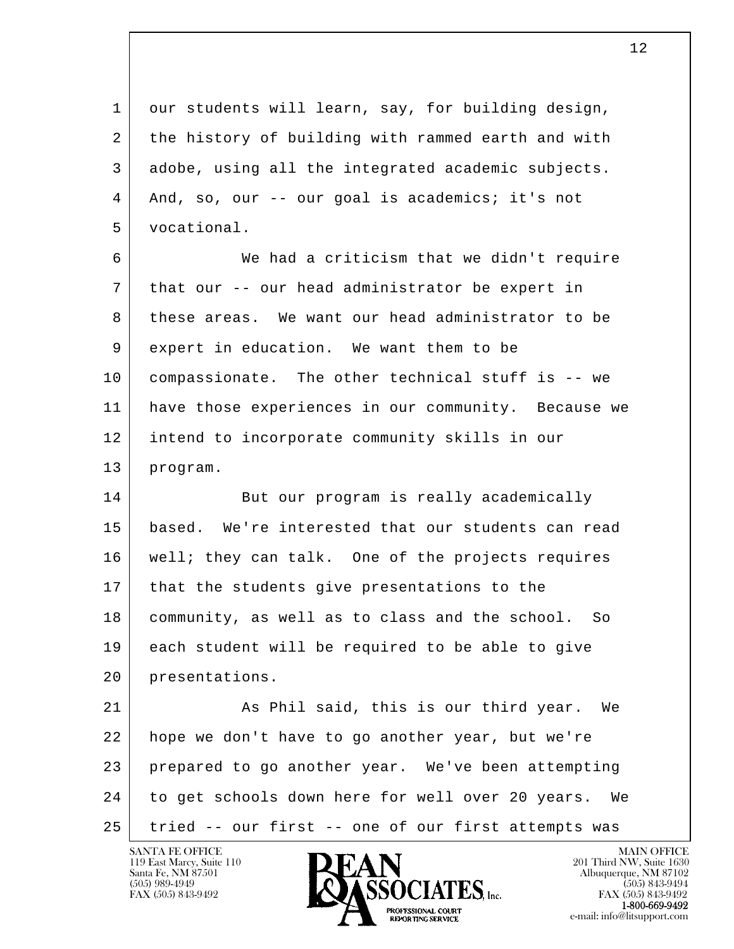1 our students will learn, say, for building design, 2 the history of building with rammed earth and with 3 adobe, using all the integrated academic subjects. 4 And, so, our -- our goal is academics; it's not 5 vocational.

 6 We had a criticism that we didn't require 7 that our -- our head administrator be expert in 8 these areas. We want our head administrator to be 9 expert in education. We want them to be 10 compassionate. The other technical stuff is -- we 11 have those experiences in our community. Because we 12 intend to incorporate community skills in our 13 program.

14 But our program is really academically 15 based. We're interested that our students can read 16 well; they can talk. One of the projects requires 17 that the students give presentations to the 18 community, as well as to class and the school. So 19 each student will be required to be able to give 20 presentations.

l  $\overline{\phantom{a}}$ 21 As Phil said, this is our third year. We 22 hope we don't have to go another year, but we're 23 prepared to go another year. We've been attempting 24 to get schools down here for well over 20 years. We 25 tried -- our first -- one of our first attempts was

119 East Marcy, Suite 110<br>Santa Fe, NM 87501



FAX (505) 843-9492<br>**1-800-669-9492**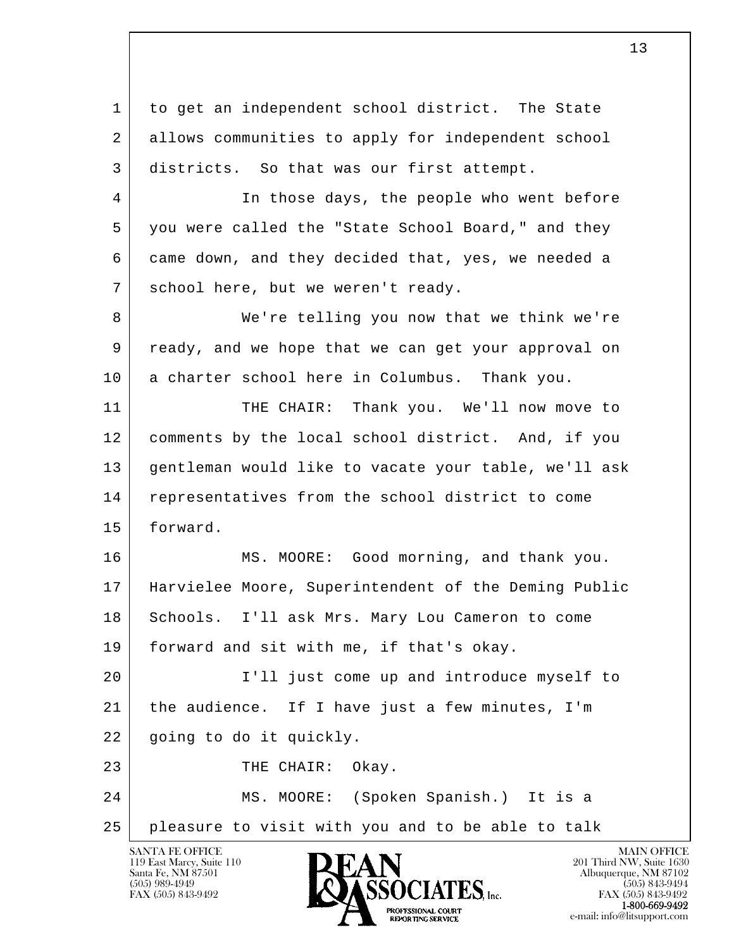l  $\overline{\phantom{a}}$ SANTA FE OFFICE MAIN OFFICE MAIN OFFICE MAIN OFFICE MAIN OFFICE 1 to get an independent school district. The State 2 allows communities to apply for independent school 3 districts. So that was our first attempt. 4 In those days, the people who went before 5 you were called the "State School Board," and they 6 came down, and they decided that, yes, we needed a 7 | school here, but we weren't ready. 8 We're telling you now that we think we're 9 ready, and we hope that we can get your approval on 10 a charter school here in Columbus. Thank you. 11 THE CHAIR: Thank you. We'll now move to 12 comments by the local school district. And, if you 13 gentleman would like to vacate your table, we'll ask 14 representatives from the school district to come 15 forward. 16 MS. MOORE: Good morning, and thank you. 17 Harvielee Moore, Superintendent of the Deming Public 18 Schools. I'll ask Mrs. Mary Lou Cameron to come 19 | forward and sit with me, if that's okay. 20 I'll just come up and introduce myself to 21 | the audience. If I have just a few minutes, I'm 22 | going to do it quickly. 23 THE CHAIR: Okay. 24 MS. MOORE: (Spoken Spanish.) It is a 25 pleasure to visit with you and to be able to talk

119 East Marcy, Suite 110<br>Santa Fe, NM 87501

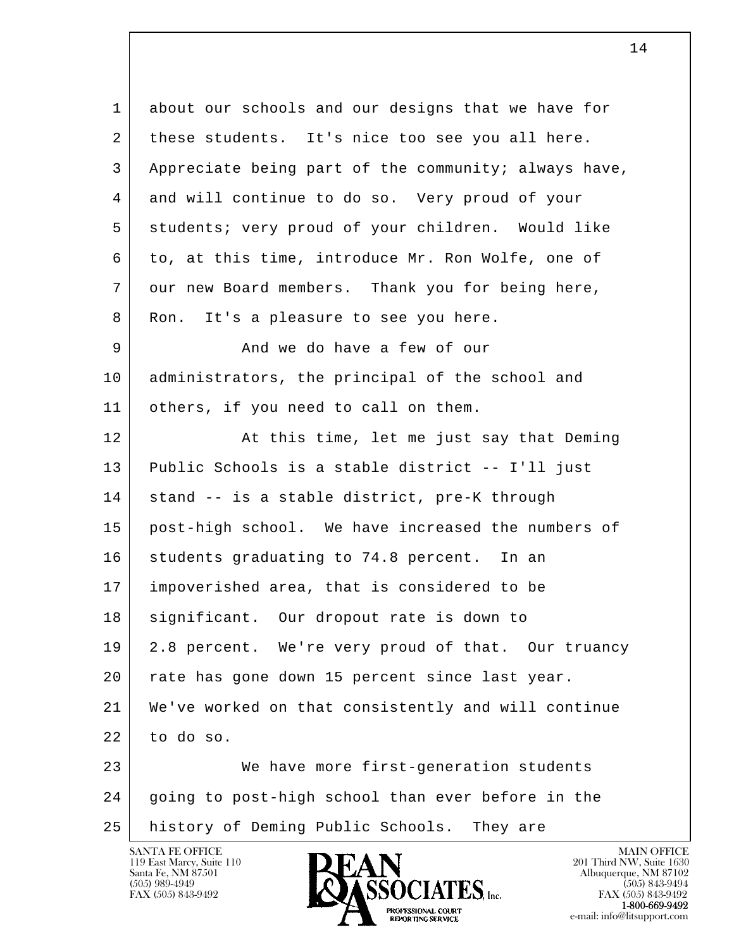l  $\overline{\phantom{a}}$  1 about our schools and our designs that we have for 2 | these students. It's nice too see you all here. 3 Appreciate being part of the community; always have, 4 and will continue to do so. Very proud of your 5 students; very proud of your children. Would like 6 to, at this time, introduce Mr. Ron Wolfe, one of 7 our new Board members. Thank you for being here, 8 Ron. It's a pleasure to see you here. 9 And we do have a few of our 10 administrators, the principal of the school and 11 others, if you need to call on them. 12 At this time, let me just say that Deming 13 Public Schools is a stable district -- I'll just 14 stand -- is a stable district, pre-K through 15 post-high school. We have increased the numbers of 16 students graduating to 74.8 percent. In an 17 impoverished area, that is considered to be 18 | significant. Our dropout rate is down to 19 2.8 percent. We're very proud of that. Our truancy 20 rate has gone down 15 percent since last year. 21 We've worked on that consistently and will continue  $22$  to do so. 23 We have more first-generation students 24 going to post-high school than ever before in the 25 history of Deming Public Schools. They are

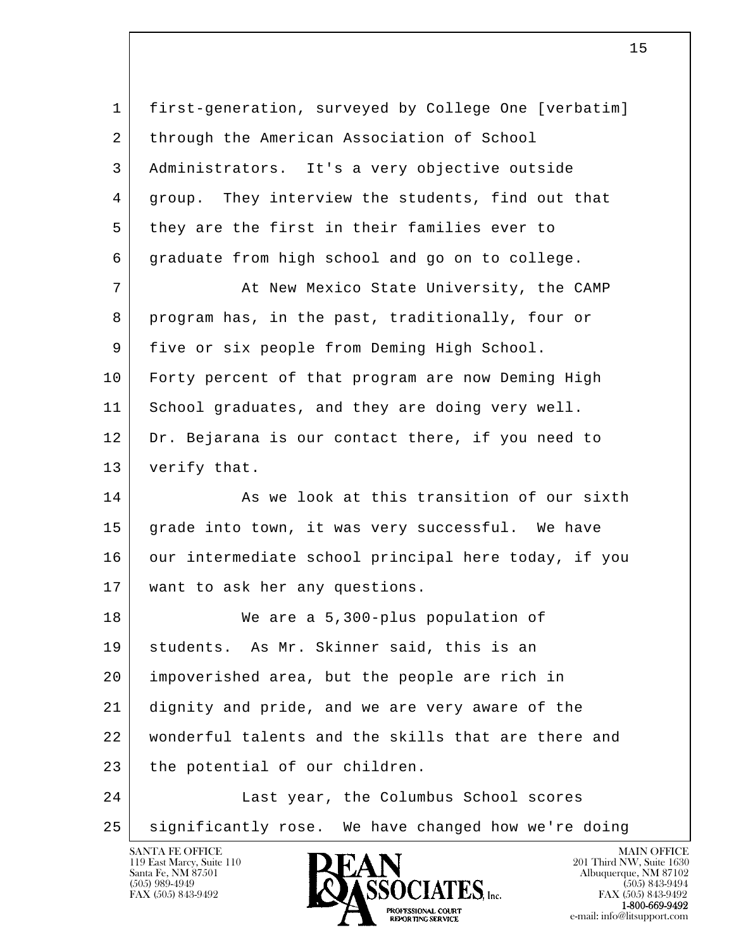l  $\overline{\phantom{a}}$ SANTA FE OFFICE MAIN OFFICE MAIN OFFICE MAIN OFFICE MAIN OFFICE 1 first-generation, surveyed by College One [verbatim] 2 through the American Association of School 3 Administrators. It's a very objective outside 4 group. They interview the students, find out that 5 they are the first in their families ever to 6 graduate from high school and go on to college. 7 | At New Mexico State University, the CAMP 8 program has, in the past, traditionally, four or 9 | five or six people from Deming High School. 10 Forty percent of that program are now Deming High 11 School graduates, and they are doing very well. 12 Dr. Bejarana is our contact there, if you need to 13 verify that. 14 | As we look at this transition of our sixth 15 grade into town, it was very successful. We have 16 our intermediate school principal here today, if you 17 want to ask her any questions. 18 We are a 5,300-plus population of 19 students. As Mr. Skinner said, this is an 20 impoverished area, but the people are rich in 21 dignity and pride, and we are very aware of the 22 wonderful talents and the skills that are there and 23 the potential of our children. 24 Last year, the Columbus School scores 25 | significantly rose. We have changed how we're doing



e-mail: info@litsupport.com<br>REPORTING SERVICE e-mail: info@litsupport.com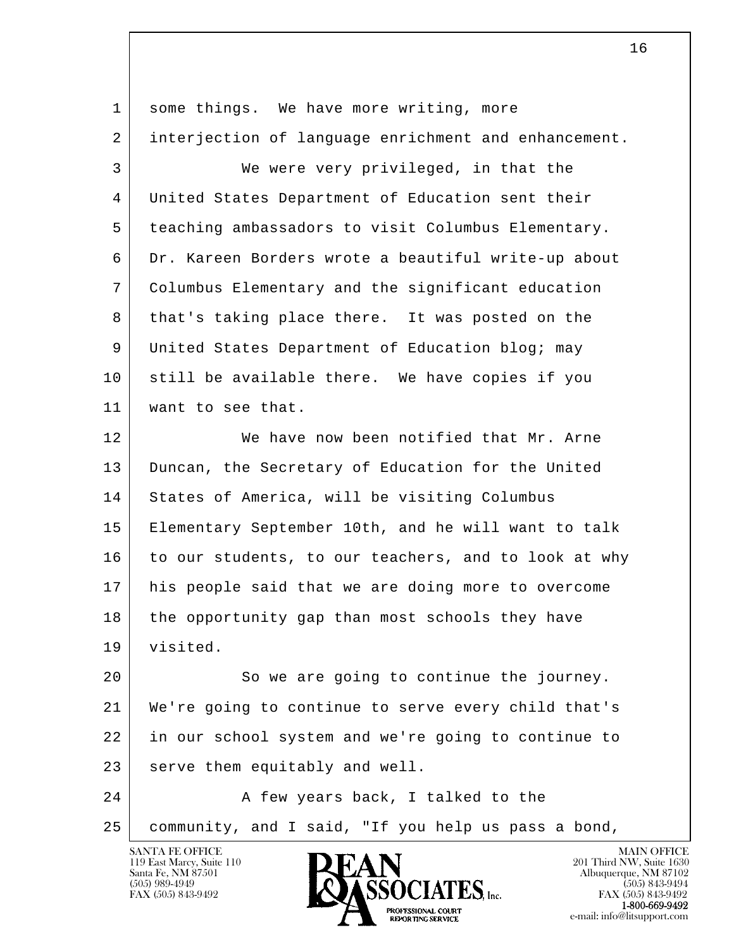| 1  | some things. We have more writing, more              |
|----|------------------------------------------------------|
| 2  | interjection of language enrichment and enhancement. |
| 3  | We were very privileged, in that the                 |
| 4  | United States Department of Education sent their     |
| 5  | teaching ambassadors to visit Columbus Elementary.   |
| 6  | Dr. Kareen Borders wrote a beautiful write-up about  |
| 7  | Columbus Elementary and the significant education    |
| 8  | that's taking place there. It was posted on the      |
| 9  | United States Department of Education blog; may      |
| 10 | still be available there. We have copies if you      |
| 11 | want to see that.                                    |
| 12 | We have now been notified that Mr. Arne              |
| 13 | Duncan, the Secretary of Education for the United    |
| 14 | States of America, will be visiting Columbus         |
| 15 | Elementary September 10th, and he will want to talk  |
| 16 | to our students, to our teachers, and to look at why |
| 17 | his people said that we are doing more to overcome   |
| 18 | the opportunity gap than most schools they have      |
| 19 | visited.                                             |
| 20 | So we are going to continue the journey.             |
| 21 | We're going to continue to serve every child that's  |
| 22 | in our school system and we're going to continue to  |
| 23 | serve them equitably and well.                       |
| 24 | A few years back, I talked to the                    |
| 25 | community, and I said, "If you help us pass a bond,  |
|    | SANTA FE OFFICE<br><b>MAIN OFFICE</b>                |

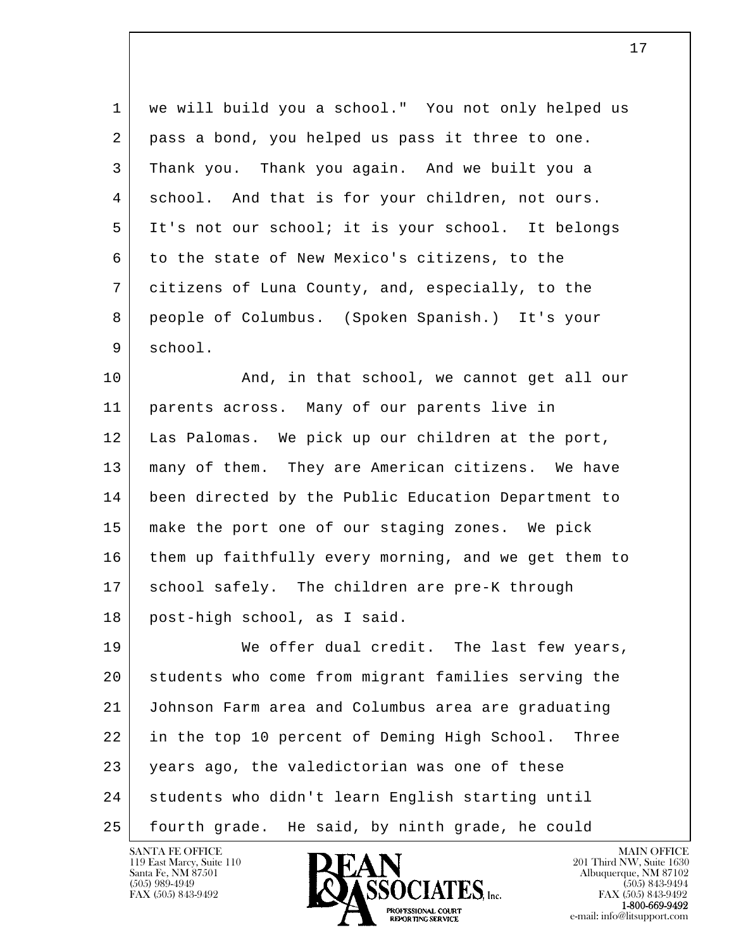l  $\overline{\phantom{a}}$  1 we will build you a school." You not only helped us 2 | pass a bond, you helped us pass it three to one. 3 Thank you. Thank you again. And we built you a 4 school. And that is for your children, not ours. 5 It's not our school; it is your school. It belongs 6 to the state of New Mexico's citizens, to the 7 citizens of Luna County, and, especially, to the 8 people of Columbus. (Spoken Spanish.) It's your 9 school. 10 | And, in that school, we cannot get all our 11 parents across. Many of our parents live in 12 Las Palomas. We pick up our children at the port, 13 many of them. They are American citizens. We have 14 been directed by the Public Education Department to 15 make the port one of our staging zones. We pick 16 them up faithfully every morning, and we get them to 17 school safely. The children are pre-K through 18 post-high school, as I said. 19 We offer dual credit. The last few years, 20 students who come from migrant families serving the 21 Johnson Farm area and Columbus area are graduating 22 in the top 10 percent of Deming High School. Three 23 years ago, the valedictorian was one of these 24 students who didn't learn English starting until 25 fourth grade. He said, by ninth grade, he could

119 East Marcy, Suite 110<br>Santa Fe, NM 87501

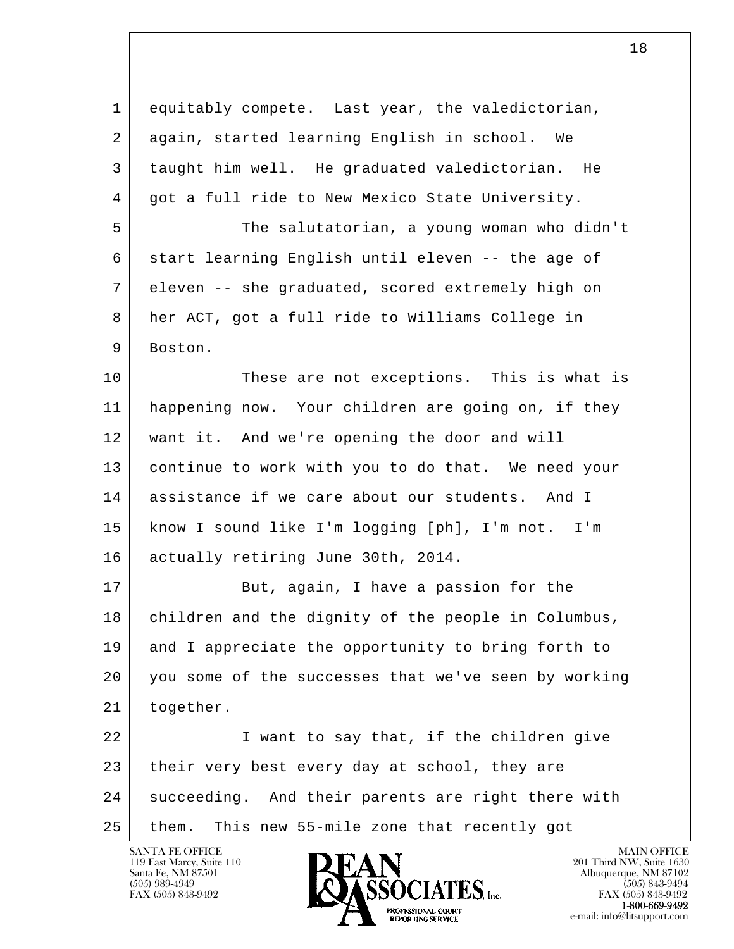| $\mathbf 1$ | equitably compete. Last year, the valedictorian,     |
|-------------|------------------------------------------------------|
| 2           | again, started learning English in school. We        |
| 3           | taught him well. He graduated valedictorian. He      |
| 4           | got a full ride to New Mexico State University.      |
| 5           | The salutatorian, a young woman who didn't           |
| 6           | start learning English until eleven -- the age of    |
| 7           | eleven -- she graduated, scored extremely high on    |
| 8           | her ACT, got a full ride to Williams College in      |
| 9           | Boston.                                              |
| 10          | These are not exceptions. This is what is            |
| 11          | happening now. Your children are going on, if they   |
| 12          | want it. And we're opening the door and will         |
| 13          | continue to work with you to do that. We need your   |
| 14          | assistance if we care about our students. And I      |
| 15          | know I sound like I'm logging [ph], I'm not. I'm     |
| 16          | actually retiring June 30th, 2014.                   |
| 17          | But, again, I have a passion for the                 |
| 18          | children and the dignity of the people in Columbus,  |
| 19          | and I appreciate the opportunity to bring forth to   |
| 20          | you some of the successes that we've seen by working |
| 21          | together.                                            |
| 22          | I want to say that, if the children give             |
| 23          | their very best every day at school, they are        |
| 24          | succeeding. And their parents are right there with   |
| 25          | This new 55-mile zone that recently got<br>them.     |

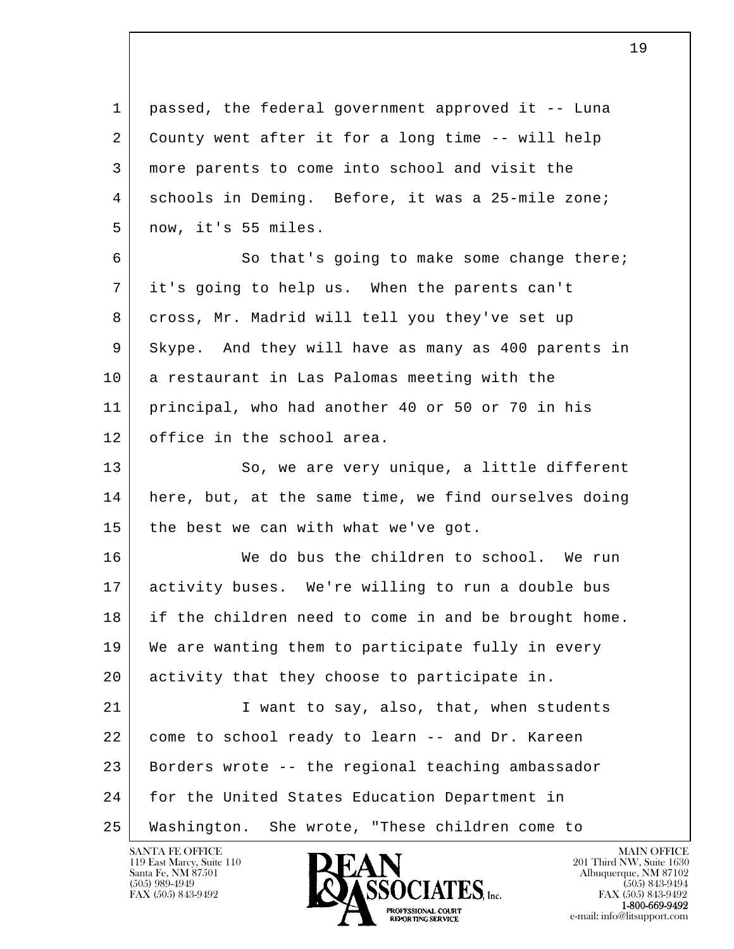l  $\overline{\phantom{a}}$  1 passed, the federal government approved it -- Luna 2 County went after it for a long time -- will help 3 more parents to come into school and visit the 4 schools in Deming. Before, it was a 25-mile zone; 5 now, it's 55 miles.  $6$  So that's going to make some change there; 7 it's going to help us. When the parents can't 8 cross, Mr. Madrid will tell you they've set up 9 Skype. And they will have as many as 400 parents in 10 a restaurant in Las Palomas meeting with the 11 principal, who had another 40 or 50 or 70 in his 12 office in the school area. 13 So, we are very unique, a little different 14 here, but, at the same time, we find ourselves doing  $15$  the best we can with what we've got. 16 We do bus the children to school. We run 17 activity buses. We're willing to run a double bus 18 if the children need to come in and be brought home. 19 We are wanting them to participate fully in every 20 activity that they choose to participate in. 21 I want to say, also, that, when students 22 come to school ready to learn -- and Dr. Kareen 23 Borders wrote -- the regional teaching ambassador 24 for the United States Education Department in 25 Washington. She wrote, "These children come to

 $\overline{19}$ 

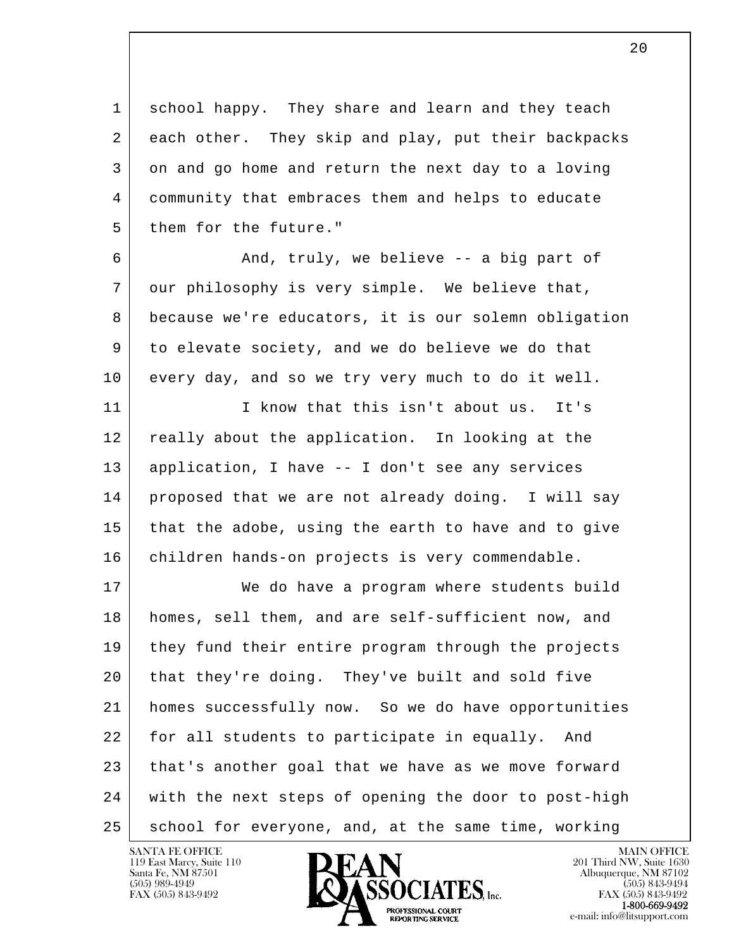1 school happy. They share and learn and they teach 2 each other. They skip and play, put their backpacks 3 on and go home and return the next day to a loving 4 community that embraces them and helps to educate 5 them for the future."

6 And, truly, we believe -- a big part of 7 our philosophy is very simple. We believe that, 8 because we're educators, it is our solemn obligation 9 to elevate society, and we do believe we do that 10 every day, and so we try very much to do it well.

11 | I know that this isn't about us. It's 12 really about the application. In looking at the 13 application, I have -- I don't see any services 14 proposed that we are not already doing. I will say 15 that the adobe, using the earth to have and to give 16 | children hands-on projects is very commendable.

l  $\overline{\phantom{a}}$ 17 We do have a program where students build 18 homes, sell them, and are self-sufficient now, and 19 they fund their entire program through the projects 20 that they're doing. They've built and sold five 21 homes successfully now. So we do have opportunities 22 for all students to participate in equally. And 23 that's another goal that we have as we move forward 24 with the next steps of opening the door to post-high 25 | school for everyone, and, at the same time, working

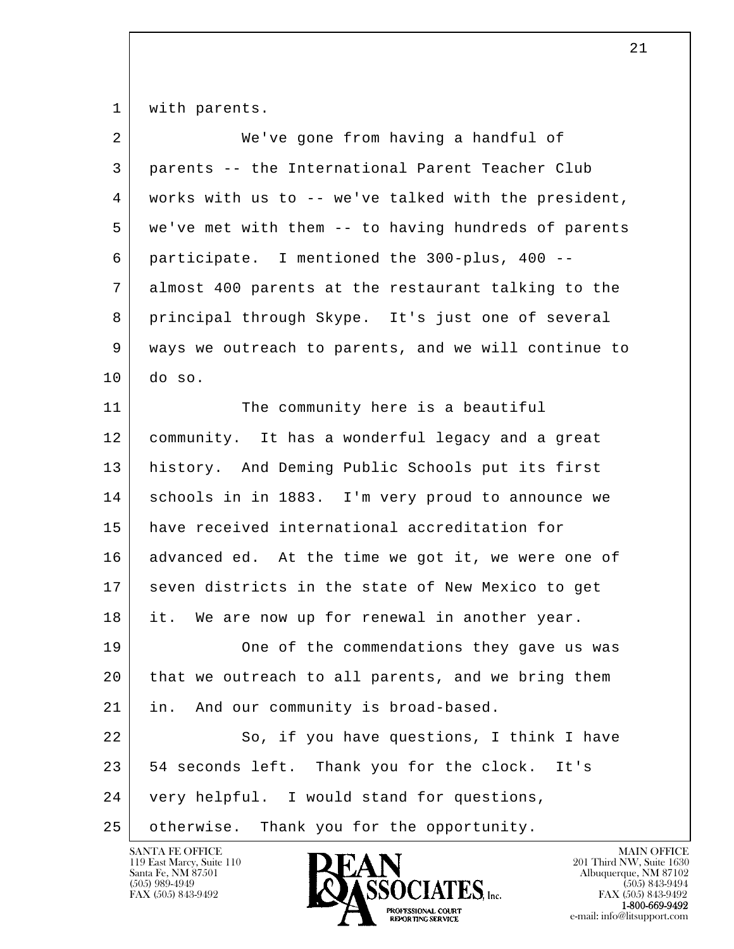1 | with parents.

| $\overline{2}$ | We've gone from having a handful of                  |
|----------------|------------------------------------------------------|
| 3              | parents -- the International Parent Teacher Club     |
| 4              | works with us to -- we've talked with the president, |
| 5              | we've met with them -- to having hundreds of parents |
| 6              | participate. I mentioned the 300-plus, 400 --        |
| 7              | almost 400 parents at the restaurant talking to the  |
| 8              | principal through Skype. It's just one of several    |
| 9              | ways we outreach to parents, and we will continue to |
| 10             | do so.                                               |
| 11             | The community here is a beautiful                    |
| 12             | community. It has a wonderful legacy and a great     |
| 13             | history. And Deming Public Schools put its first     |
| 14             | schools in in 1883. I'm very proud to announce we    |
| 15             | have received international accreditation for        |
| 16             | advanced ed. At the time we got it, we were one of   |
| 17             | seven districts in the state of New Mexico to get    |
| 18             | it. We are now up for renewal in another year.       |
| 19             | One of the commendations they gave us was            |
| 20             | that we outreach to all parents, and we bring them   |
| 21             | And our community is broad-based.<br>in.             |
| 22             | So, if you have questions, I think I have            |
| 23             | 54 seconds left. Thank you for the clock. It's       |
| 24             | very helpful. I would stand for questions,           |
| 25             | otherwise. Thank you for the opportunity.            |

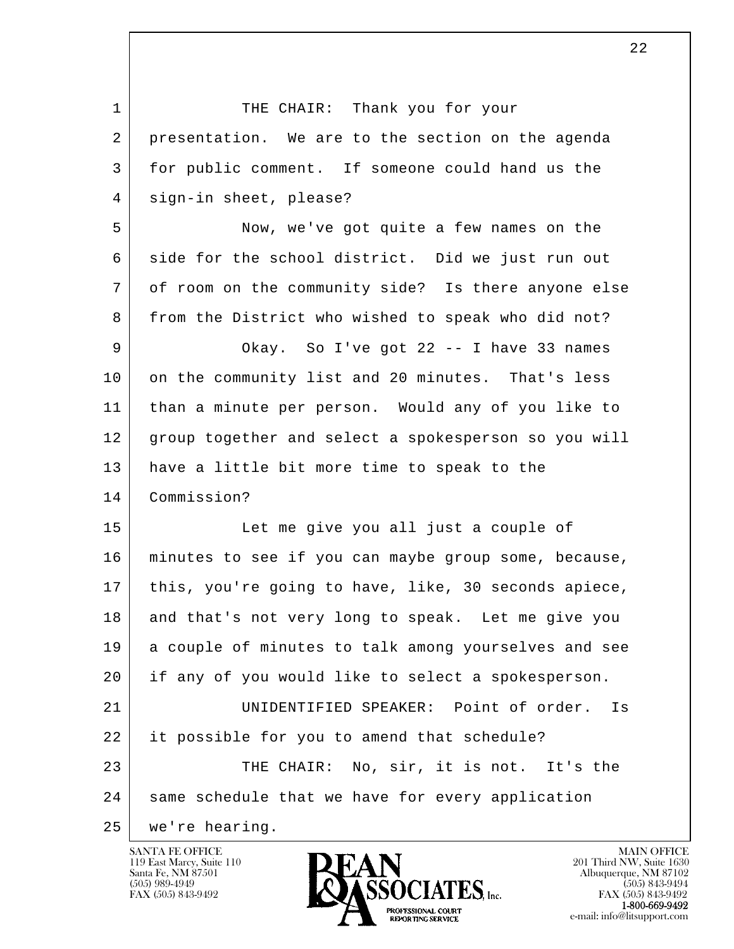l  $\overline{\phantom{a}}$ 1 THE CHAIR: Thank you for your 2 presentation. We are to the section on the agenda 3 for public comment. If someone could hand us the 4 | sign-in sheet, please? 5 Now, we've got quite a few names on the 6 side for the school district. Did we just run out 7 of room on the community side? Is there anyone else 8 from the District who wished to speak who did not? 9 Okay. So I've got 22 -- I have 33 names 10 on the community list and 20 minutes. That's less 11 than a minute per person. Would any of you like to 12 group together and select a spokesperson so you will 13 have a little bit more time to speak to the 14 Commission? 15 Let me give you all just a couple of 16 minutes to see if you can maybe group some, because, 17 | this, you're going to have, like, 30 seconds apiece, 18 and that's not very long to speak. Let me give you 19 a couple of minutes to talk among yourselves and see 20 if any of you would like to select a spokesperson. 21 UNIDENTIFIED SPEAKER: Point of order. Is 22 it possible for you to amend that schedule? 23 THE CHAIR: No, sir, it is not. It's the 24 | same schedule that we have for every application 25 we're hearing.

119 East Marcy, Suite 110<br>Santa Fe, NM 87501

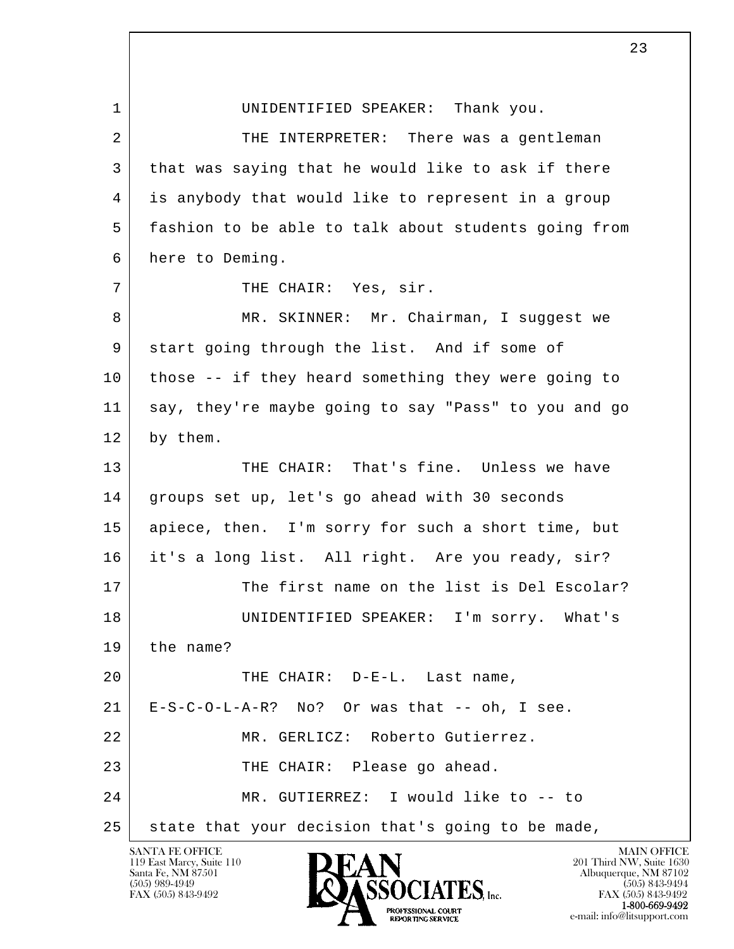l  $\overline{\phantom{a}}$  1 UNIDENTIFIED SPEAKER: Thank you. 2 THE INTERPRETER: There was a gentleman 3 that was saying that he would like to ask if there 4 is anybody that would like to represent in a group 5 fashion to be able to talk about students going from 6 here to Deming. 7 | THE CHAIR: Yes, sir. 8 MR. SKINNER: Mr. Chairman, I suggest we 9 start going through the list. And if some of 10 those -- if they heard something they were going to 11 say, they're maybe going to say "Pass" to you and go 12 by them. 13 THE CHAIR: That's fine. Unless we have 14 groups set up, let's go ahead with 30 seconds 15 apiece, then. I'm sorry for such a short time, but 16 it's a long list. All right. Are you ready, sir? 17 The first name on the list is Del Escolar? 18 UNIDENTIFIED SPEAKER: I'm sorry. What's 19 the name? 20 | THE CHAIR: D-E-L. Last name,  $21$  E-S-C-O-L-A-R? No? Or was that -- oh, I see. 22 MR. GERLICZ: Roberto Gutierrez. 23 THE CHAIR: Please go ahead. 24 MR. GUTIERREZ: I would like to -- to 25 state that your decision that's going to be made,

119 East Marcy, Suite 110<br>Santa Fe, NM 87501



FAX (505) 843-9492 FAX (505) 843-9492 1-800-669-9492 e-mail: info@litsupport.com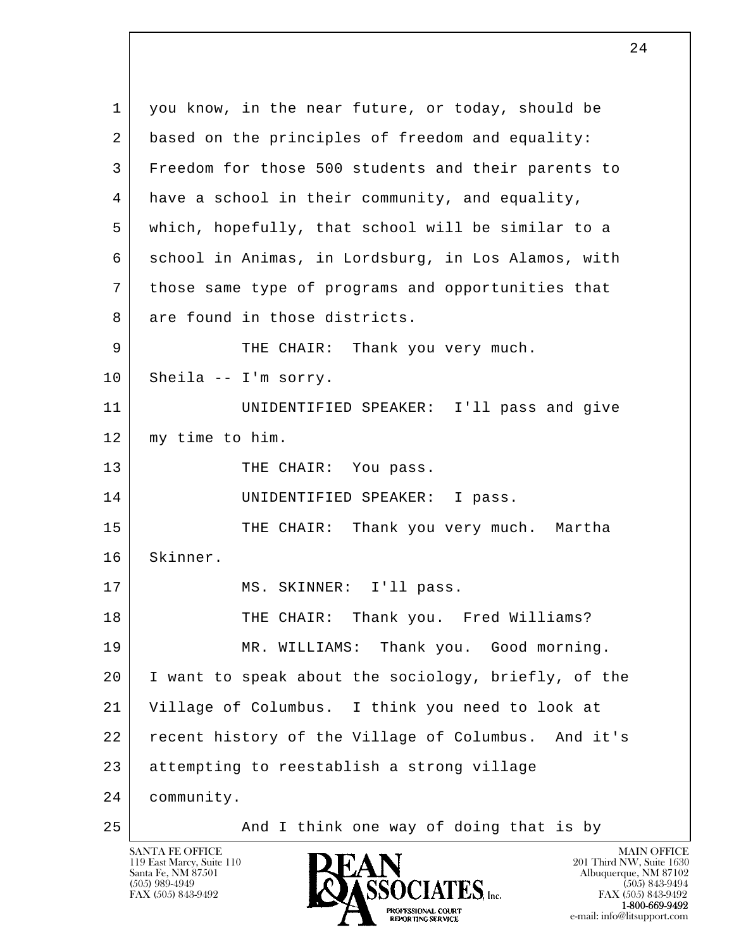l  $\overline{\phantom{a}}$  1 you know, in the near future, or today, should be 2 based on the principles of freedom and equality: 3 Freedom for those 500 students and their parents to 4 have a school in their community, and equality, 5 which, hopefully, that school will be similar to a 6 school in Animas, in Lordsburg, in Los Alamos, with 7 those same type of programs and opportunities that 8 are found in those districts. 9 THE CHAIR: Thank you very much. 10 Sheila -- I'm sorry. 11 UNIDENTIFIED SPEAKER: I'll pass and give 12 | my time to him. 13 THE CHAIR: You pass. 14 UNIDENTIFIED SPEAKER: I pass. 15 THE CHAIR: Thank you very much. Martha 16 Skinner. 17 MS. SKINNER: I'll pass. 18 THE CHAIR: Thank you. Fred Williams? 19 MR. WILLIAMS: Thank you. Good morning. 20 I want to speak about the sociology, briefly, of the 21 Village of Columbus. I think you need to look at 22 recent history of the Village of Columbus. And it's 23 attempting to reestablish a strong village 24 community. 25 | And I think one way of doing that is by

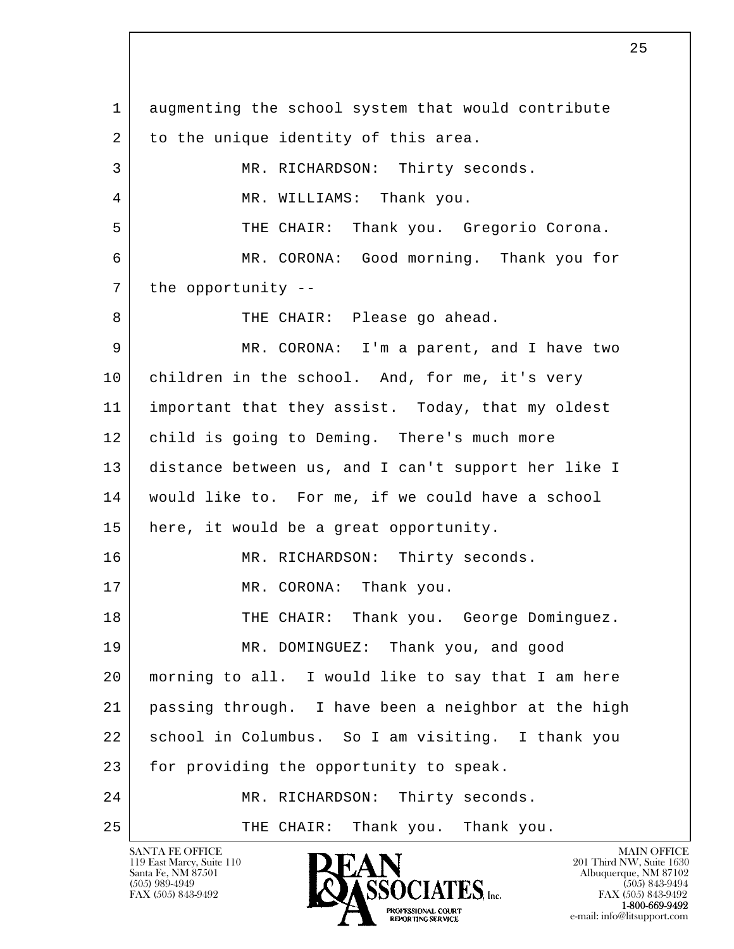l  $\overline{\phantom{a}}$  1 augmenting the school system that would contribute 2 to the unique identity of this area. 3 MR. RICHARDSON: Thirty seconds. 4 | MR. WILLIAMS: Thank you. 5 THE CHAIR: Thank you. Gregorio Corona. 6 MR. CORONA: Good morning. Thank you for 7 the opportunity --8 | THE CHAIR: Please go ahead. 9 MR. CORONA: I'm a parent, and I have two 10 children in the school. And, for me, it's very 11 important that they assist. Today, that my oldest 12 child is going to Deming. There's much more 13 distance between us, and I can't support her like I 14 would like to. For me, if we could have a school 15 here, it would be a great opportunity. 16 MR. RICHARDSON: Thirty seconds. 17 MR. CORONA: Thank you. 18 THE CHAIR: Thank you. George Dominguez. 19 MR. DOMINGUEZ: Thank you, and good 20 morning to all. I would like to say that I am here 21 passing through. I have been a neighbor at the high 22 school in Columbus. So I am visiting. I thank you 23 for providing the opportunity to speak. 24 MR. RICHARDSON: Thirty seconds. 25 | THE CHAIR: Thank you. Thank you.

119 East Marcy, Suite 110<br>Santa Fe, NM 87501

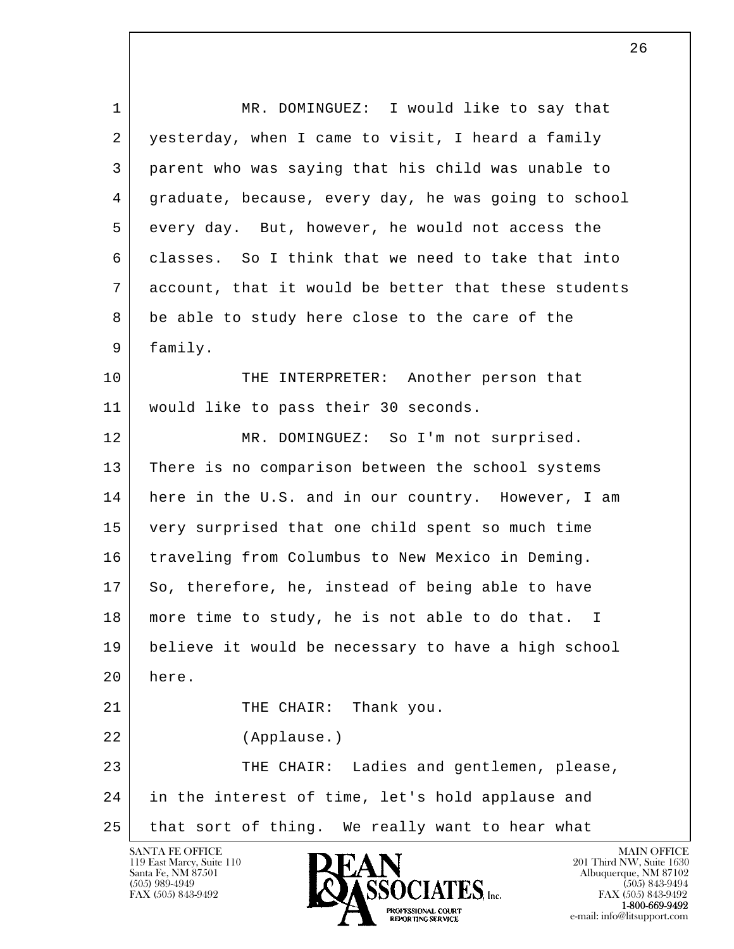l  $\overline{\phantom{a}}$ 1 MR. DOMINGUEZ: I would like to say that 2 yesterday, when I came to visit, I heard a family 3 parent who was saying that his child was unable to 4 graduate, because, every day, he was going to school 5 every day. But, however, he would not access the 6 classes. So I think that we need to take that into 7 account, that it would be better that these students 8 be able to study here close to the care of the 9 family. 10 THE INTERPRETER: Another person that 11 would like to pass their 30 seconds. 12 MR. DOMINGUEZ: So I'm not surprised. 13 There is no comparison between the school systems 14 here in the U.S. and in our country. However, I am 15 very surprised that one child spent so much time 16 | traveling from Columbus to New Mexico in Deming. 17 So, therefore, he, instead of being able to have 18 | more time to study, he is not able to do that. I 19 believe it would be necessary to have a high school 20 here. 21 THE CHAIR: Thank you. 22 (Applause.) 23 THE CHAIR: Ladies and gentlemen, please, 24 in the interest of time, let's hold applause and 25 that sort of thing. We really want to hear what

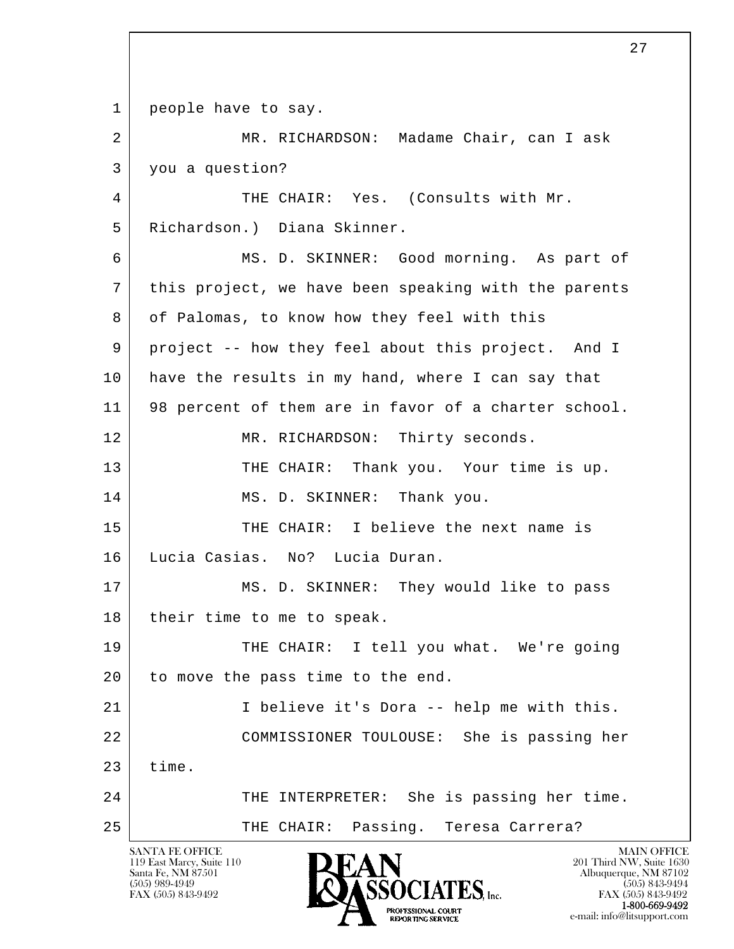l  $\overline{\phantom{a}}$ SANTA FE OFFICE MAIN OFFICE MAIN OFFICE MAIN OFFICE MAIN OFFICE 1 people have to say. 2 | MR. RICHARDSON: Madame Chair, can I ask 3 you a question? 4 THE CHAIR: Yes. (Consults with Mr. 5 Richardson.) Diana Skinner. 6 MS. D. SKINNER: Good morning. As part of 7 this project, we have been speaking with the parents 8 of Palomas, to know how they feel with this 9 project -- how they feel about this project. And I 10 | have the results in my hand, where I can say that 11 | 98 percent of them are in favor of a charter school. 12 MR. RICHARDSON: Thirty seconds. 13 THE CHAIR: Thank you. Your time is up. 14 MS. D. SKINNER: Thank you. 15 THE CHAIR: I believe the next name is 16 Lucia Casias. No? Lucia Duran. 17 MS. D. SKINNER: They would like to pass 18 | their time to me to speak. 19 THE CHAIR: I tell you what. We're going 20 to move the pass time to the end. 21 | I believe it's Dora -- help me with this. 22 COMMISSIONER TOULOUSE: She is passing her  $23$  time. 24 THE INTERPRETER: She is passing her time. 25 THE CHAIR: Passing. Teresa Carrera?

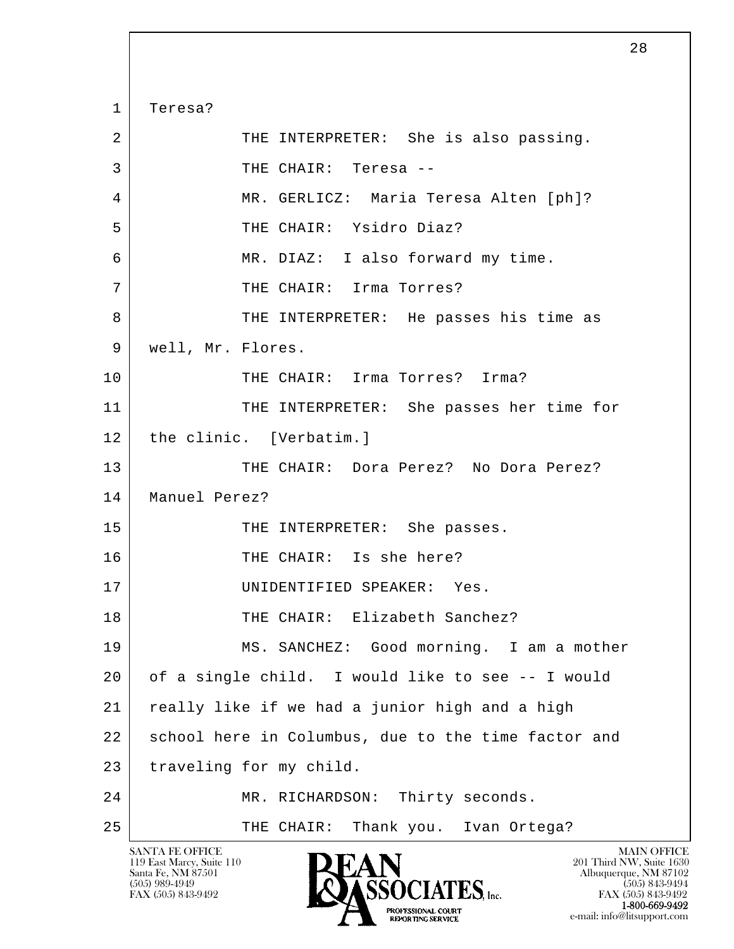l  $\overline{\phantom{a}}$ SANTA FE OFFICE MAIN OFFICE MAIN OFFICE MAIN OFFICE MAIN OFFICE 1 Teresa? 2 THE INTERPRETER: She is also passing. 3 THE CHAIR: Teresa -- 4 MR. GERLICZ: Maria Teresa Alten [ph]? 5 THE CHAIR: Ysidro Diaz? 6 MR. DIAZ: I also forward my time. 7 | THE CHAIR: Irma Torres? 8 THE INTERPRETER: He passes his time as 9 | well, Mr. Flores. 10 THE CHAIR: Irma Torres? Irma? 11 THE INTERPRETER: She passes her time for 12 the clinic. [Verbatim.] 13 THE CHAIR: Dora Perez? No Dora Perez? 14 Manuel Perez? 15 THE INTERPRETER: She passes. 16 THE CHAIR: Is she here? 17 UNIDENTIFIED SPEAKER: Yes. 18 | THE CHAIR: Elizabeth Sanchez? 19 MS. SANCHEZ: Good morning. I am a mother 20 of a single child. I would like to see -- I would 21 really like if we had a junior high and a high 22 school here in Columbus, due to the time factor and 23 traveling for my child. 24 MR. RICHARDSON: Thirty seconds. 25 | THE CHAIR: Thank you. Ivan Ortega?

119 East Marcy, Suite 110<br>Santa Fe, NM 87501



FAX (505) 843-9492<br>**1-800-669-9492** e-mail: info@litsupport.com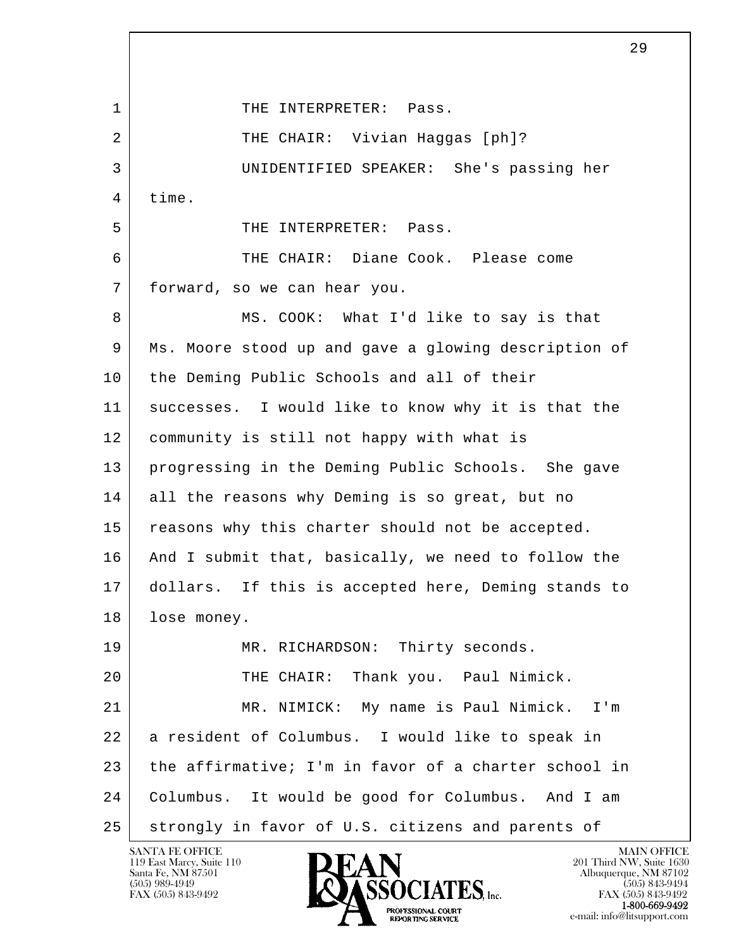l  $\overline{\phantom{a}}$ 1 THE INTERPRETER: Pass. 2 THE CHAIR: Vivian Haggas [ph]? 3 UNIDENTIFIED SPEAKER: She's passing her 4 time. 5 STRIFF INTERPRETER: Pass. 6 THE CHAIR: Diane Cook. Please come 7 forward, so we can hear you. 8 MS. COOK: What I'd like to say is that 9 Ms. Moore stood up and gave a glowing description of 10 the Deming Public Schools and all of their 11 successes. I would like to know why it is that the 12 community is still not happy with what is 13 progressing in the Deming Public Schools. She gave 14 all the reasons why Deming is so great, but no 15 reasons why this charter should not be accepted. 16 And I submit that, basically, we need to follow the 17 dollars. If this is accepted here, Deming stands to 18 | lose money. 19 MR. RICHARDSON: Thirty seconds. 20 THE CHAIR: Thank you. Paul Nimick. 21 MR. NIMICK: My name is Paul Nimick. I'm 22 a resident of Columbus. I would like to speak in 23 | the affirmative; I'm in favor of a charter school in 24 Columbus. It would be good for Columbus. And I am 25 strongly in favor of U.S. citizens and parents of

 $\overline{29}$ 

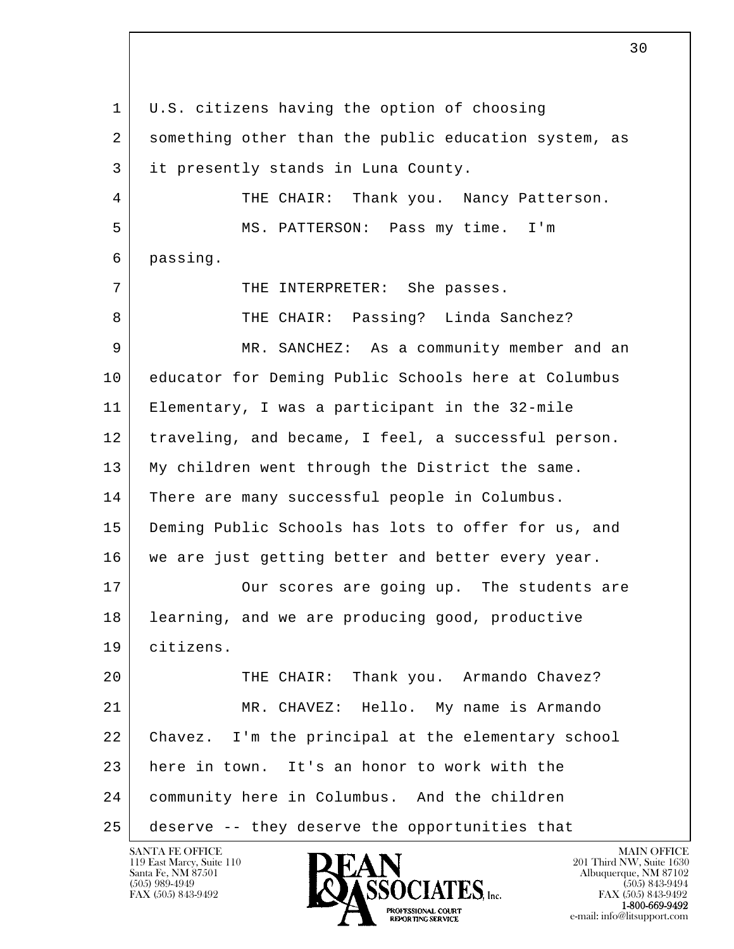l  $\overline{\phantom{a}}$  1 U.S. citizens having the option of choosing 2 something other than the public education system, as 3 it presently stands in Luna County. 4 THE CHAIR: Thank you. Nancy Patterson. 5 | MS. PATTERSON: Pass my time. I'm 6 passing. 7 | THE INTERPRETER: She passes. 8 THE CHAIR: Passing? Linda Sanchez? 9 MR. SANCHEZ: As a community member and an 10 educator for Deming Public Schools here at Columbus 11 Elementary, I was a participant in the 32-mile 12 traveling, and became, I feel, a successful person. 13 My children went through the District the same. 14 There are many successful people in Columbus. 15 Deming Public Schools has lots to offer for us, and 16 | we are just getting better and better every year. 17 Our scores are going up. The students are 18 learning, and we are producing good, productive 19 citizens. 20 THE CHAIR: Thank you. Armando Chavez? 21 MR. CHAVEZ: Hello. My name is Armando 22 Chavez. I'm the principal at the elementary school 23 here in town. It's an honor to work with the 24 community here in Columbus. And the children 25 deserve -- they deserve the opportunities that

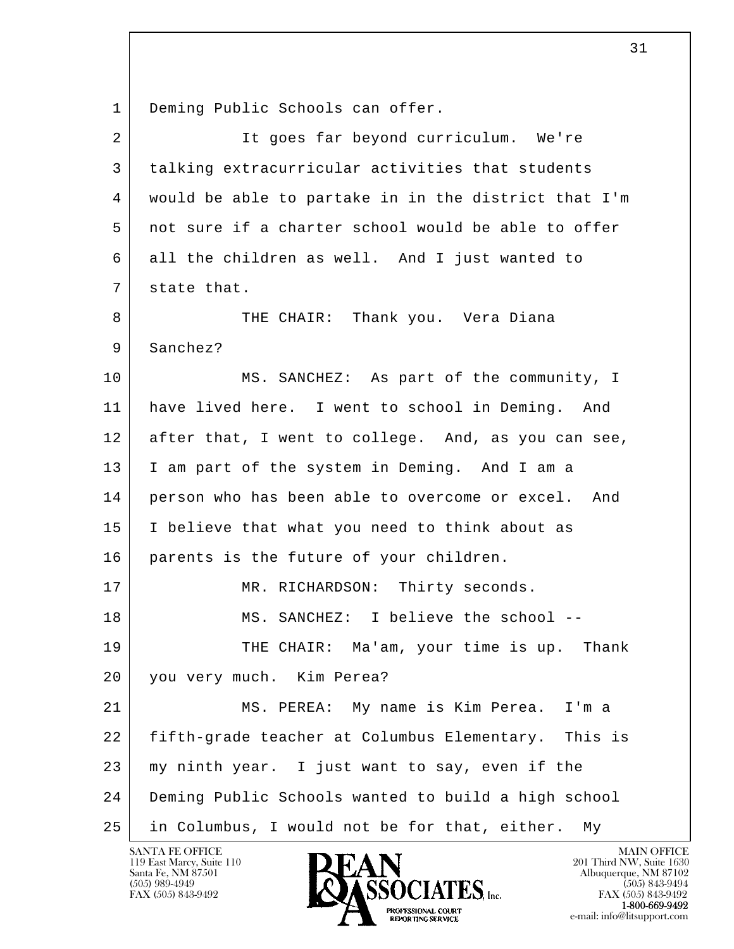l  $\overline{\phantom{a}}$ 1 Deming Public Schools can offer. 2 It goes far beyond curriculum. We're 3 talking extracurricular activities that students 4 would be able to partake in in the district that I'm 5 not sure if a charter school would be able to offer 6 all the children as well. And I just wanted to 7 state that. 8 THE CHAIR: Thank you. Vera Diana 9 Sanchez? 10 MS. SANCHEZ: As part of the community, I 11 have lived here. I went to school in Deming. And 12 after that, I went to college. And, as you can see, 13 I am part of the system in Deming. And I am a 14 person who has been able to overcome or excel. And 15 I believe that what you need to think about as 16 | parents is the future of your children. 17 MR. RICHARDSON: Thirty seconds. 18 MS. SANCHEZ: I believe the school --19 THE CHAIR: Ma'am, your time is up. Thank 20 you very much. Kim Perea? 21 MS. PEREA: My name is Kim Perea. I'm a 22 fifth-grade teacher at Columbus Elementary. This is 23 my ninth year. I just want to say, even if the 24 Deming Public Schools wanted to build a high school 25 in Columbus, I would not be for that, either. My

119 East Marcy, Suite 110<br>Santa Fe, NM 87501

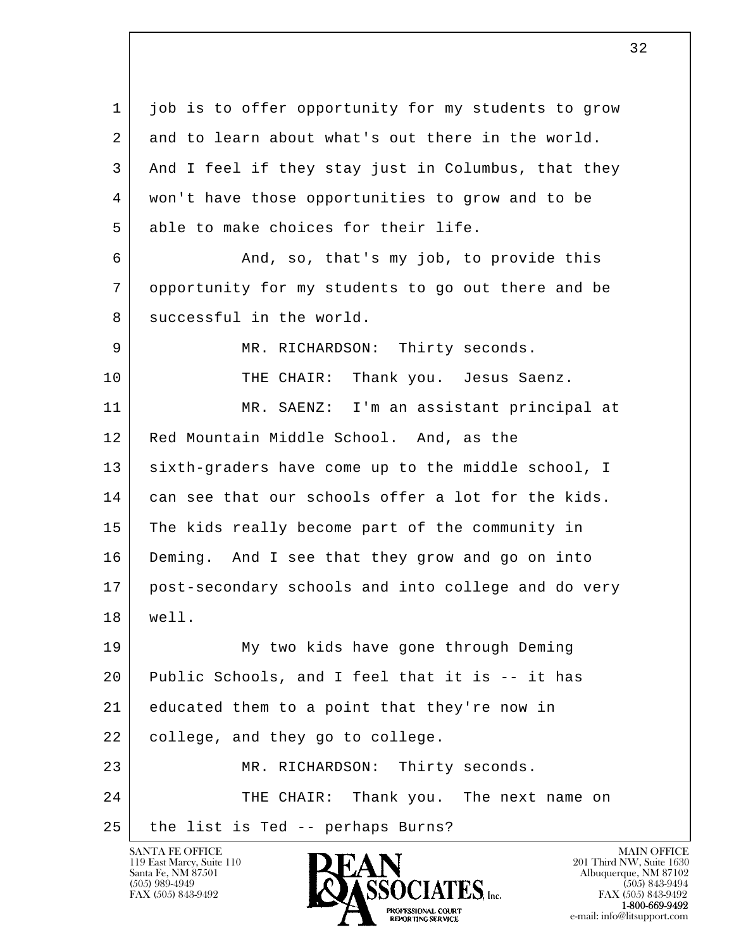l  $\overline{\phantom{a}}$  1 job is to offer opportunity for my students to grow 2 and to learn about what's out there in the world. 3 And I feel if they stay just in Columbus, that they 4 won't have those opportunities to grow and to be 5 able to make choices for their life. 6 And, so, that's my job, to provide this 7 opportunity for my students to go out there and be 8 successful in the world. 9 MR. RICHARDSON: Thirty seconds. 10 THE CHAIR: Thank you. Jesus Saenz. 11 MR. SAENZ: I'm an assistant principal at 12 Red Mountain Middle School. And, as the 13 sixth-graders have come up to the middle school, I 14 can see that our schools offer a lot for the kids. 15 The kids really become part of the community in 16 Deming. And I see that they grow and go on into 17 post-secondary schools and into college and do very 18 well. 19 My two kids have gone through Deming 20 Public Schools, and I feel that it is -- it has 21 educated them to a point that they're now in 22 | college, and they go to college. 23 MR. RICHARDSON: Thirty seconds. 24 THE CHAIR: Thank you. The next name on 25 the list is Ted -- perhaps Burns?

119 East Marcy, Suite 110<br>Santa Fe, NM 87501

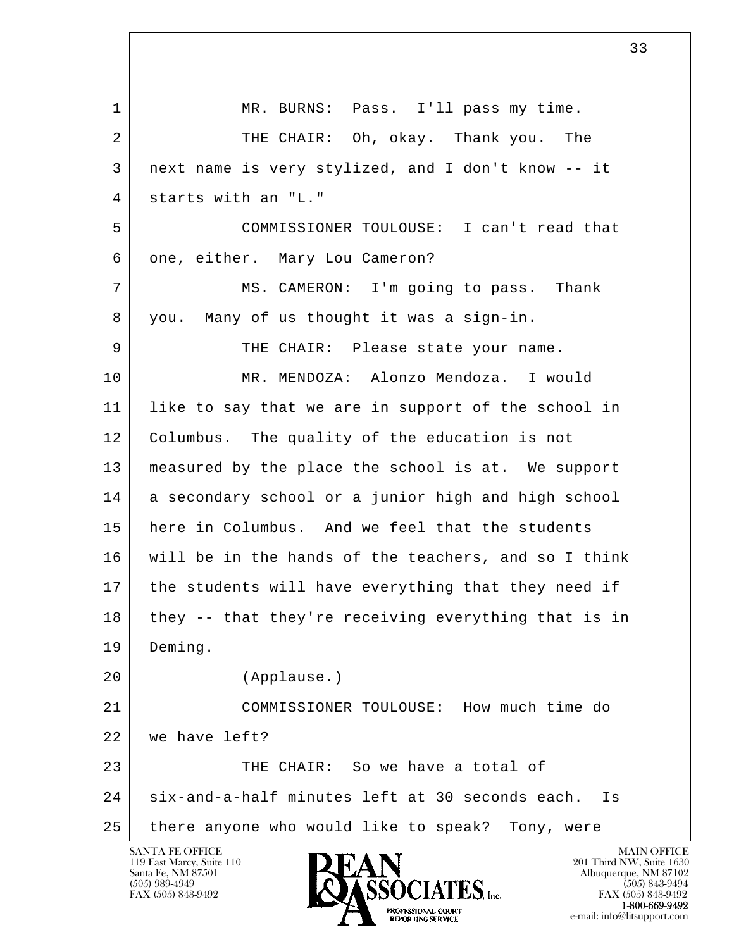l  $\overline{\phantom{a}}$ SANTA FE OFFICE MAIN OFFICE MAIN OFFICE MAIN OFFICE MAIN OFFICE 1 | MR. BURNS: Pass. I'll pass my time. 2 THE CHAIR: Oh, okay. Thank you. The 3 next name is very stylized, and I don't know -- it 4 starts with an "L." 5 COMMISSIONER TOULOUSE: I can't read that 6 one, either. Mary Lou Cameron? 7 MS. CAMERON: I'm going to pass. Thank 8 you. Many of us thought it was a sign-in. 9 THE CHAIR: Please state your name. 10 MR. MENDOZA: Alonzo Mendoza. I would 11 like to say that we are in support of the school in 12 Columbus. The quality of the education is not 13 measured by the place the school is at. We support 14 a secondary school or a junior high and high school 15 here in Columbus. And we feel that the students 16 will be in the hands of the teachers, and so I think 17 the students will have everything that they need if  $18$  they  $-$  that they're receiving everything that is in 19 Deming. 20 (Applause.) 21 COMMISSIONER TOULOUSE: How much time do 22 we have left? 23 THE CHAIR: So we have a total of 24 six-and-a-half minutes left at 30 seconds each. Is 25 there anyone who would like to speak? Tony, were

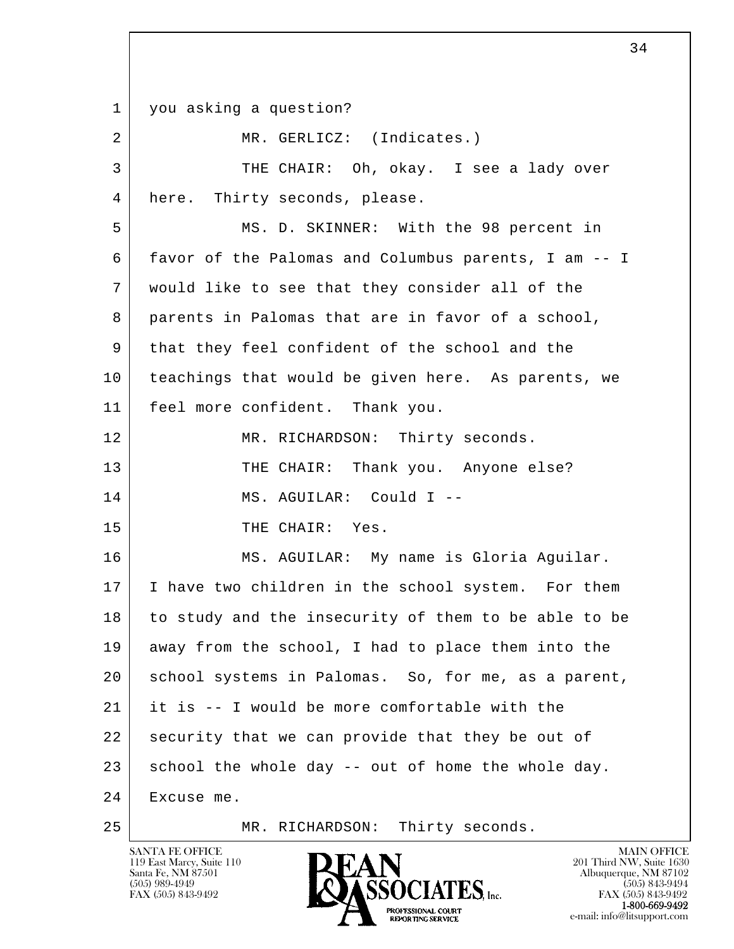l  $\overline{\phantom{a}}$  1 you asking a question? 2 MR. GERLICZ: (Indicates.) 3 THE CHAIR: Oh, okay. I see a lady over 4 here. Thirty seconds, please. 5 MS. D. SKINNER: With the 98 percent in 6 favor of the Palomas and Columbus parents, I am -- I 7 would like to see that they consider all of the 8 parents in Palomas that are in favor of a school, 9 that they feel confident of the school and the 10 teachings that would be given here. As parents, we 11 feel more confident. Thank you. 12 MR. RICHARDSON: Thirty seconds. 13 THE CHAIR: Thank you. Anyone else? 14 MS. AGUILAR: Could I -- 15 THE CHAIR: Yes. 16 MS. AGUILAR: My name is Gloria Aguilar. 17 I have two children in the school system. For them 18 to study and the insecurity of them to be able to be 19 away from the school, I had to place them into the 20 | school systems in Palomas. So, for me, as a parent, 21 it is -- I would be more comfortable with the 22 security that we can provide that they be out of  $23$  school the whole day -- out of home the whole day. 24 Excuse me. 25 | MR. RICHARDSON: Thirty seconds.

119 East Marcy, Suite 110<br>Santa Fe, NM 87501



FAX (505) 843-9492 FAX (505) 843-9492 e-mail: info@litsupport.com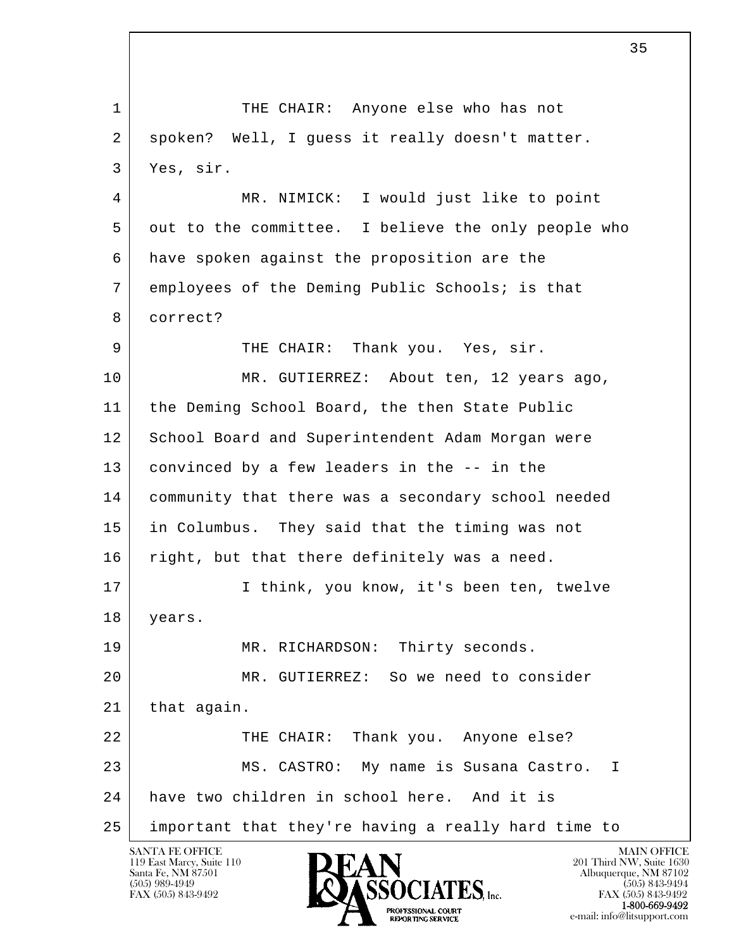l  $\overline{\phantom{a}}$ 1 THE CHAIR: Anyone else who has not 2 | spoken? Well, I guess it really doesn't matter. 3 Yes, sir. 4 MR. NIMICK: I would just like to point 5 out to the committee. I believe the only people who 6 have spoken against the proposition are the 7 employees of the Deming Public Schools; is that 8 correct? 9 THE CHAIR: Thank you. Yes, sir. 10 MR. GUTIERREZ: About ten, 12 years ago, 11 | the Deming School Board, the then State Public 12 School Board and Superintendent Adam Morgan were 13 convinced by a few leaders in the -- in the 14 community that there was a secondary school needed 15 in Columbus. They said that the timing was not 16 right, but that there definitely was a need. 17 | I think, you know, it's been ten, twelve 18 years. 19 MR. RICHARDSON: Thirty seconds. 20 MR. GUTIERREZ: So we need to consider 21 that again. 22 THE CHAIR: Thank you. Anyone else? 23 MS. CASTRO: My name is Susana Castro. I 24 have two children in school here. And it is 25 important that they're having a really hard time to

119 East Marcy, Suite 110<br>Santa Fe, NM 87501

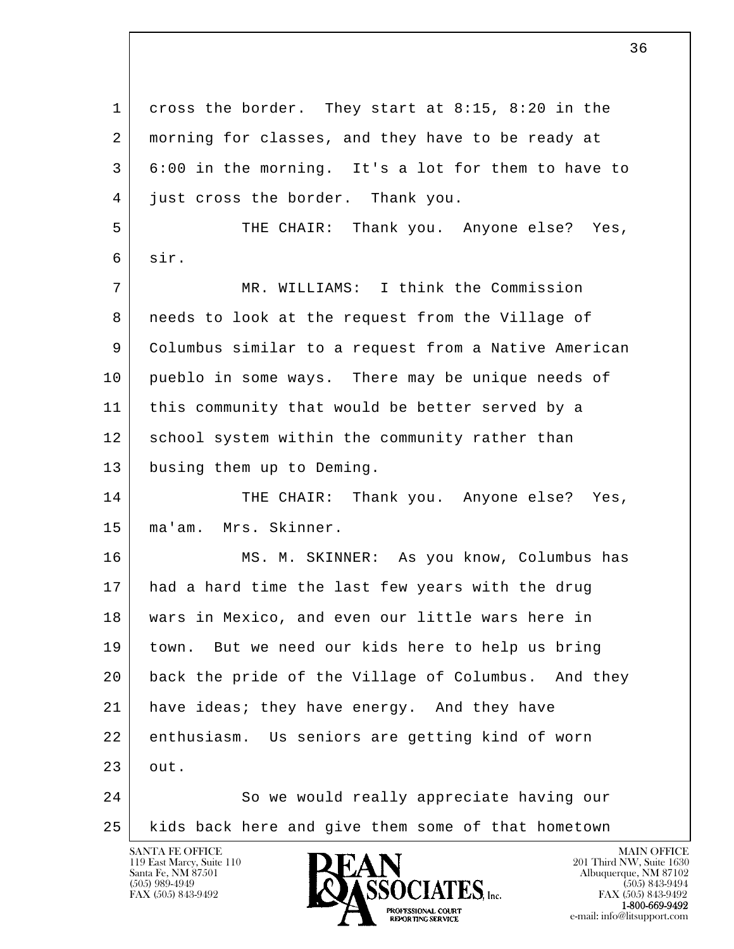l  $\overline{\phantom{a}}$  1 cross the border. They start at 8:15, 8:20 in the 2 | morning for classes, and they have to be ready at 3 6:00 in the morning. It's a lot for them to have to 4 just cross the border. Thank you. 5 THE CHAIR: Thank you. Anyone else? Yes, 6 sir. 7 MR. WILLIAMS: I think the Commission 8 needs to look at the request from the Village of 9 Columbus similar to a request from a Native American 10 pueblo in some ways. There may be unique needs of 11 | this community that would be better served by a 12 school system within the community rather than 13 busing them up to Deming. 14 THE CHAIR: Thank you. Anyone else? Yes, 15 ma'am. Mrs. Skinner. 16 | MS. M. SKINNER: As you know, Columbus has 17 had a hard time the last few years with the drug 18 wars in Mexico, and even our little wars here in 19 town. But we need our kids here to help us bring 20 back the pride of the Village of Columbus. And they 21 have ideas; they have energy. And they have 22 enthusiasm. Us seniors are getting kind of worn  $23$  out. 24 So we would really appreciate having our 25 kids back here and give them some of that hometown

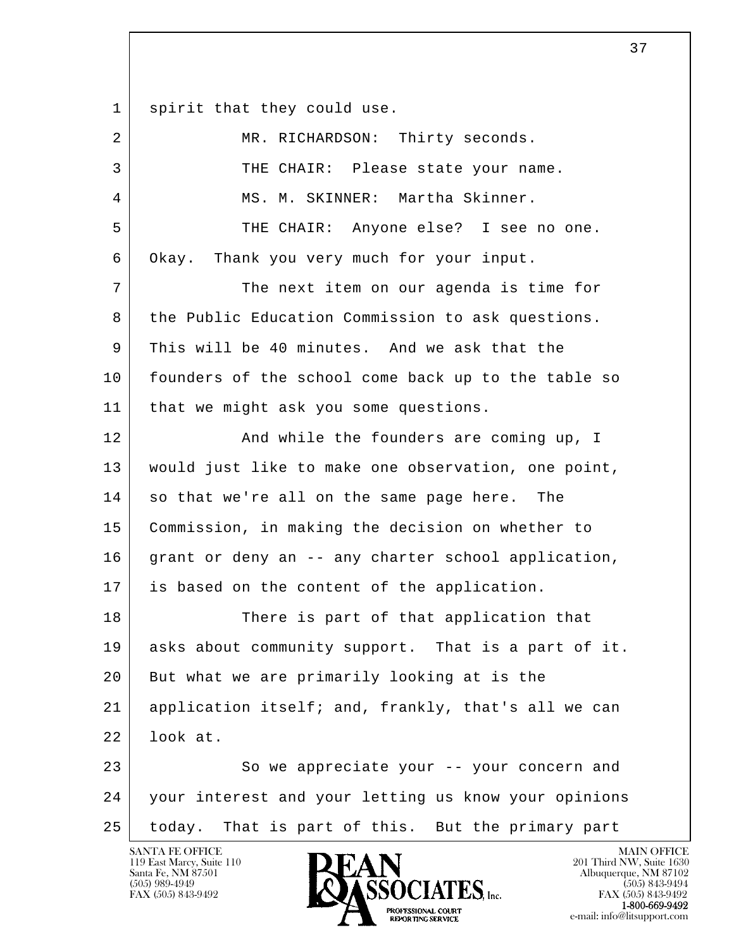l  $\overline{\phantom{a}}$ SANTA FE OFFICE MAIN OFFICE MAIN OFFICE MAIN OFFICE MAIN OFFICE 1 spirit that they could use. 2 MR. RICHARDSON: Thirty seconds. 3 THE CHAIR: Please state your name. 4 MS. M. SKINNER: Martha Skinner. 5 THE CHAIR: Anyone else? I see no one. 6 Okay. Thank you very much for your input. 7 The next item on our agenda is time for 8 the Public Education Commission to ask questions. 9 This will be 40 minutes. And we ask that the 10 founders of the school come back up to the table so 11 | that we might ask you some questions. 12 And while the founders are coming up, I 13 would just like to make one observation, one point, 14 so that we're all on the same page here. The 15 Commission, in making the decision on whether to 16 grant or deny an -- any charter school application, 17 is based on the content of the application. 18 There is part of that application that 19 asks about community support. That is a part of it. 20 But what we are primarily looking at is the 21 | application itself; and, frankly, that's all we can 22 look at. 23 | So we appreciate your -- your concern and 24 your interest and your letting us know your opinions 25 today. That is part of this. But the primary part

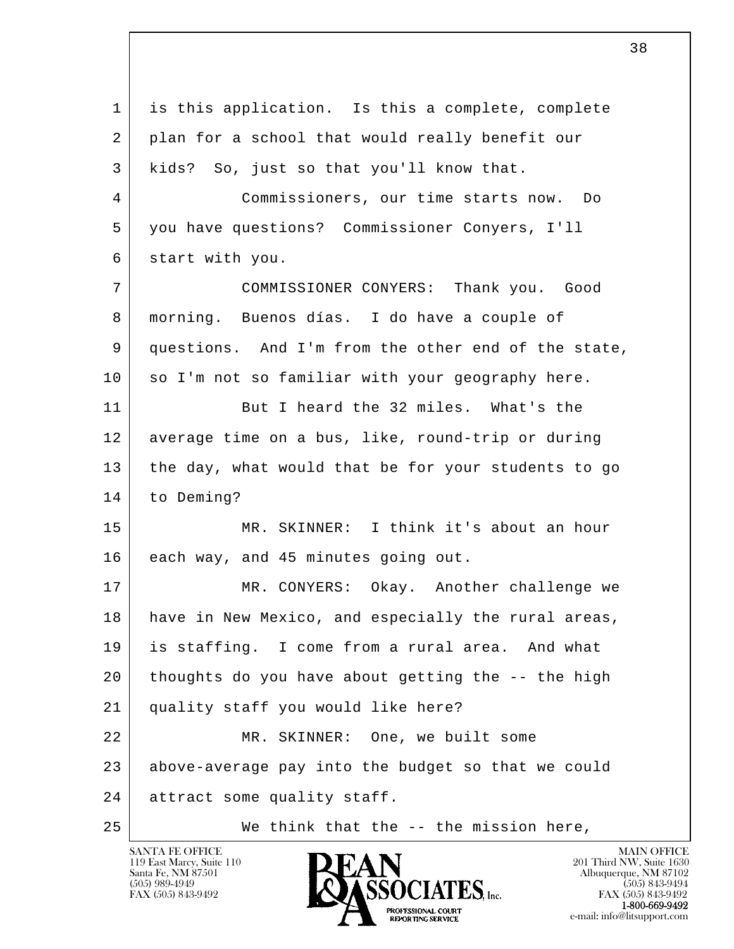l  $\overline{\phantom{a}}$  1 is this application. Is this a complete, complete 2 | plan for a school that would really benefit our 3 kids? So, just so that you'll know that. 4 Commissioners, our time starts now. Do 5 you have questions? Commissioner Conyers, I'll 6 start with you. 7 COMMISSIONER CONYERS: Thank you. Good 8 morning. Buenos días. I do have a couple of 9 questions. And I'm from the other end of the state, 10 so I'm not so familiar with your geography here. 11 But I heard the 32 miles. What's the 12 average time on a bus, like, round-trip or during 13 the day, what would that be for your students to go 14 to Deming? 15 MR. SKINNER: I think it's about an hour 16 each way, and 45 minutes going out. 17 MR. CONYERS: Okay. Another challenge we 18 have in New Mexico, and especially the rural areas, 19 is staffing. I come from a rural area. And what 20 thoughts do you have about getting the -- the high 21 quality staff you would like here? 22 | MR. SKINNER: One, we built some 23 above-average pay into the budget so that we could 24 attract some quality staff. 25 We think that the -- the mission here,

119 East Marcy, Suite 110<br>Santa Fe, NM 87501

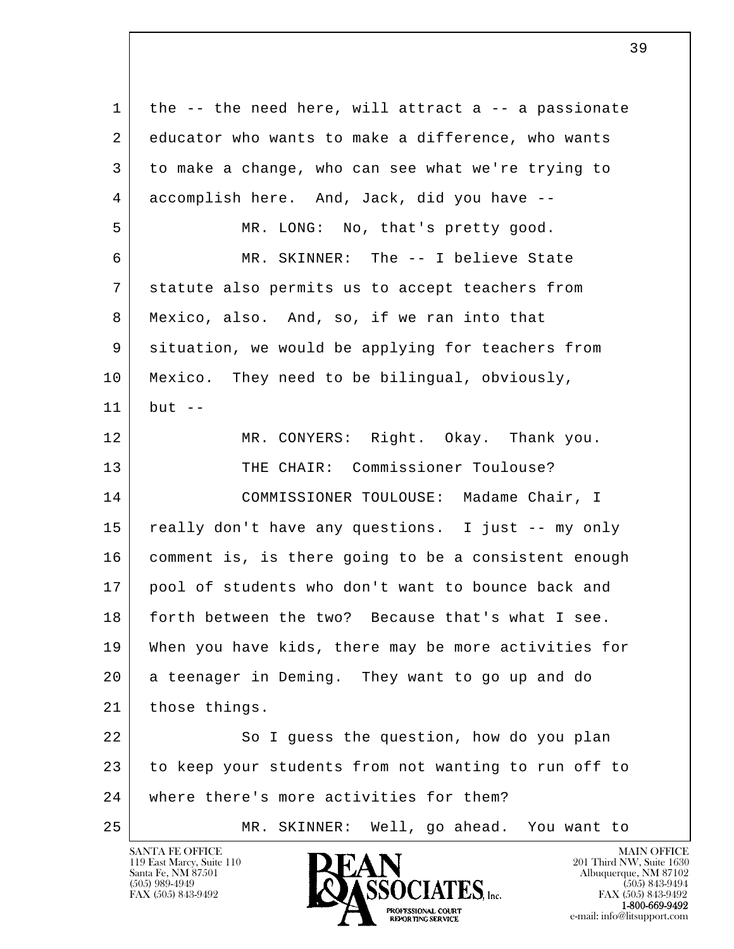l  $\overline{\phantom{a}}$ 1 | the -- the need here, will attract a -- a passionate 2 educator who wants to make a difference, who wants 3 to make a change, who can see what we're trying to 4 accomplish here. And, Jack, did you have -- 5 | MR. LONG: No, that's pretty good. 6 MR. SKINNER: The -- I believe State 7 statute also permits us to accept teachers from 8 Mexico, also. And, so, if we ran into that 9 situation, we would be applying for teachers from 10 Mexico. They need to be bilingual, obviously,  $11$  but  $-$ 12 MR. CONYERS: Right. Okay. Thank you. 13 THE CHAIR: Commissioner Toulouse? 14 COMMISSIONER TOULOUSE: Madame Chair, I 15 really don't have any questions. I just -- my only 16 | comment is, is there going to be a consistent enough 17 pool of students who don't want to bounce back and 18 forth between the two? Because that's what I see. 19 When you have kids, there may be more activities for 20 a teenager in Deming. They want to go up and do 21 those things. 22 So I guess the question, how do you plan 23 to keep your students from not wanting to run off to 24 where there's more activities for them? 25 MR. SKINNER: Well, go ahead. You want to



FAX (505) 843-9492<br>1-800-669-9492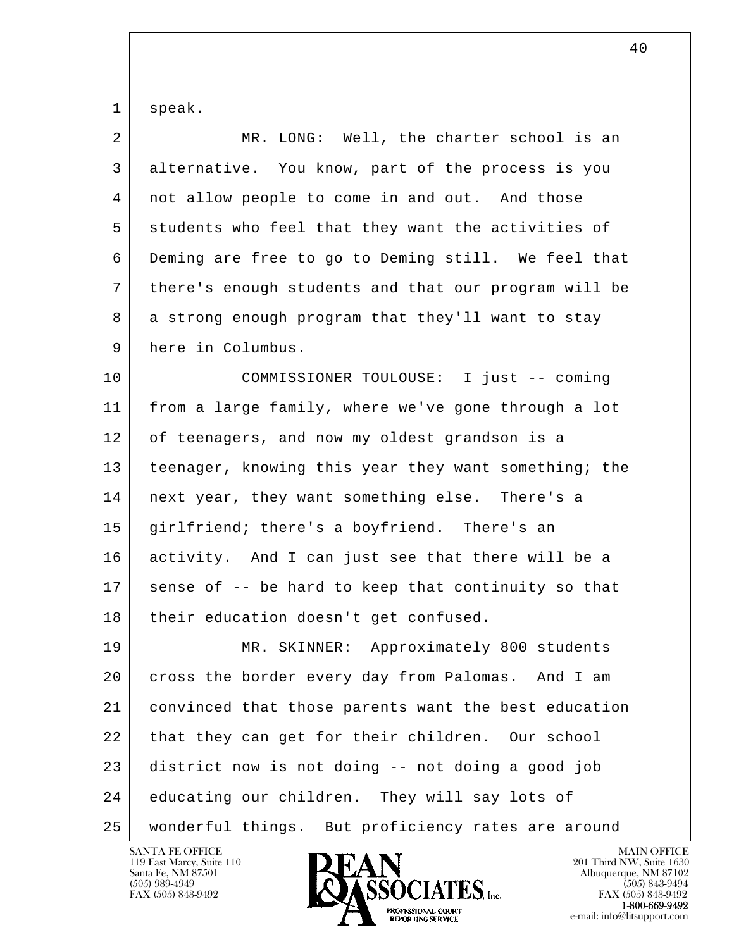1 speak.

| 2               | MR. LONG: Well, the charter school is an             |
|-----------------|------------------------------------------------------|
| 3               | alternative. You know, part of the process is you    |
| 4               | not allow people to come in and out. And those       |
| 5               | students who feel that they want the activities of   |
| 6               | Deming are free to go to Deming still. We feel that  |
| 7               | there's enough students and that our program will be |
| 8               | a strong enough program that they'll want to stay    |
| 9               | here in Columbus.                                    |
| 10 <sub>o</sub> | COMMISSIONER TOULOUSE: I just -- coming              |
| 11              | from a large family, where we've gone through a lot  |

12 of teenagers, and now my oldest grandson is a 13 | teenager, knowing this year they want something; the 14 | next year, they want something else. There's a 15 girlfriend; there's a boyfriend. There's an 16 activity. And I can just see that there will be a 17 sense of -- be hard to keep that continuity so that 18 | their education doesn't get confused.

l  $\overline{\phantom{a}}$  19 MR. SKINNER: Approximately 800 students 20 cross the border every day from Palomas. And I am 21 convinced that those parents want the best education 22 that they can get for their children. Our school 23 district now is not doing -- not doing a good job 24 educating our children. They will say lots of 25 wonderful things. But proficiency rates are around

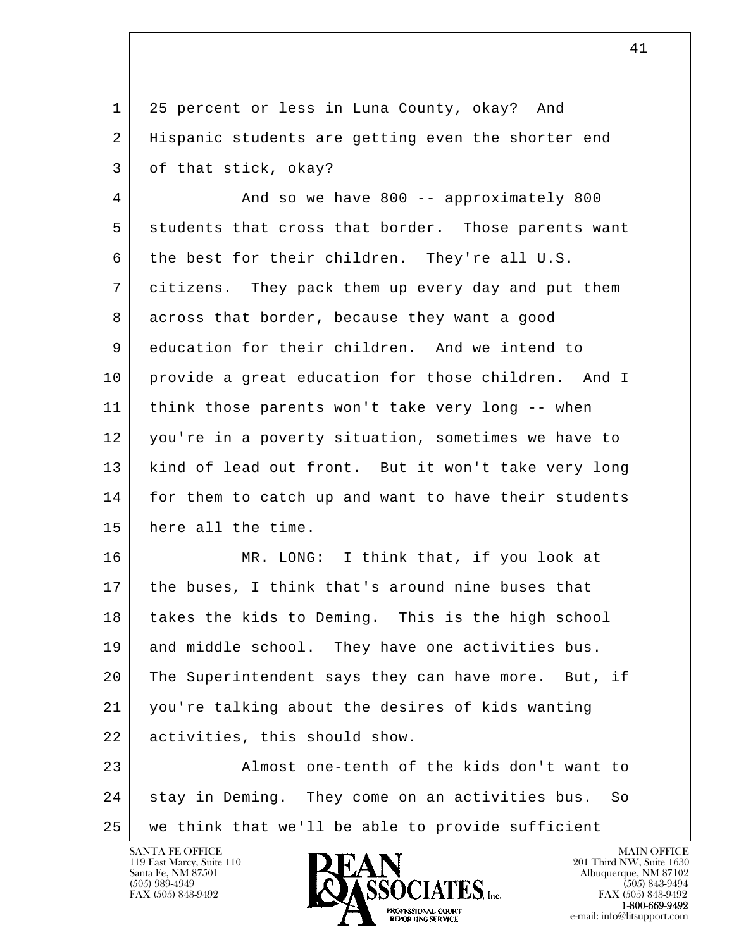1 25 percent or less in Luna County, okay? And 2 | Hispanic students are getting even the shorter end 3 of that stick, okay?

 4 And so we have 800 -- approximately 800 5 students that cross that border. Those parents want 6 the best for their children. They're all U.S. 7 citizens. They pack them up every day and put them 8 across that border, because they want a good 9 education for their children. And we intend to 10 provide a great education for those children. And I 11 think those parents won't take very long -- when 12 you're in a poverty situation, sometimes we have to 13 kind of lead out front. But it won't take very long 14 for them to catch up and want to have their students 15 here all the time.

 16 MR. LONG: I think that, if you look at 17 the buses, I think that's around nine buses that 18 takes the kids to Deming. This is the high school 19 and middle school. They have one activities bus. 20 The Superintendent says they can have more. But, if 21 you're talking about the desires of kids wanting 22 activities, this should show.

l  $\overline{\phantom{a}}$  23 Almost one-tenth of the kids don't want to 24 stay in Deming. They come on an activities bus. So 25 we think that we'll be able to provide sufficient

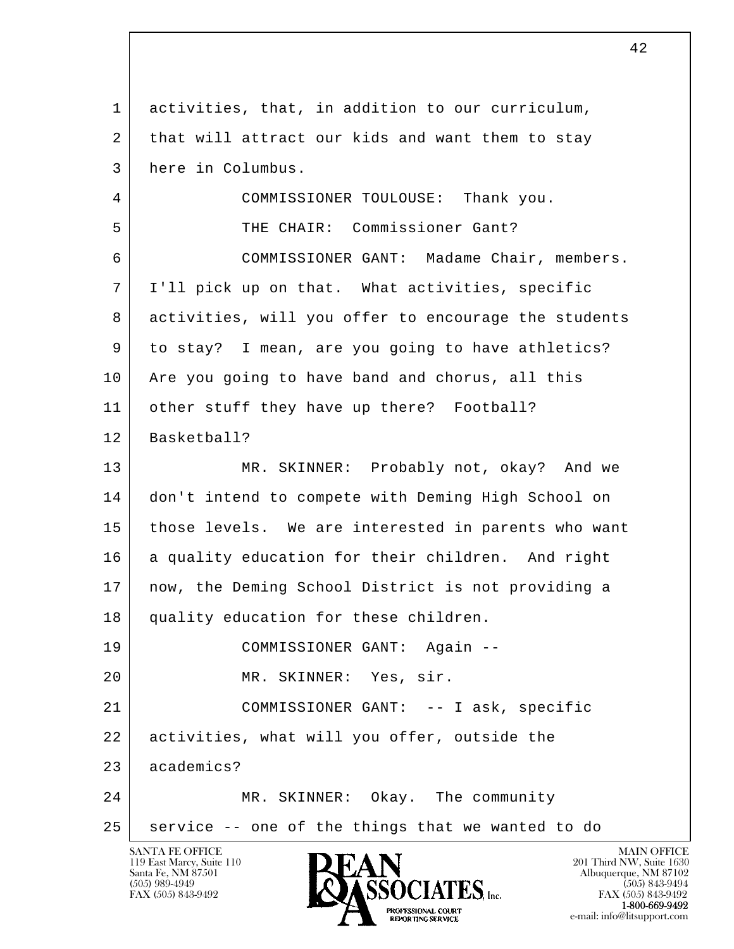l  $\overline{\phantom{a}}$ SANTA FE OFFICE MAIN OFFICE MAIN OFFICE MAIN OFFICE MAIN OFFICE 1 activities, that, in addition to our curriculum, 2 | that will attract our kids and want them to stay 3 here in Columbus. 4 COMMISSIONER TOULOUSE: Thank you. 5 THE CHAIR: Commissioner Gant? 6 COMMISSIONER GANT: Madame Chair, members. 7 I'll pick up on that. What activities, specific 8 activities, will you offer to encourage the students 9 to stay? I mean, are you going to have athletics? 10 | Are you going to have band and chorus, all this 11 | other stuff they have up there? Football? 12 Basketball? 13 MR. SKINNER: Probably not, okay? And we 14 don't intend to compete with Deming High School on 15 those levels. We are interested in parents who want 16 a quality education for their children. And right 17 now, the Deming School District is not providing a 18 quality education for these children. 19 COMMISSIONER GANT: Again -- 20 MR. SKINNER: Yes, sir. 21 COMMISSIONER GANT: -- I ask, specific 22 activities, what will you offer, outside the 23 academics? 24 MR. SKINNER: Okay. The community 25 service -- one of the things that we wanted to do

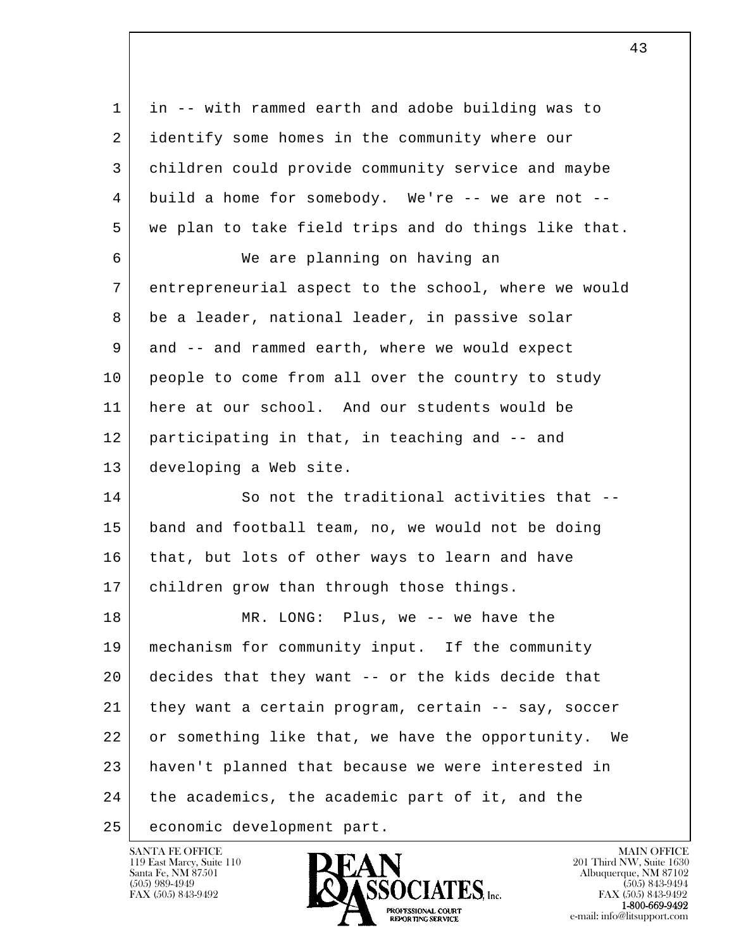| $\mathbf 1$ | in -- with rammed earth and adobe building was to      |
|-------------|--------------------------------------------------------|
| 2           | identify some homes in the community where our         |
| 3           | children could provide community service and maybe     |
| 4           | build a home for somebody. We're -- we are not --      |
| 5           | we plan to take field trips and do things like that.   |
| 6           | We are planning on having an                           |
| 7           | entrepreneurial aspect to the school, where we would   |
| 8           | be a leader, national leader, in passive solar         |
| 9           | and -- and rammed earth, where we would expect         |
| 10          | people to come from all over the country to study      |
| 11          | here at our school. And our students would be          |
| 12          | participating in that, in teaching and -- and          |
| 13          | developing a Web site.                                 |
| 14          | So not the traditional activities that --              |
| 15          | band and football team, no, we would not be doing      |
| 16          | that, but lots of other ways to learn and have         |
| 17          | children grow than through those things.               |
| 18          | MR. LONG: Plus, we -- we have the                      |
| 19          | mechanism for community input. If the community        |
| 20          | decides that they want -- or the kids decide that      |
| 21          | they want a certain program, certain -- say, soccer    |
| 22          | or something like that, we have the opportunity.<br>We |
| 23          | haven't planned that because we were interested in     |
| 24          | the academics, the academic part of it, and the        |
| 25          | economic development part.                             |

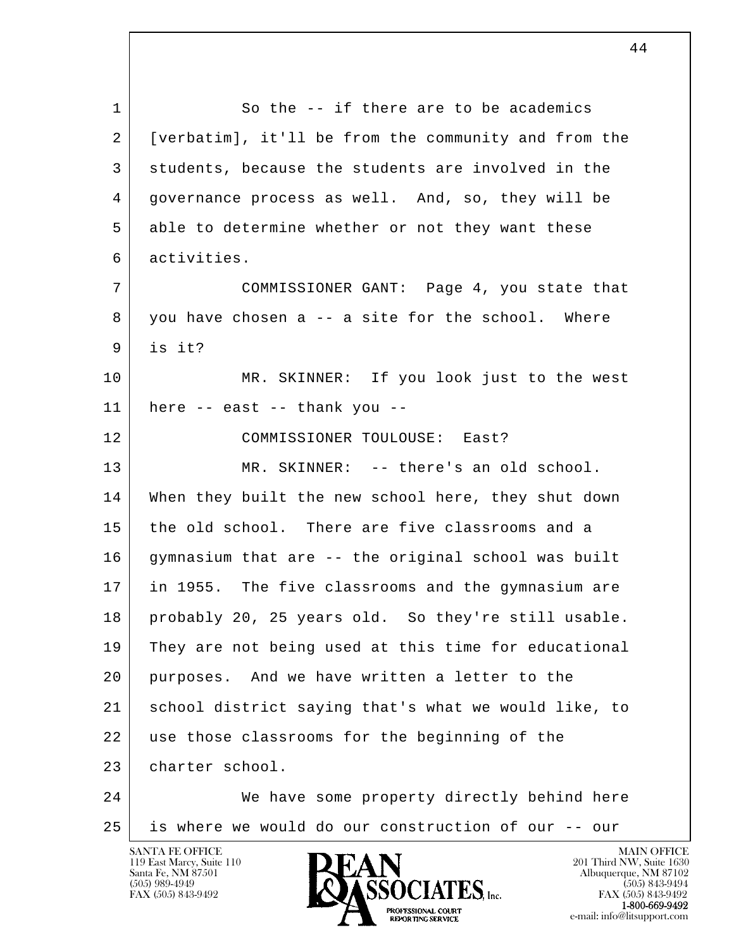l  $\overline{\phantom{a}}$ 1 So the -- if there are to be academics 2 | [verbatim], it'll be from the community and from the 3 students, because the students are involved in the 4 governance process as well. And, so, they will be 5 able to determine whether or not they want these 6 activities. 7 COMMISSIONER GANT: Page 4, you state that 8 you have chosen a -- a site for the school. Where 9 is it? 10 MR. SKINNER: If you look just to the west  $11$  here  $-$  east  $-$  thank you  $-$  12 COMMISSIONER TOULOUSE: East? 13 MR. SKINNER: -- there's an old school. 14 When they built the new school here, they shut down 15 the old school. There are five classrooms and a 16 gymnasium that are -- the original school was built 17 in 1955. The five classrooms and the gymnasium are 18 probably 20, 25 years old. So they're still usable. 19 They are not being used at this time for educational 20 purposes. And we have written a letter to the 21 school district saying that's what we would like, to 22 use those classrooms for the beginning of the 23 charter school. 24 We have some property directly behind here 25 is where we would do our construction of our -- our

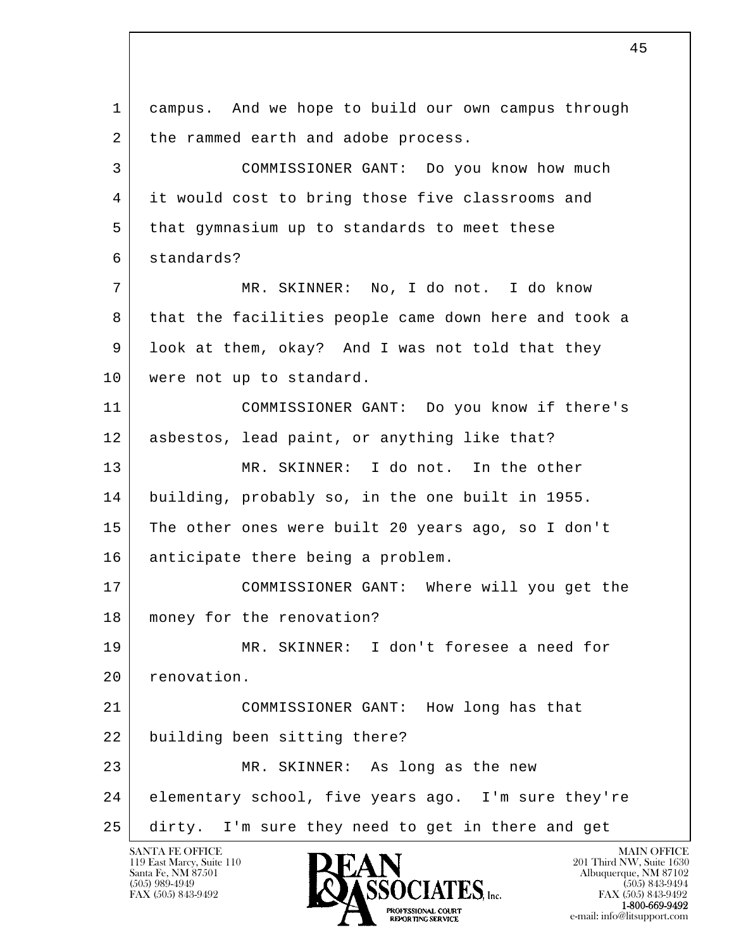l  $\overline{\phantom{a}}$  1 campus. And we hope to build our own campus through 2 the rammed earth and adobe process. 3 COMMISSIONER GANT: Do you know how much 4 it would cost to bring those five classrooms and 5 that gymnasium up to standards to meet these 6 standards? 7 MR. SKINNER: No, I do not. I do know 8 that the facilities people came down here and took a 9 look at them, okay? And I was not told that they 10 | were not up to standard. 11 COMMISSIONER GANT: Do you know if there's 12 asbestos, lead paint, or anything like that? 13 MR. SKINNER: I do not. In the other 14 building, probably so, in the one built in 1955. 15 The other ones were built 20 years ago, so I don't 16 anticipate there being a problem. 17 COMMISSIONER GANT: Where will you get the 18 money for the renovation? 19 MR. SKINNER: I don't foresee a need for 20 renovation. 21 COMMISSIONER GANT: How long has that 22 building been sitting there? 23 MR. SKINNER: As long as the new 24 elementary school, five years ago. I'm sure they're 25 dirty. I'm sure they need to get in there and get

119 East Marcy, Suite 110<br>Santa Fe, NM 87501

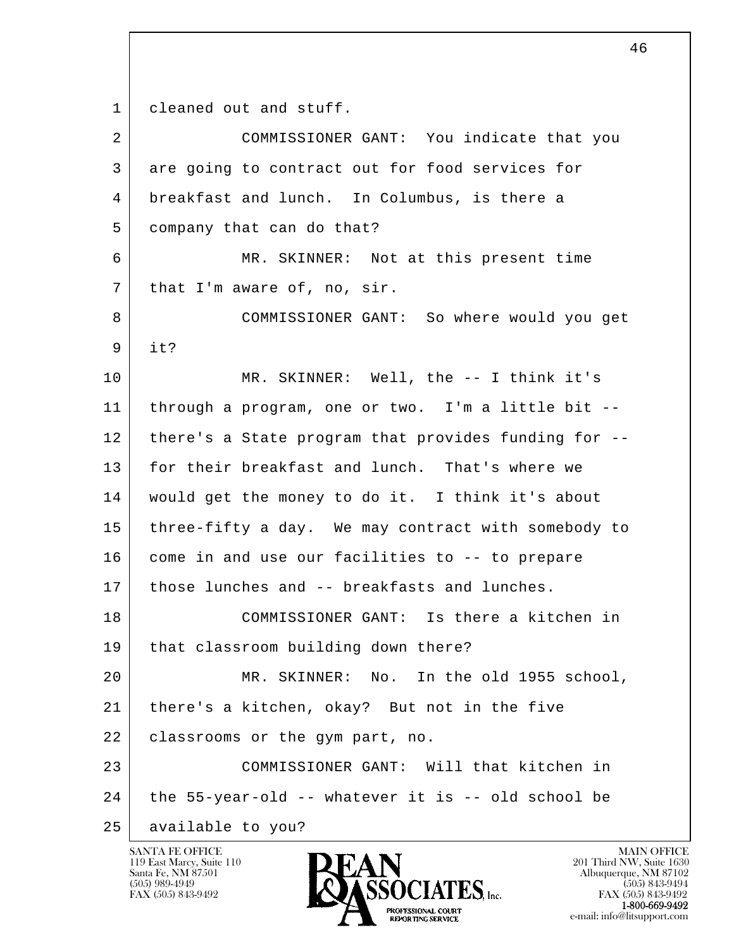1 cleaned out and stuff.

| $\overline{a}$ | COMMISSIONER GANT: You indicate that you             |
|----------------|------------------------------------------------------|
| 3              | are going to contract out for food services for      |
| 4              | breakfast and lunch. In Columbus, is there a         |
| 5              | company that can do that?                            |
| 6              | MR. SKINNER: Not at this present time                |
| 7              | that I'm aware of, no, sir.                          |
| 8              | COMMISSIONER GANT: So where would you get            |
| 9              | it?                                                  |
| 10             | MR. SKINNER: Well, the -- I think it's               |
| 11             | through a program, one or two. I'm a little bit --   |
| 12             | there's a State program that provides funding for -- |
| 13             | for their breakfast and lunch. That's where we       |
| 14             | would get the money to do it. I think it's about     |
| 15             | three-fifty a day. We may contract with somebody to  |
| 16             | come in and use our facilities to -- to prepare      |
| 17             | those lunches and -- breakfasts and lunches.         |
| 18             | COMMISSIONER GANT: Is there a kitchen in             |
| 19             | that classroom building down there?                  |
| 20             | MR. SKINNER: No. In the old 1955 school,             |
| 21             | there's a kitchen, okay? But not in the five         |
| 22             | classrooms or the gym part, no.                      |
| 23             | COMMISSIONER GANT: Will that kitchen in              |
| 24             | the 55-year-old -- whatever it is -- old school be   |
| 25             | available to you?                                    |

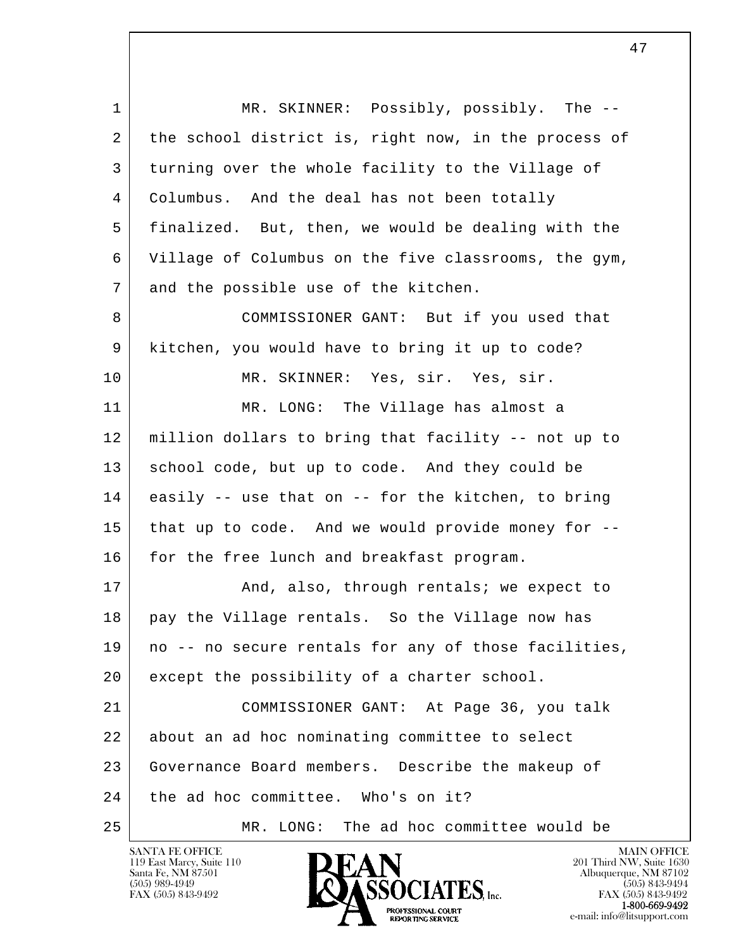l  $\overline{\phantom{a}}$ 1 MR. SKINNER: Possibly, possibly. The --2 the school district is, right now, in the process of 3 turning over the whole facility to the Village of 4 Columbus. And the deal has not been totally 5 finalized. But, then, we would be dealing with the 6 Village of Columbus on the five classrooms, the gym, 7 and the possible use of the kitchen. 8 COMMISSIONER GANT: But if you used that 9 kitchen, you would have to bring it up to code? 10 | MR. SKINNER: Yes, sir. Yes, sir. 11 MR. LONG: The Village has almost a 12 million dollars to bring that facility -- not up to 13 school code, but up to code. And they could be 14 easily -- use that on -- for the kitchen, to bring 15 that up to code. And we would provide money for -- 16 for the free lunch and breakfast program. 17 | And, also, through rentals; we expect to 18 pay the Village rentals. So the Village now has 19 | no -- no secure rentals for any of those facilities, 20 except the possibility of a charter school. 21 COMMISSIONER GANT: At Page 36, you talk 22 about an ad hoc nominating committee to select 23 Governance Board members. Describe the makeup of 24 the ad hoc committee. Who's on it? 25 MR. LONG: The ad hoc committee would be

119 East Marcy, Suite 110<br>Santa Fe, NM 87501

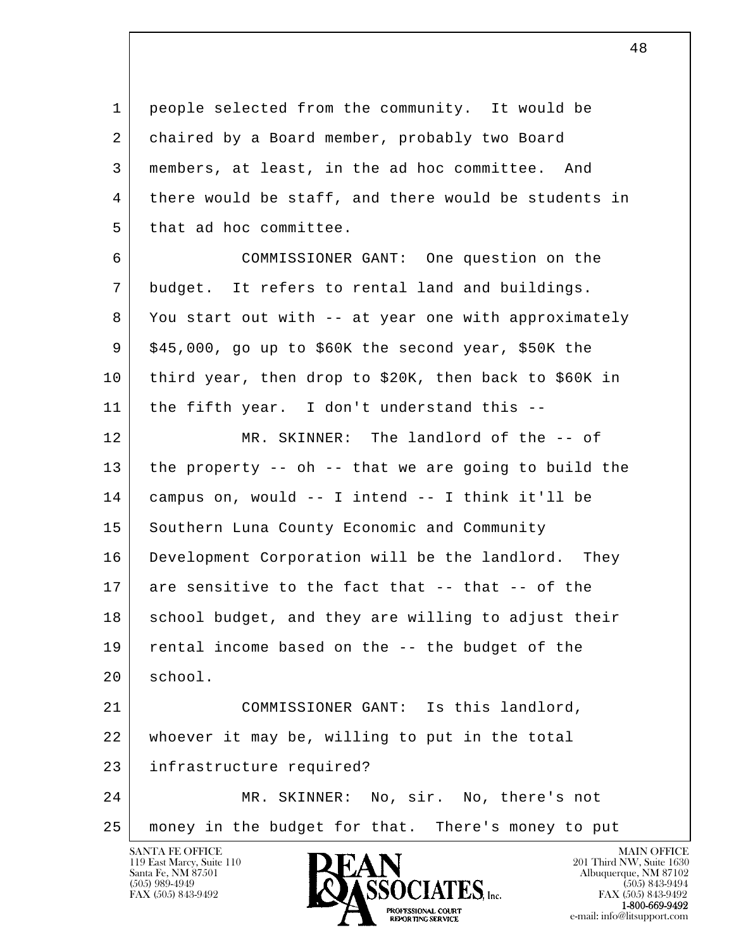1 people selected from the community. It would be 2 chaired by a Board member, probably two Board 3 members, at least, in the ad hoc committee. And 4 | there would be staff, and there would be students in 5 that ad hoc committee.

 6 COMMISSIONER GANT: One question on the 7 budget. It refers to rental land and buildings. 8 You start out with -- at year one with approximately  $9 \mid$  \$45,000, go up to \$60K the second year, \$50K the 10 third year, then drop to \$20K, then back to \$60K in 11 the fifth year. I don't understand this --

 12 MR. SKINNER: The landlord of the -- of 13 the property -- oh -- that we are going to build the 14 campus on, would -- I intend -- I think it'll be 15 Southern Luna County Economic and Community 16 Development Corporation will be the landlord. They 17 are sensitive to the fact that -- that -- of the 18 school budget, and they are willing to adjust their 19 rental income based on the -- the budget of the 20 school.

l 21 COMMISSIONER GANT: Is this landlord, 22 whoever it may be, willing to put in the total 23 infrastructure required?

 $\overline{\phantom{a}}$  24 MR. SKINNER: No, sir. No, there's not 25 money in the budget for that. There's money to put

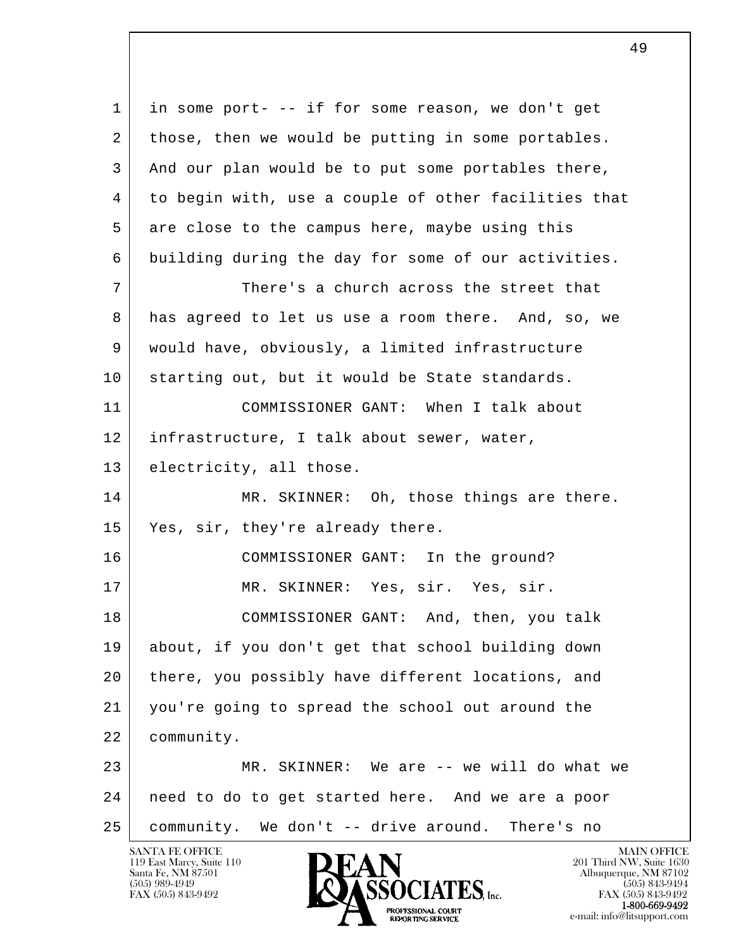l  $\overline{\phantom{a}}$  1 in some port- -- if for some reason, we don't get 2 | those, then we would be putting in some portables. 3 And our plan would be to put some portables there, 4 | to begin with, use a couple of other facilities that 5 are close to the campus here, maybe using this 6 building during the day for some of our activities. 7 There's a church across the street that 8 has agreed to let us use a room there. And, so, we 9 would have, obviously, a limited infrastructure 10 starting out, but it would be State standards. 11 COMMISSIONER GANT: When I talk about 12 infrastructure, I talk about sewer, water, 13 electricity, all those. 14 MR. SKINNER: Oh, those things are there. 15 Yes, sir, they're already there. 16 COMMISSIONER GANT: In the ground? 17 | MR. SKINNER: Yes, sir. Yes, sir. 18 COMMISSIONER GANT: And, then, you talk 19 about, if you don't get that school building down 20 there, you possibly have different locations, and 21 you're going to spread the school out around the 22 community. 23 | MR. SKINNER: We are -- we will do what we 24 need to do to get started here. And we are a poor 25 community. We don't -- drive around. There's no



FAX (505) 843-9492<br>1-800-669-9492 e-mail: info@litsupport.com<br>REPORTING SERVICE e-mail: info@litsupport.com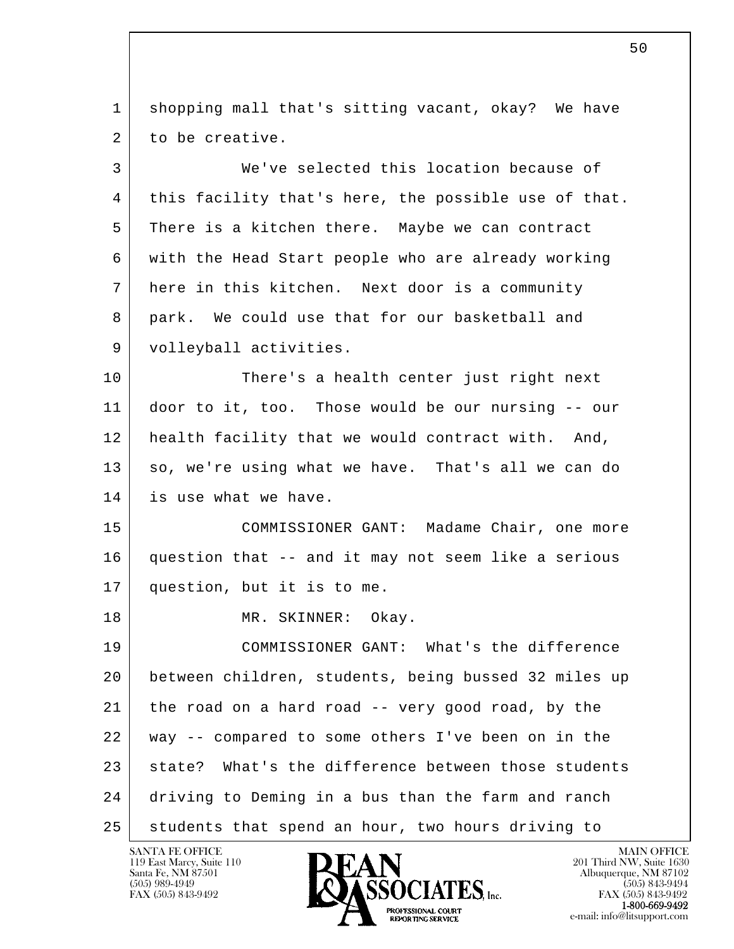l  $\overline{\phantom{a}}$  1 shopping mall that's sitting vacant, okay? We have 2 to be creative. 3 We've selected this location because of 4 this facility that's here, the possible use of that. 5 There is a kitchen there. Maybe we can contract 6 with the Head Start people who are already working 7 here in this kitchen. Next door is a community 8 park. We could use that for our basketball and 9 volleyball activities. 10 There's a health center just right next 11 door to it, too. Those would be our nursing -- our 12 health facility that we would contract with. And, 13 so, we're using what we have. That's all we can do 14 is use what we have. 15 COMMISSIONER GANT: Madame Chair, one more 16 question that -- and it may not seem like a serious 17 question, but it is to me. 18 MR. SKINNER: Okay. 19 COMMISSIONER GANT: What's the difference 20 between children, students, being bussed 32 miles up 21 the road on a hard road -- very good road, by the 22 way -- compared to some others I've been on in the 23 state? What's the difference between those students 24 driving to Deming in a bus than the farm and ranch 25 students that spend an hour, two hours driving to

119 East Marcy, Suite 110<br>Santa Fe, NM 87501



FAX (505) 843-9492<br>**1-800-669-9492**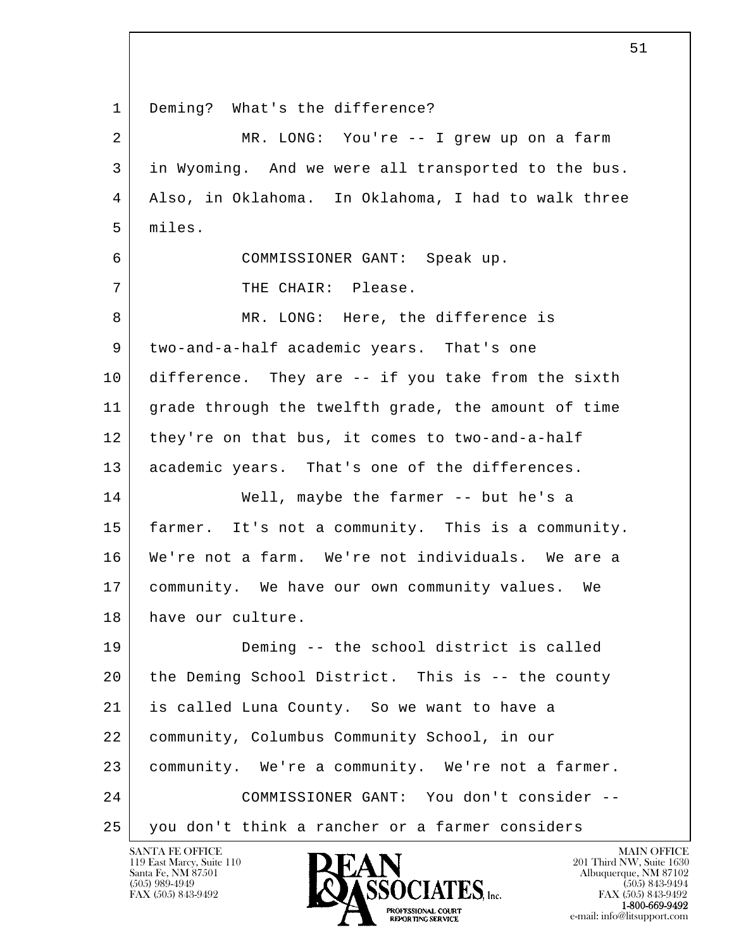l  $\overline{\phantom{a}}$  1 Deming? What's the difference? 2 MR. LONG: You're -- I grew up on a farm 3 in Wyoming. And we were all transported to the bus. 4 Also, in Oklahoma. In Oklahoma, I had to walk three 5 miles. 6 COMMISSIONER GANT: Speak up. 7 | THE CHAIR: Please. 8 MR. LONG: Here, the difference is 9 | two-and-a-half academic years. That's one 10 difference. They are -- if you take from the sixth 11 grade through the twelfth grade, the amount of time 12 they're on that bus, it comes to two-and-a-half 13 academic years. That's one of the differences. 14 Well, maybe the farmer -- but he's a 15 farmer. It's not a community. This is a community. 16 We're not a farm. We're not individuals. We are a 17 | community. We have our own community values. We 18 have our culture. 19 Deming -- the school district is called 20 the Deming School District. This is -- the county 21 is called Luna County. So we want to have a 22 community, Columbus Community School, in our 23 community. We're a community. We're not a farmer. 24 COMMISSIONER GANT: You don't consider -- 25 you don't think a rancher or a farmer considers

119 East Marcy, Suite 110<br>Santa Fe, NM 87501

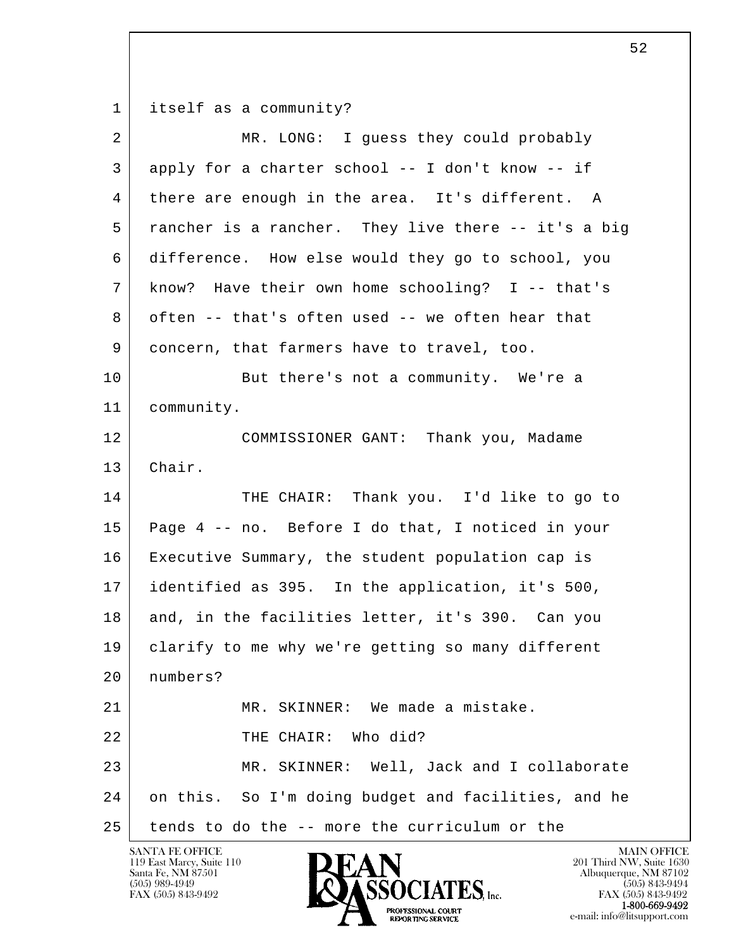1 | itself as a community?

| $\overline{2}$ | MR. LONG: I guess they could probably               |
|----------------|-----------------------------------------------------|
| 3              | apply for a charter school -- I don't know -- if    |
| 4              | there are enough in the area. It's different. A     |
| 5              | rancher is a rancher. They live there -- it's a big |
| 6              | difference. How else would they go to school, you   |
| 7              | know? Have their own home schooling? I -- that's    |
| 8              | often -- that's often used -- we often hear that    |
| 9              | concern, that farmers have to travel, too.          |
| 10             | But there's not a community. We're a                |
| 11             | community.                                          |
| 12             | COMMISSIONER GANT: Thank you, Madame                |
| 13             | Chair.                                              |
| 14             | THE CHAIR: Thank you. I'd like to go to             |
| 15             | Page 4 -- no. Before I do that, I noticed in your   |
| 16             | Executive Summary, the student population cap is    |
| 17             | identified as 395. In the application, it's 500,    |
| 18             | and, in the facilities letter, it's 390. Can you    |
| 19             | clarify to me why we're getting so many different   |
| 20             | numbers?                                            |
| 21             | MR. SKINNER: We made a mistake.                     |
| 22             | THE CHAIR: Who did?                                 |
| 23             | MR. SKINNER: Well, Jack and I collaborate           |
| 24             | on this. So I'm doing budget and facilities, and he |
| 25             | tends to do the -- more the curriculum or the       |

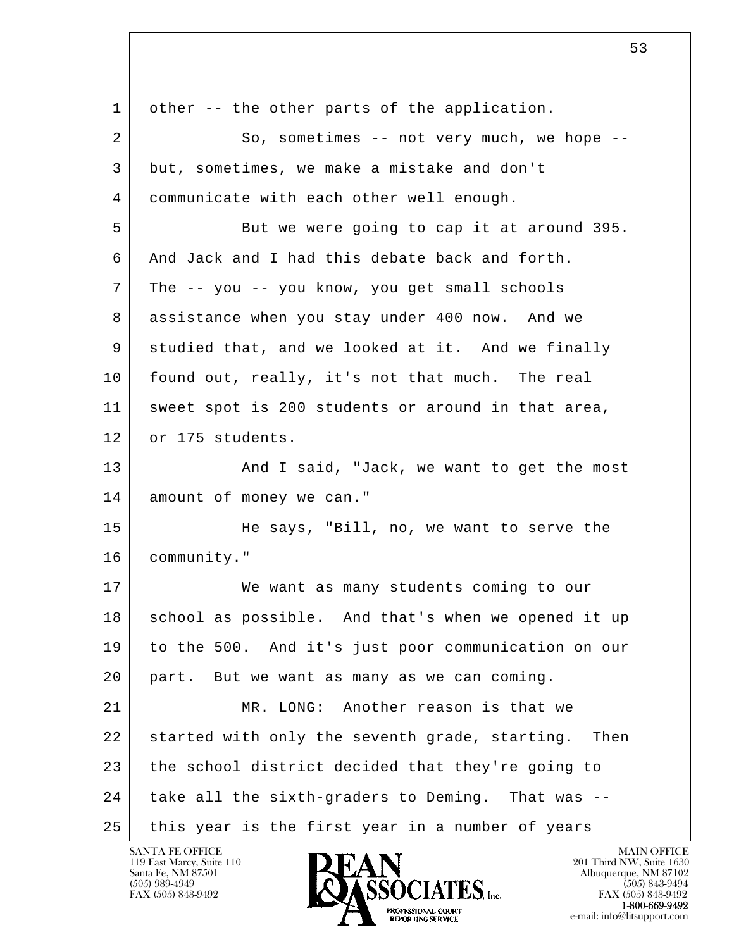| $\mathbf{1}$ | other -- the other parts of the application.        |
|--------------|-----------------------------------------------------|
| 2            | So, sometimes -- not very much, we hope --          |
| 3            | but, sometimes, we make a mistake and don't         |
| 4            | communicate with each other well enough.            |
| 5            | But we were going to cap it at around 395.          |
| 6            | And Jack and I had this debate back and forth.      |
| 7            | The -- you -- you know, you get small schools       |
| 8            | assistance when you stay under 400 now. And we      |
| 9            | studied that, and we looked at it. And we finally   |
| 10           | found out, really, it's not that much. The real     |
| 11           | sweet spot is 200 students or around in that area,  |
| 12           | or 175 students.                                    |
| 13           | And I said, "Jack, we want to get the most          |
| 14           | amount of money we can."                            |
| 15           | He says, "Bill, no, we want to serve the            |
| 16           | community."                                         |
| 17           | We want as many students coming to our              |
| 18           | school as possible. And that's when we opened it up |
| 19           | to the 500. And it's just poor communication on our |
| 20           | part. But we want as many as we can coming.         |
| 21           | MR. LONG: Another reason is that we                 |
| 22           | started with only the seventh grade, starting. Then |
| 23           | the school district decided that they're going to   |
| 24           | take all the sixth-graders to Deming. That was --   |
| 25           | this year is the first year in a number of years    |

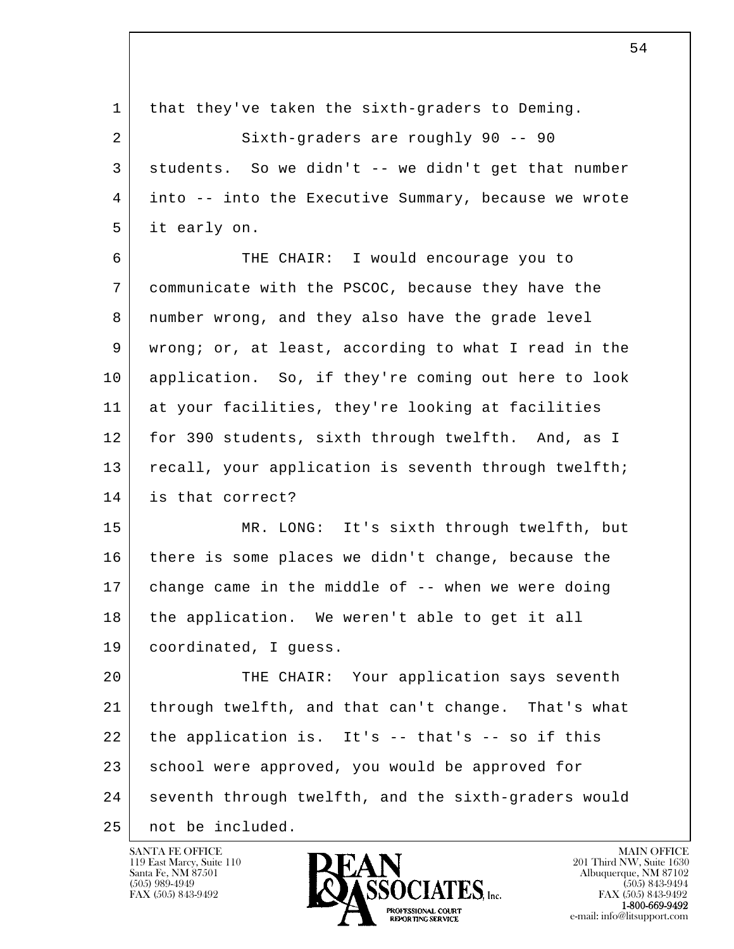| 1              | that they've taken the sixth-graders to Deming.      |
|----------------|------------------------------------------------------|
| $\overline{a}$ | Sixth-graders are roughly 90 -- 90                   |
| 3              | students. So we didn't -- we didn't get that number  |
| 4              | into -- into the Executive Summary, because we wrote |
| 5              | it early on.                                         |
| 6              | THE CHAIR: I would encourage you to                  |
| 7              | communicate with the PSCOC, because they have the    |
| 8              | number wrong, and they also have the grade level     |
| 9              | wrong; or, at least, according to what I read in the |
| 10             | application. So, if they're coming out here to look  |
| 11             | at your facilities, they're looking at facilities    |
| 12             | for 390 students, sixth through twelfth. And, as I   |
| 13             | recall, your application is seventh through twelfth; |
| 14             | is that correct?                                     |
| 15             | MR. LONG: It's sixth through twelfth, but            |
| 16             | there is some places we didn't change, because the   |
| 17             | change came in the middle of -- when we were doing   |
| 18             | the application. We weren't able to get it all       |
| 19             | coordinated, I guess.                                |
| 20             | THE CHAIR: Your application says seventh             |
| 21             | through twelfth, and that can't change. That's what  |
| 22             | the application is. It's -- that's -- so if this     |
| 23             | school were approved, you would be approved for      |
| 24             | seventh through twelfth, and the sixth-graders would |
| 25             | not be included.                                     |

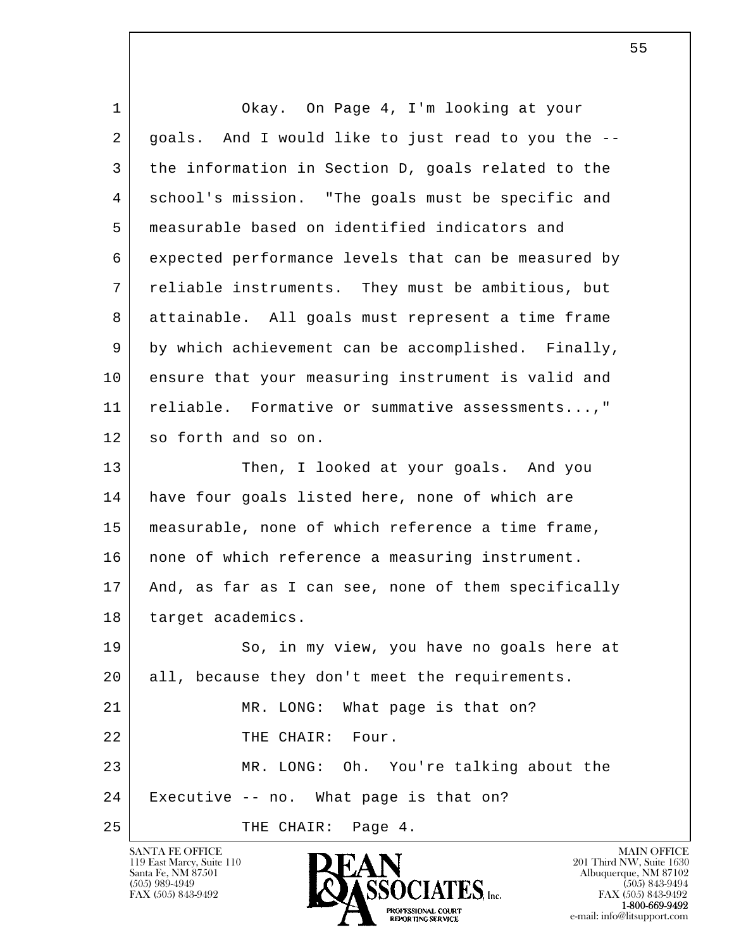l  $\overline{\phantom{a}}$  1 Okay. On Page 4, I'm looking at your 2 goals. And I would like to just read to you the -- 3 the information in Section D, goals related to the 4 school's mission. "The goals must be specific and 5 measurable based on identified indicators and 6 expected performance levels that can be measured by 7 reliable instruments. They must be ambitious, but 8 attainable. All goals must represent a time frame 9 by which achievement can be accomplished. Finally, 10 ensure that your measuring instrument is valid and 11 | reliable. Formative or summative assessments...," 12 so forth and so on. 13 Then, I looked at your goals. And you 14 have four goals listed here, none of which are 15 measurable, none of which reference a time frame, 16 | none of which reference a measuring instrument. 17 | And, as far as I can see, none of them specifically 18 | target academics. 19 So, in my view, you have no goals here at 20 all, because they don't meet the requirements. 21 MR. LONG: What page is that on? 22 THE CHAIR: Four. 23 MR. LONG: Oh. You're talking about the 24 Executive -- no. What page is that on? 25 THE CHAIR: Page 4.

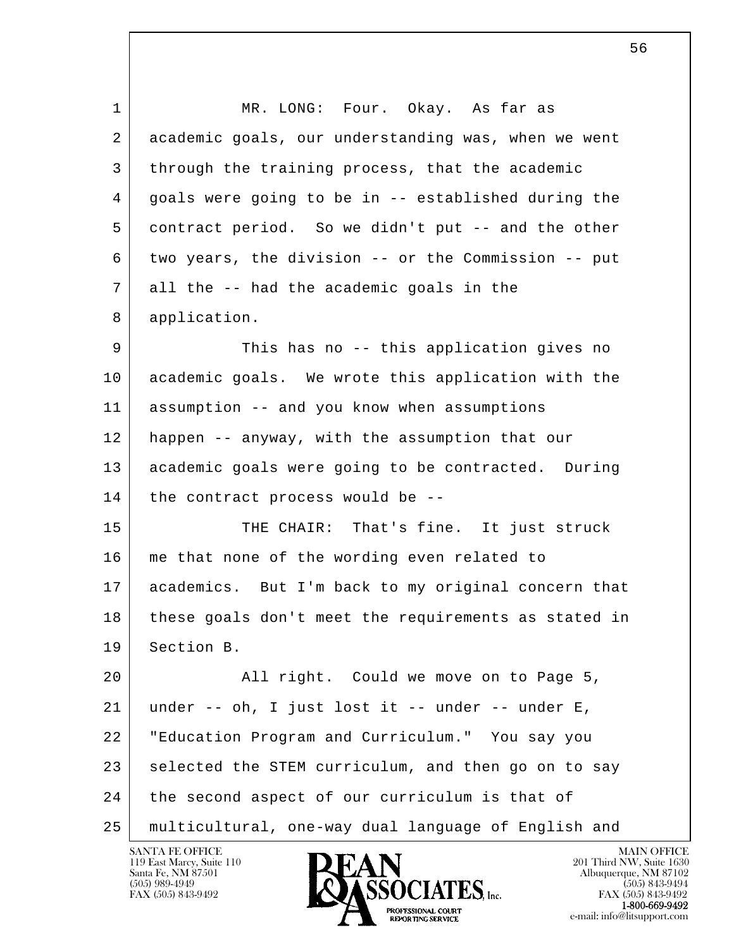| 1  | MR. LONG: Four. Okay. As far as                      |
|----|------------------------------------------------------|
| 2  | academic goals, our understanding was, when we went  |
| 3  | through the training process, that the academic      |
| 4  | goals were going to be in -- established during the  |
| 5  | contract period. So we didn't put -- and the other   |
| 6  | two years, the division -- or the Commission -- put  |
| 7  | all the -- had the academic goals in the             |
| 8  | application.                                         |
| 9  | This has no -- this application gives no             |
| 10 | academic goals. We wrote this application with the   |
| 11 | assumption -- and you know when assumptions          |
| 12 | happen -- anyway, with the assumption that our       |
| 13 | academic goals were going to be contracted. During   |
| 14 | the contract process would be --                     |
| 15 | THE CHAIR: That's fine. It just struck               |
| 16 | me that none of the wording even related to          |
| 17 | academics. But I'm back to my original concern that  |
| 18 | these goals don't meet the requirements as stated in |
| 19 | Section B.                                           |
| 20 | All right. Could we move on to Page 5,               |
| 21 | under -- oh, I just lost it -- under -- under E,     |
| 22 | "Education Program and Curriculum." You say you      |
| 23 | selected the STEM curriculum, and then go on to say  |
| 24 | the second aspect of our curriculum is that of       |
| 25 | multicultural, one-way dual language of English and  |

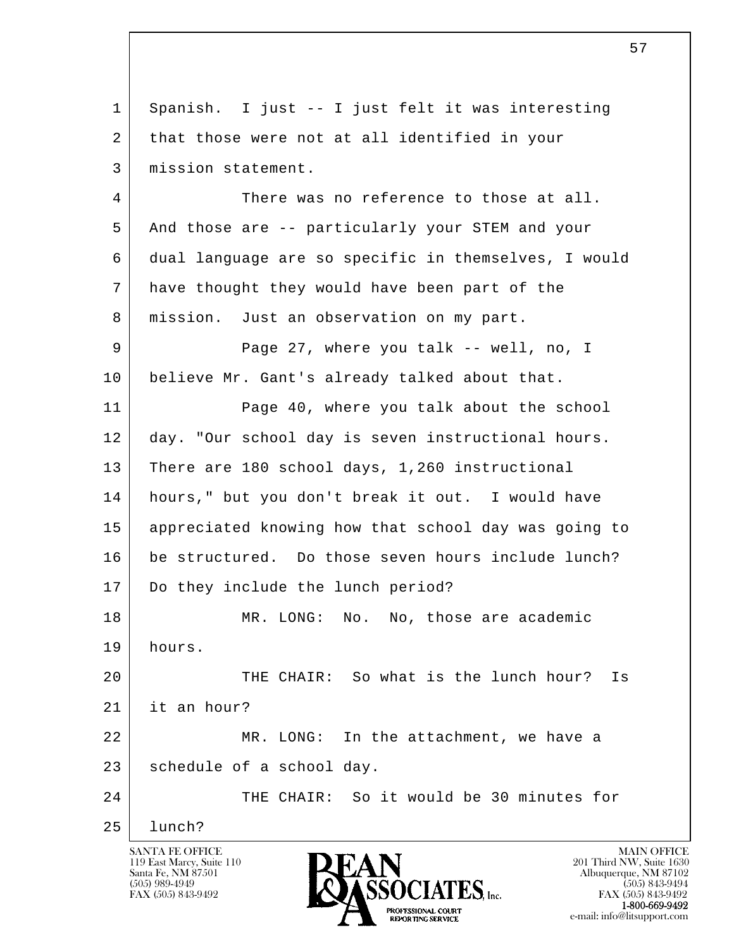l  $\overline{\phantom{a}}$  1 Spanish. I just -- I just felt it was interesting 2 that those were not at all identified in your 3 mission statement. 4 There was no reference to those at all. 5 And those are -- particularly your STEM and your 6 dual language are so specific in themselves, I would 7 have thought they would have been part of the 8 mission. Just an observation on my part. 9 Page 27, where you talk -- well, no, I 10 believe Mr. Gant's already talked about that. 11 Page 40, where you talk about the school 12 day. "Our school day is seven instructional hours. 13 There are 180 school days, 1,260 instructional 14 hours," but you don't break it out. I would have 15 appreciated knowing how that school day was going to 16 be structured. Do those seven hours include lunch? 17 Do they include the lunch period? 18 MR. LONG: No. No, those are academic 19 hours. 20 THE CHAIR: So what is the lunch hour? Is 21 it an hour? 22 | MR. LONG: In the attachment, we have a 23 schedule of a school day. 24 THE CHAIR: So it would be 30 minutes for 25 lunch?

 $\sim$  57

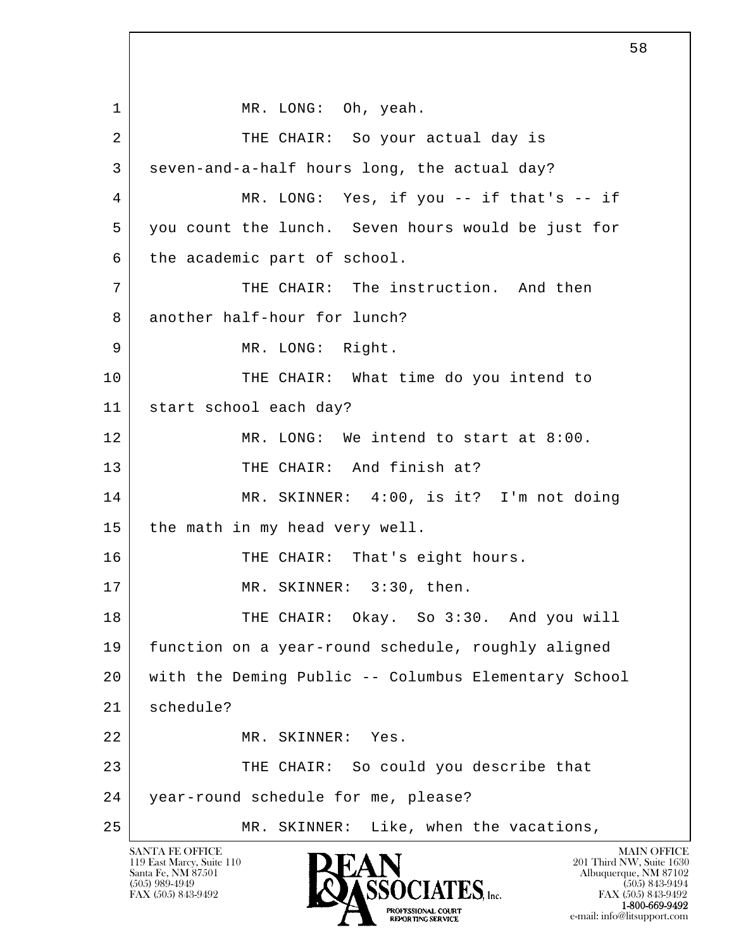l  $\overline{\phantom{a}}$ 1 MR. LONG: Oh, yeah. 2 THE CHAIR: So your actual day is 3 seven-and-a-half hours long, the actual day? 4 MR. LONG: Yes, if you -- if that's -- if 5 you count the lunch. Seven hours would be just for 6 the academic part of school. 7 THE CHAIR: The instruction. And then 8 another half-hour for lunch? 9 MR. LONG: Right. 10 THE CHAIR: What time do you intend to 11 start school each day? 12 MR. LONG: We intend to start at 8:00. 13 | THE CHAIR: And finish at? 14 MR. SKINNER: 4:00, is it? I'm not doing 15 the math in my head very well. 16 THE CHAIR: That's eight hours. 17 MR. SKINNER: 3:30, then. 18 THE CHAIR: Okay. So 3:30. And you will 19 function on a year-round schedule, roughly aligned 20 with the Deming Public -- Columbus Elementary School 21 schedule? 22 MR. SKINNER: Yes. 23 THE CHAIR: So could you describe that 24 year-round schedule for me, please? 25 MR. SKINNER: Like, when the vacations,

119 East Marcy, Suite 110<br>Santa Fe, NM 87501

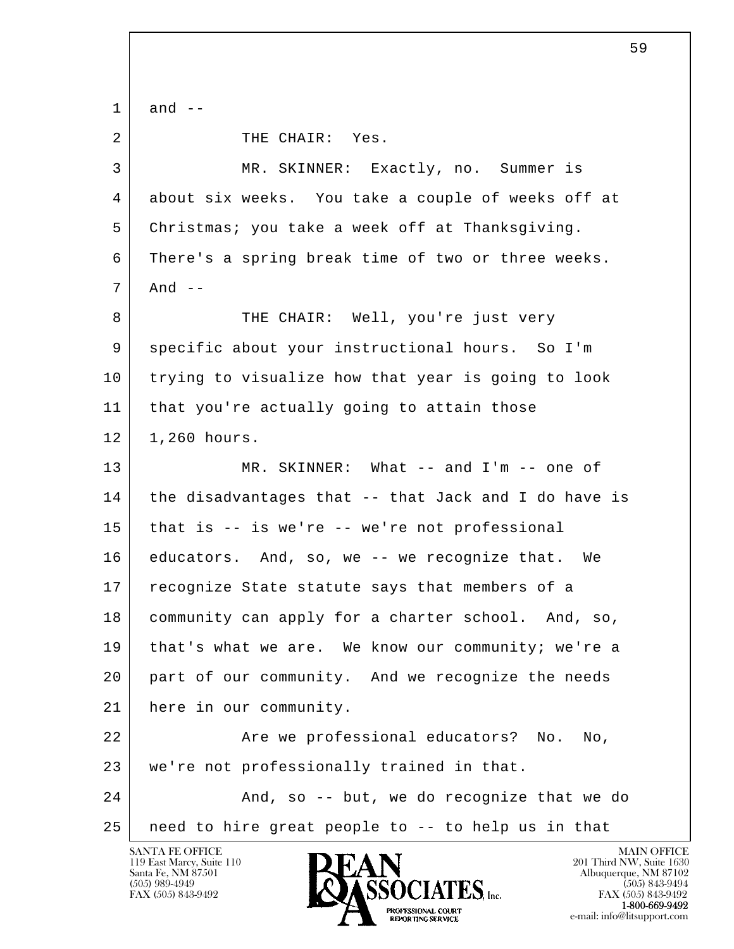l  $\overline{\phantom{a}}$  $1$  and  $-$ 2 THE CHAIR: Yes. 3 MR. SKINNER: Exactly, no. Summer is 4 about six weeks. You take a couple of weeks off at 5 Christmas; you take a week off at Thanksgiving. 6 There's a spring break time of two or three weeks. 7 And -- 8 THE CHAIR: Well, you're just very 9 specific about your instructional hours. So I'm 10 trying to visualize how that year is going to look 11 that you're actually going to attain those 12 1,260 hours. 13 MR. SKINNER: What -- and I'm -- one of 14 the disadvantages that -- that Jack and I do have is 15 that is -- is we're -- we're not professional 16 educators. And, so, we -- we recognize that. We 17 recognize State statute says that members of a 18 community can apply for a charter school. And, so, 19 | that's what we are. We know our community; we're a 20 part of our community. And we recognize the needs 21 here in our community. 22 | The we professional educators? No. No, 23 we're not professionally trained in that. 24 And, so -- but, we do recognize that we do 25 need to hire great people to -- to help us in that

119 East Marcy, Suite 110<br>Santa Fe, NM 87501

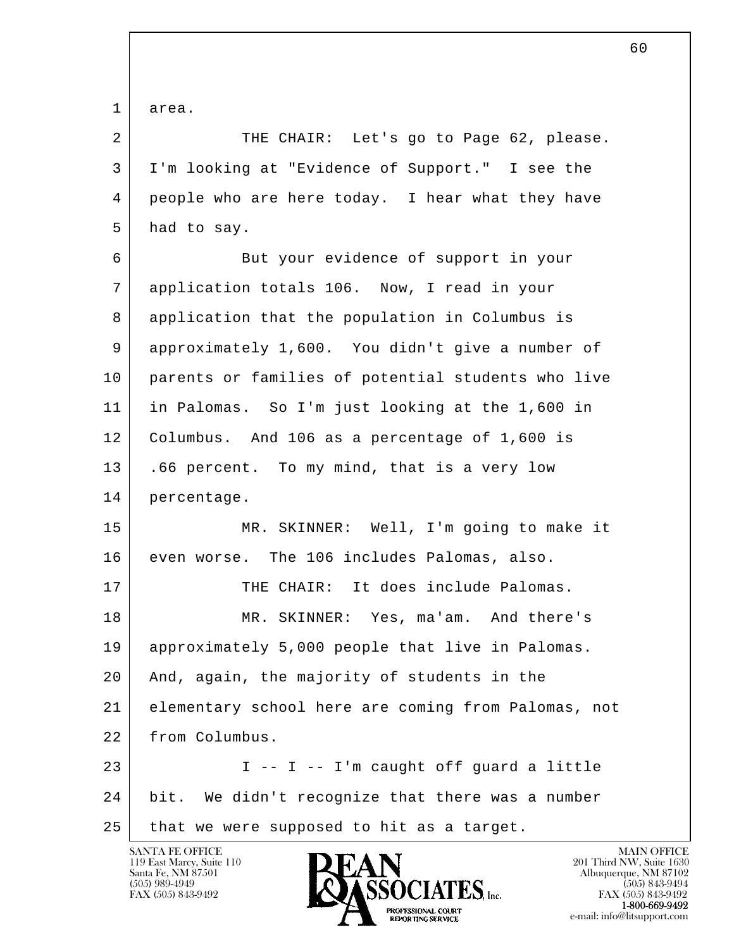| 1  | area.                                               |
|----|-----------------------------------------------------|
| 2  | THE CHAIR: Let's go to Page 62, please.             |
| 3  | I'm looking at "Evidence of Support." I see the     |
| 4  | people who are here today. I hear what they have    |
| 5  | had to say.                                         |
| 6  | But your evidence of support in your                |
| 7  | application totals 106. Now, I read in your         |
| 8  | application that the population in Columbus is      |
| 9  | approximately 1,600. You didn't give a number of    |
| 10 | parents or families of potential students who live  |
| 11 | in Palomas. So I'm just looking at the 1,600 in     |
| 12 | Columbus. And 106 as a percentage of 1,600 is       |
| 13 | .66 percent. To my mind, that is a very low         |
| 14 | percentage.                                         |
| 15 | MR. SKINNER: Well, I'm going to make it             |
| 16 | even worse. The 106 includes Palomas, also.         |
| 17 | THE CHAIR: It does include Palomas.                 |
| 18 | MR. SKINNER: Yes, ma'am. And there's                |
| 19 | approximately 5,000 people that live in Palomas.    |
| 20 | And, again, the majority of students in the         |
| 21 | elementary school here are coming from Palomas, not |
| 22 | from Columbus.                                      |
| 23 | I -- I -- I'm caught off guard a little             |
| 24 | bit. We didn't recognize that there was a number    |
| 25 | that we were supposed to hit as a target.           |

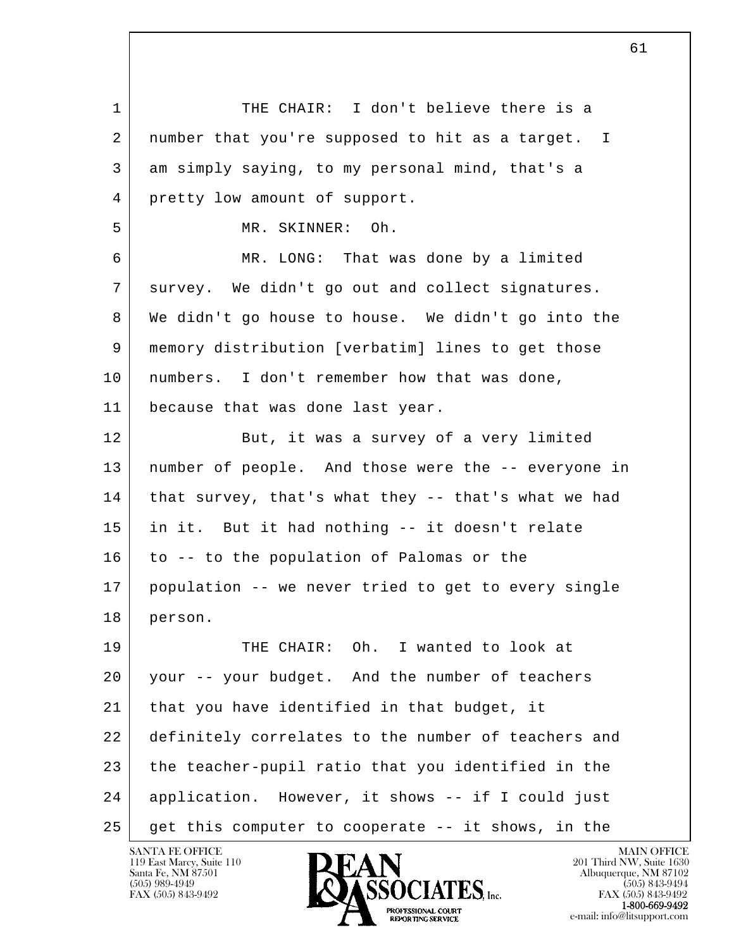l  $\overline{\phantom{a}}$ 1 THE CHAIR: I don't believe there is a 2 | number that you're supposed to hit as a target. I 3 am simply saying, to my personal mind, that's a 4 pretty low amount of support. 5 MR. SKINNER: Oh. 6 MR. LONG: That was done by a limited 7 survey. We didn't go out and collect signatures. 8 We didn't go house to house. We didn't go into the 9 memory distribution [verbatim] lines to get those 10 | numbers. I don't remember how that was done, 11 | because that was done last year. 12 But, it was a survey of a very limited 13 number of people. And those were the -- everyone in 14 | that survey, that's what they -- that's what we had 15 in it. But it had nothing -- it doesn't relate 16 to -- to the population of Palomas or the 17 population -- we never tried to get to every single 18 person. 19 THE CHAIR: Oh. I wanted to look at 20 your -- your budget. And the number of teachers 21 | that you have identified in that budget, it 22 definitely correlates to the number of teachers and 23 | the teacher-pupil ratio that you identified in the 24 application. However, it shows -- if I could just 25 get this computer to cooperate -- it shows, in the

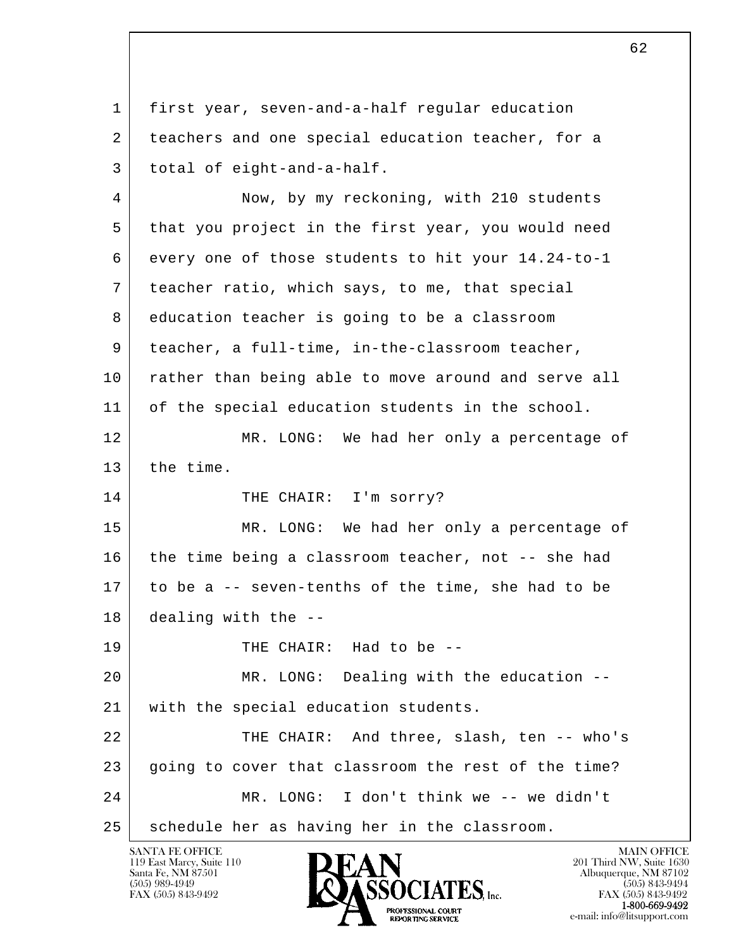l  $\overline{\phantom{a}}$  1 first year, seven-and-a-half regular education 2 teachers and one special education teacher, for a 3 total of eight-and-a-half. 4 Now, by my reckoning, with 210 students 5 that you project in the first year, you would need 6 every one of those students to hit your 14.24-to-1 7 teacher ratio, which says, to me, that special 8 education teacher is going to be a classroom 9 teacher, a full-time, in-the-classroom teacher, 10 rather than being able to move around and serve all 11 of the special education students in the school. 12 MR. LONG: We had her only a percentage of 13 the time. 14 THE CHAIR: I'm sorry? 15 MR. LONG: We had her only a percentage of 16 the time being a classroom teacher, not -- she had 17 to be a -- seven-tenths of the time, she had to be 18 dealing with the -- 19 THE CHAIR: Had to be -- 20 MR. LONG: Dealing with the education -- 21 | with the special education students. 22 | THE CHAIR: And three, slash, ten -- who's 23 going to cover that classroom the rest of the time? 24 MR. LONG: I don't think we -- we didn't 25 | schedule her as having her in the classroom.

119 East Marcy, Suite 110<br>Santa Fe, NM 87501

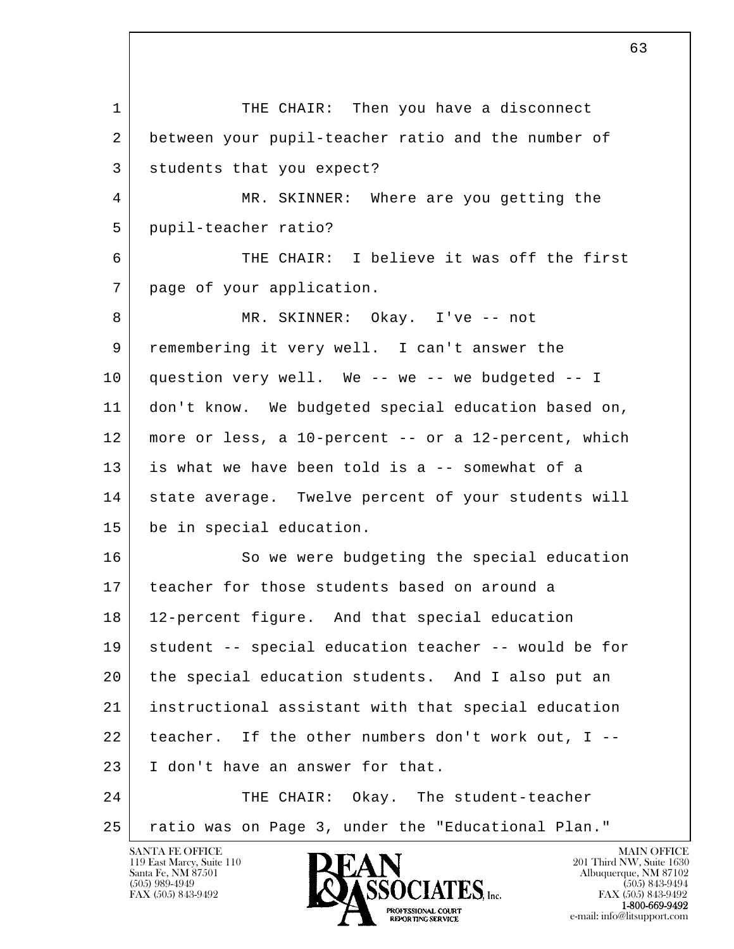l  $\overline{\phantom{a}}$ 1 THE CHAIR: Then you have a disconnect 2 between your pupil-teacher ratio and the number of 3 students that you expect? 4 MR. SKINNER: Where are you getting the 5 pupil-teacher ratio? 6 THE CHAIR: I believe it was off the first 7 page of your application. 8 MR. SKINNER: Okay. I've -- not 9 remembering it very well. I can't answer the 10 question very well. We -- we -- we budgeted -- I 11 don't know. We budgeted special education based on, 12 more or less, a 10-percent -- or a 12-percent, which 13 is what we have been told is a -- somewhat of a 14 | state average. Twelve percent of your students will 15 be in special education. 16 So we were budgeting the special education 17 teacher for those students based on around a 18 12-percent figure. And that special education 19 student -- special education teacher -- would be for 20 the special education students. And I also put an 21 instructional assistant with that special education 22 teacher. If the other numbers don't work out, I -- 23 I don't have an answer for that. 24 THE CHAIR: Okay. The student-teacher 25 ratio was on Page 3, under the "Educational Plan."

119 East Marcy, Suite 110<br>Santa Fe, NM 87501

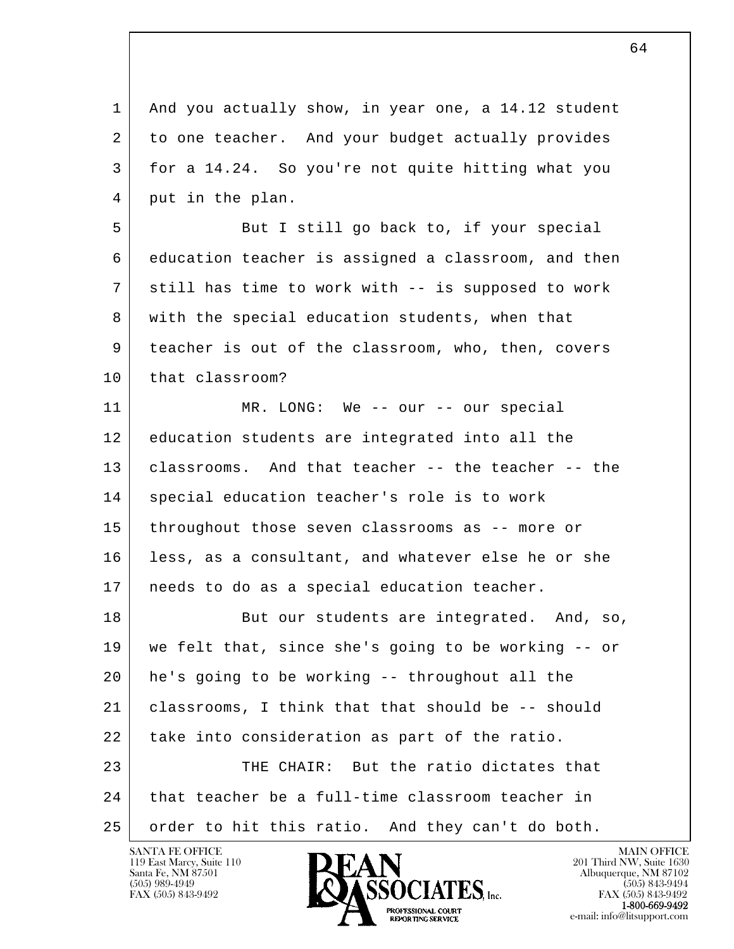l  $\overline{\phantom{a}}$ 1 And you actually show, in year one, a 14.12 student 2 to one teacher. And your budget actually provides 3 for a 14.24. So you're not quite hitting what you 4 put in the plan. 5 But I still go back to, if your special 6 education teacher is assigned a classroom, and then 7 still has time to work with -- is supposed to work 8 with the special education students, when that 9 teacher is out of the classroom, who, then, covers 10 | that classroom? 11 | MR. LONG: We -- our -- our special 12 education students are integrated into all the 13 classrooms. And that teacher -- the teacher -- the 14 special education teacher's role is to work 15 throughout those seven classrooms as -- more or 16 | less, as a consultant, and whatever else he or she 17 | needs to do as a special education teacher. 18 But our students are integrated. And, so, 19 we felt that, since she's going to be working -- or 20 he's going to be working -- throughout all the 21 classrooms, I think that that should be -- should 22 take into consideration as part of the ratio. 23 THE CHAIR: But the ratio dictates that 24 that teacher be a full-time classroom teacher in 25 order to hit this ratio. And they can't do both.

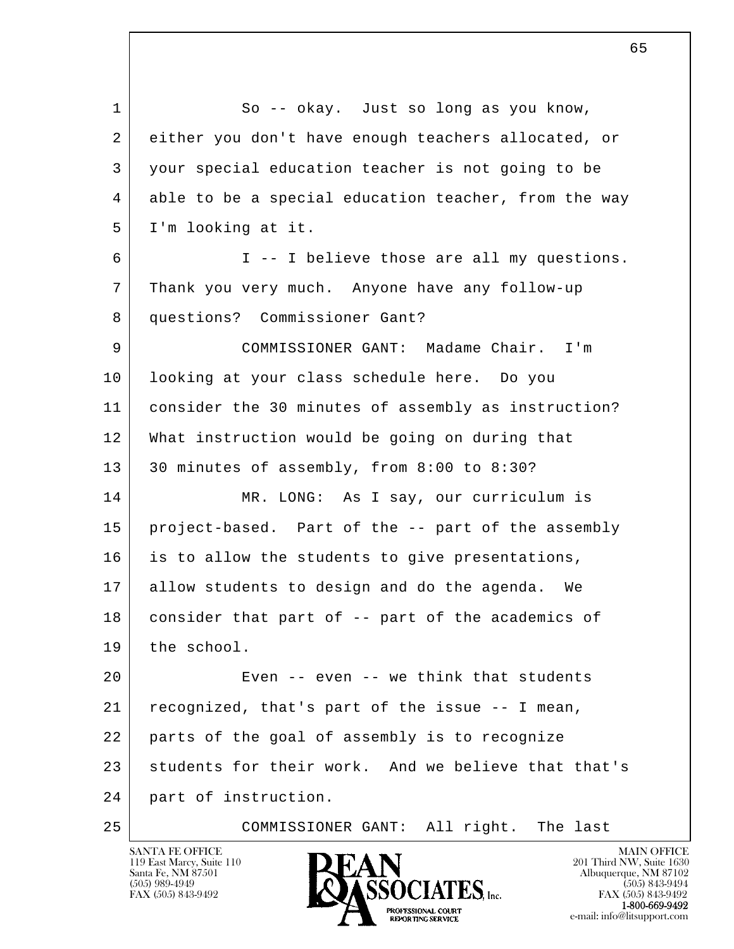l  $\overline{\phantom{a}}$ 1 So -- okay. Just so long as you know, 2 either you don't have enough teachers allocated, or 3 your special education teacher is not going to be 4 able to be a special education teacher, from the way 5 I'm looking at it. 6 I -- I believe those are all my questions. 7 Thank you very much. Anyone have any follow-up 8 questions? Commissioner Gant? 9 COMMISSIONER GANT: Madame Chair. I'm 10 looking at your class schedule here. Do you 11 consider the 30 minutes of assembly as instruction? 12 What instruction would be going on during that 13 30 minutes of assembly, from 8:00 to 8:30? 14 MR. LONG: As I say, our curriculum is 15 project-based. Part of the -- part of the assembly 16 is to allow the students to give presentations, 17 allow students to design and do the agenda. We 18 consider that part of -- part of the academics of 19 the school. 20 Even -- even -- we think that students 21 recognized, that's part of the issue -- I mean, 22 parts of the goal of assembly is to recognize 23 students for their work. And we believe that that's 24 part of instruction. 25 COMMISSIONER GANT: All right. The last

119 East Marcy, Suite 110<br>Santa Fe, NM 87501



FAX (505) 843-9492<br>**1-800-669-9492**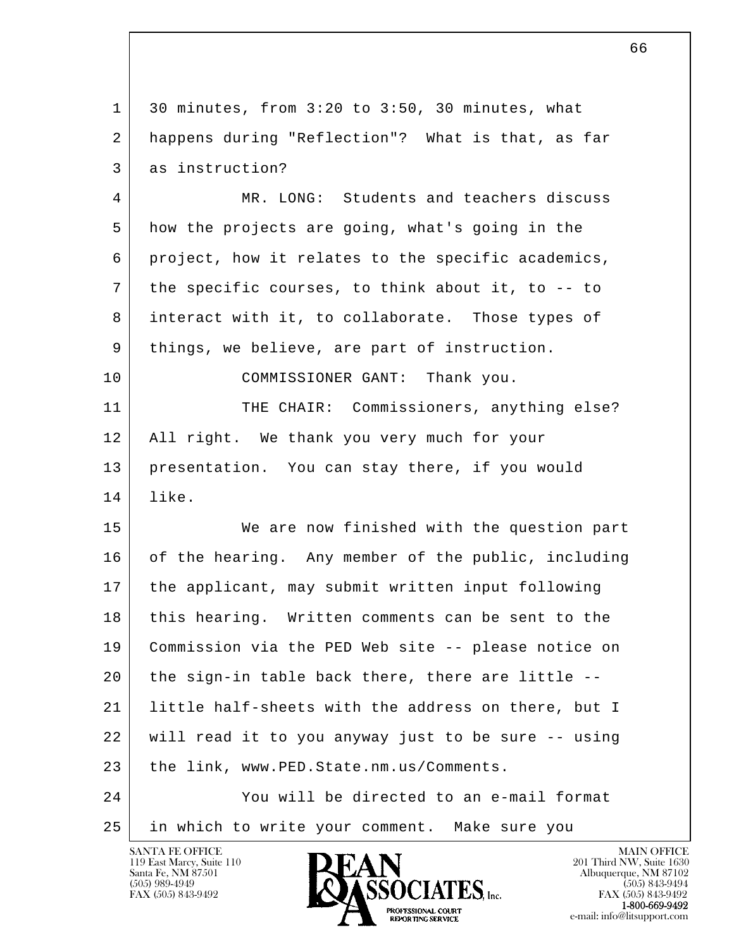1 30 minutes, from 3:20 to 3:50, 30 minutes, what 2 happens during "Reflection"? What is that, as far 3 as instruction? 4 MR. LONG: Students and teachers discuss 5 how the projects are going, what's going in the

 6 project, how it relates to the specific academics, 7 the specific courses, to think about it, to -- to 8 interact with it, to collaborate. Those types of 9 | things, we believe, are part of instruction.

10 COMMISSIONER GANT: Thank you.

11 THE CHAIR: Commissioners, anything else? 12 | All right. We thank you very much for your 13 presentation. You can stay there, if you would 14 like.

l  $\overline{\phantom{a}}$  15 We are now finished with the question part 16 of the hearing. Any member of the public, including 17 the applicant, may submit written input following 18 this hearing. Written comments can be sent to the 19 Commission via the PED Web site -- please notice on 20 the sign-in table back there, there are little -- 21 | little half-sheets with the address on there, but I 22 will read it to you anyway just to be sure -- using 23 | the link, www.PED.State.nm.us/Comments. 24 You will be directed to an e-mail format

25 in which to write your comment. Make sure you

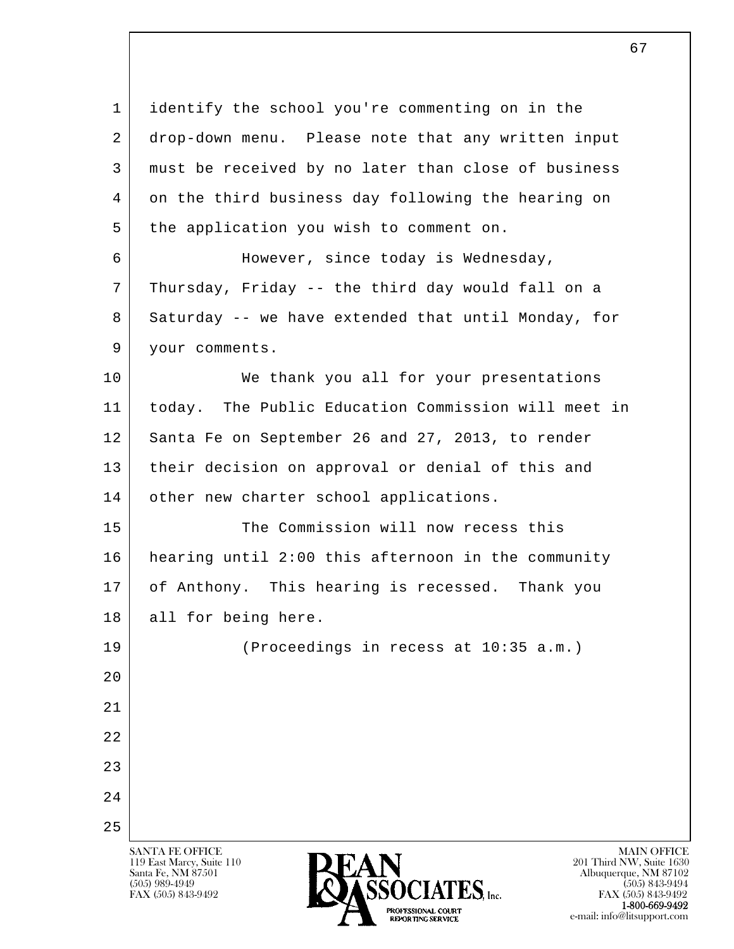l  $\overline{\phantom{a}}$ SANTA FE OFFICE MAIN OFFICE MAIN OFFICE MAIN OFFICE MAIN OFFICE 119 East Marcy, Suite 110<br>Santa Fe, NM 87501 Santa Fe, NM 87501 Albuquerque, NM 87102  $\sum_{\text{FAX (505) 843-9492}}$   $\sum_{\text{FAX (505) 843-9492}}$   $\sum_{\text{FAX (505) 843-9492}}$  1 identify the school you're commenting on in the 2 drop-down menu. Please note that any written input 3 must be received by no later than close of business 4 on the third business day following the hearing on 5 the application you wish to comment on. 6 However, since today is Wednesday, 7 Thursday, Friday -- the third day would fall on a 8 Saturday -- we have extended that until Monday, for 9 | your comments. 10 We thank you all for your presentations 11 today. The Public Education Commission will meet in 12 Santa Fe on September 26 and 27, 2013, to render 13 | their decision on approval or denial of this and 14 other new charter school applications. 15 The Commission will now recess this 16 hearing until 2:00 this afternoon in the community 17 of Anthony. This hearing is recessed. Thank you 18 all for being here. 19 (Proceedings in recess at 10:35 a.m.) 20 21 22 23 24 25

67

FAX (505) 843-9492 FAX (505) 843-9492

e-mail: info@litsupport.com

1-800-669-9492